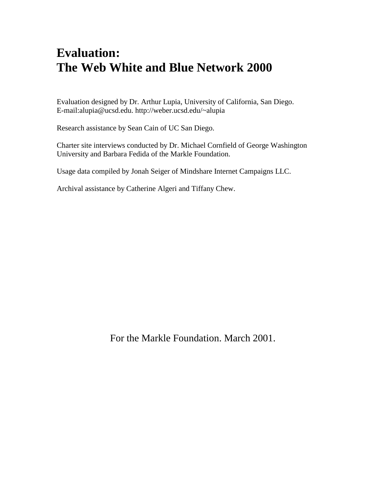### **Evaluation: The Web White and Blue Network 2000**

Evaluation designed by Dr. Arthur Lupia, University of California, San Diego. E-mail:alupia@ucsd.edu. http://weber.ucsd.edu/~alupia

Research assistance by Sean Cain of UC San Diego.

Charter site interviews conducted by Dr. Michael Cornfield of George Washington University and Barbara Fedida of the Markle Foundation.

Usage data compiled by Jonah Seiger of Mindshare Internet Campaigns LLC.

Archival assistance by Catherine Algeri and Tiffany Chew.

For the Markle Foundation. March 2001.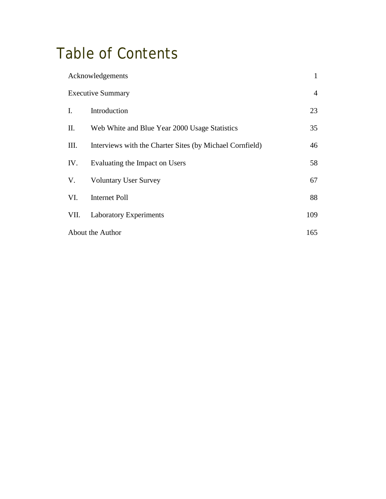# Table of Contents

| $\mathbf{1}$<br>Acknowledgements |                                                          |     |
|----------------------------------|----------------------------------------------------------|-----|
| <b>Executive Summary</b>         |                                                          |     |
| $\mathbf{I}$ .                   | Introduction                                             | 23  |
| П.                               | Web White and Blue Year 2000 Usage Statistics            | 35  |
| III.                             | Interviews with the Charter Sites (by Michael Cornfield) | 46  |
| IV.                              | Evaluating the Impact on Users                           | 58  |
| V.                               | <b>Voluntary User Survey</b>                             | 67  |
| VI.                              | <b>Internet Poll</b>                                     | 88  |
| VII.                             | <b>Laboratory Experiments</b>                            | 109 |
| About the Author                 |                                                          |     |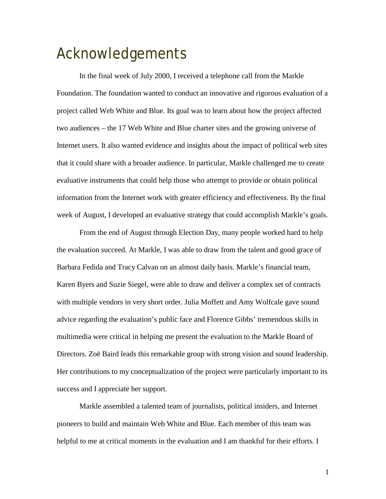## Acknowledgements

 In the final week of July 2000, I received a telephone call from the Markle Foundation. The foundation wanted to conduct an innovative and rigorous evaluation of a project called Web White and Blue. Its goal was to learn about how the project affected two audiences – the 17 Web White and Blue charter sites and the growing universe of Internet users. It also wanted evidence and insights about the impact of political web sites that it could share with a broader audience. In particular, Markle challenged me to create evaluative instruments that could help those who attempt to provide or obtain political information from the Internet work with greater efficiency and effectiveness. By the final week of August, I developed an evaluative strategy that could accomplish Markle's goals.

 From the end of August through Election Day, many people worked hard to help the evaluation succeed. At Markle, I was able to draw from the talent and good grace of Barbara Fedida and Tracy Calvan on an almost daily basis. Markle's financial team, Karen Byers and Suzie Siegel, were able to draw and deliver a complex set of contracts with multiple vendors in very short order. Julia Moffett and Amy Wolfcale gave sound advice regarding the evaluation's public face and Florence Gibbs' tremendous skills in multimedia were critical in helping me present the evaluation to the Markle Board of Directors. Zoë Baird leads this remarkable group with strong vision and sound leadership. Her contributions to my conceptualization of the project were particularly important to its success and I appreciate her support.

 Markle assembled a talented team of journalists, political insiders, and Internet pioneers to build and maintain Web White and Blue. Each member of this team was helpful to me at critical moments in the evaluation and I am thankful for their efforts. I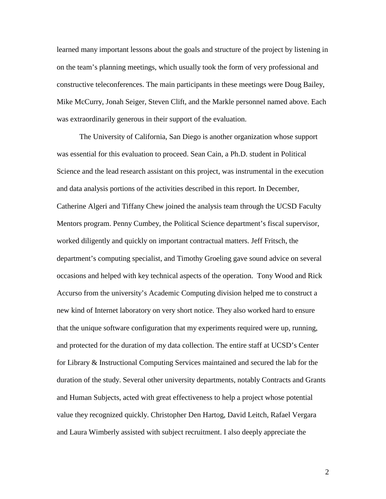learned many important lessons about the goals and structure of the project by listening in on the team's planning meetings, which usually took the form of very professional and constructive teleconferences. The main participants in these meetings were Doug Bailey, Mike McCurry, Jonah Seiger, Steven Clift, and the Markle personnel named above. Each was extraordinarily generous in their support of the evaluation.

 The University of California, San Diego is another organization whose support was essential for this evaluation to proceed. Sean Cain, a Ph.D. student in Political Science and the lead research assistant on this project, was instrumental in the execution and data analysis portions of the activities described in this report. In December, Catherine Algeri and Tiffany Chew joined the analysis team through the UCSD Faculty Mentors program. Penny Cumbey, the Political Science department's fiscal supervisor, worked diligently and quickly on important contractual matters. Jeff Fritsch, the department's computing specialist, and Timothy Groeling gave sound advice on several occasions and helped with key technical aspects of the operation. Tony Wood and Rick Accurso from the university's Academic Computing division helped me to construct a new kind of Internet laboratory on very short notice. They also worked hard to ensure that the unique software configuration that my experiments required were up, running, and protected for the duration of my data collection. The entire staff at UCSD's Center for Library & Instructional Computing Services maintained and secured the lab for the duration of the study. Several other university departments, notably Contracts and Grants and Human Subjects, acted with great effectiveness to help a project whose potential value they recognized quickly. Christopher Den Hartog, David Leitch, Rafael Vergara and Laura Wimberly assisted with subject recruitment. I also deeply appreciate the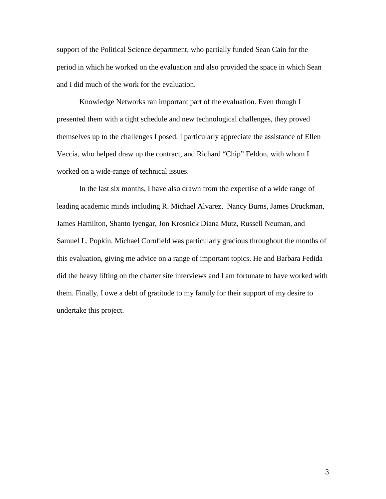support of the Political Science department, who partially funded Sean Cain for the period in which he worked on the evaluation and also provided the space in which Sean and I did much of the work for the evaluation.

 Knowledge Networks ran important part of the evaluation. Even though I presented them with a tight schedule and new technological challenges, they proved themselves up to the challenges I posed. I particularly appreciate the assistance of Ellen Veccia, who helped draw up the contract, and Richard "Chip" Feldon, with whom I worked on a wide-range of technical issues.

 In the last six months, I have also drawn from the expertise of a wide range of leading academic minds including R. Michael Alvarez, Nancy Burns, James Druckman, James Hamilton, Shanto Iyengar, Jon Krosnick Diana Mutz, Russell Neuman, and Samuel L. Popkin. Michael Cornfield was particularly gracious throughout the months of this evaluation, giving me advice on a range of important topics. He and Barbara Fedida did the heavy lifting on the charter site interviews and I am fortunate to have worked with them. Finally, I owe a debt of gratitude to my family for their support of my desire to undertake this project.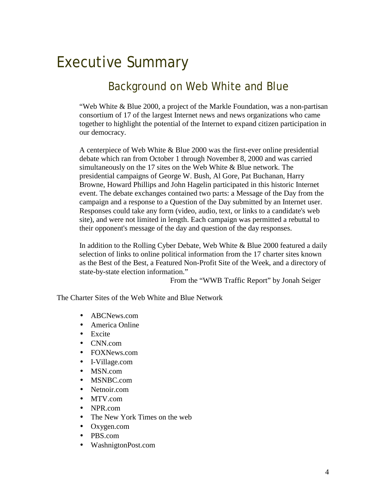# Executive Summary

### Background on Web White and Blue

"Web White & Blue 2000, a project of the Markle Foundation, was a non-partisan consortium of 17 of the largest Internet news and news organizations who came together to highlight the potential of the Internet to expand citizen participation in our democracy.

A centerpiece of Web White & Blue 2000 was the first-ever online presidential debate which ran from October 1 through November 8, 2000 and was carried simultaneously on the 17 sites on the Web White & Blue network. The presidential campaigns of George W. Bush, Al Gore, Pat Buchanan, Harry Browne, Howard Phillips and John Hagelin participated in this historic Internet event. The debate exchanges contained two parts: a Message of the Day from the campaign and a response to a Question of the Day submitted by an Internet user. Responses could take any form (video, audio, text, or links to a candidate's web site), and were not limited in length. Each campaign was permitted a rebuttal to their opponent's message of the day and question of the day responses.

In addition to the Rolling Cyber Debate, Web White & Blue 2000 featured a daily selection of links to online political information from the 17 charter sites known as the Best of the Best, a Featured Non-Profit Site of the Week, and a directory of state-by-state election information."

From the "WWB Traffic Report" by Jonah Seiger

The Charter Sites of the Web White and Blue Network

- ABCNews.com
- America Online
- Excite
- CNN.com
- FOXNews.com
- I-Village.com
- MSN.com
- MSNBC.com
- Netnoir.com
- MTV.com
- NPR.com
- The New York Times on the web
- Oxygen.com
- PBS.com
- WashnigtonPost.com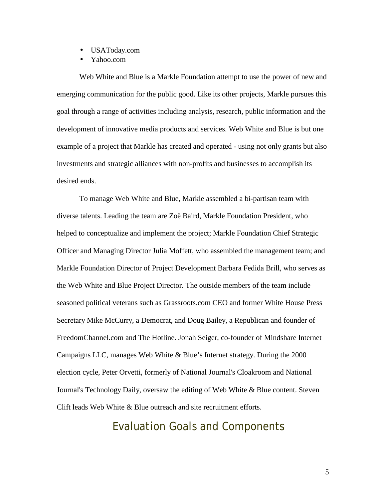- USAToday.com
- Yahoo.com

Web White and Blue is a Markle Foundation attempt to use the power of new and emerging communication for the public good. Like its other projects, Markle pursues this goal through a range of activities including analysis, research, public information and the development of innovative media products and services. Web White and Blue is but one example of a project that Markle has created and operated - using not only grants but also investments and strategic alliances with non-profits and businesses to accomplish its desired ends.

To manage Web White and Blue, Markle assembled a bi-partisan team with diverse talents. Leading the team are Zoë Baird, Markle Foundation President, who helped to conceptualize and implement the project; Markle Foundation Chief Strategic Officer and Managing Director Julia Moffett, who assembled the management team; and Markle Foundation Director of Project Development Barbara Fedida Brill, who serves as the Web White and Blue Project Director. The outside members of the team include seasoned political veterans such as Grassroots.com CEO and former White House Press Secretary Mike McCurry, a Democrat, and Doug Bailey, a Republican and founder of FreedomChannel.com and The Hotline. Jonah Seiger, co-founder of Mindshare Internet Campaigns LLC, manages Web White & Blue's Internet strategy. During the 2000 election cycle, Peter Orvetti, formerly of National Journal's Cloakroom and National Journal's Technology Daily, oversaw the editing of Web White & Blue content. Steven Clift leads Web White & Blue outreach and site recruitment efforts.

Evaluation Goals and Components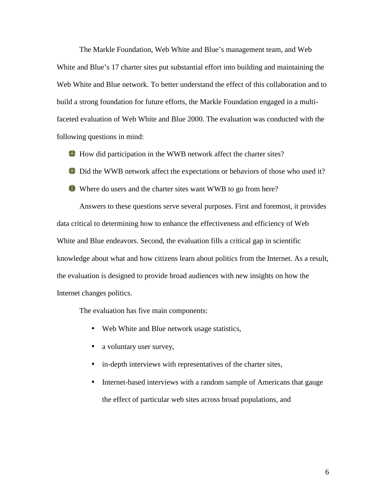The Markle Foundation, Web White and Blue's management team, and Web White and Blue's 17 charter sites put substantial effort into building and maintaining the Web White and Blue network. To better understand the effect of this collaboration and to build a strong foundation for future efforts, the Markle Foundation engaged in a multifaceted evaluation of Web White and Blue 2000. The evaluation was conducted with the following questions in mind:

How did participation in the WWB network affect the charter sites?

Did the WWB network affect the expectations or behaviors of those who used it?

Where do users and the charter sites want WWB to go from here?

Answers to these questions serve several purposes. First and foremost, it provides data critical to determining how to enhance the effectiveness and efficiency of Web White and Blue endeavors. Second, the evaluation fills a critical gap in scientific knowledge about what and how citizens learn about politics from the Internet. As a result, the evaluation is designed to provide broad audiences with new insights on how the Internet changes politics.

The evaluation has five main components:

- Web White and Blue network usage statistics,
- a voluntary user survey,
- in-depth interviews with representatives of the charter sites,
- Internet-based interviews with a random sample of Americans that gauge the effect of particular web sites across broad populations, and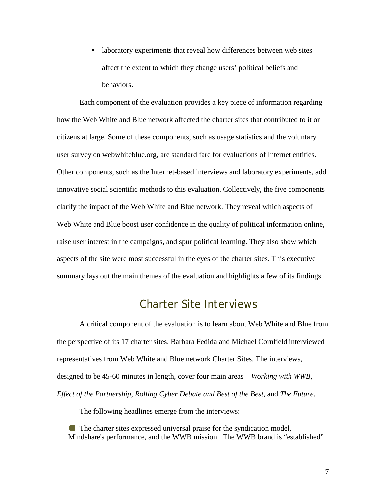• laboratory experiments that reveal how differences between web sites affect the extent to which they change users' political beliefs and behaviors.

Each component of the evaluation provides a key piece of information regarding how the Web White and Blue network affected the charter sites that contributed to it or citizens at large. Some of these components, such as usage statistics and the voluntary user survey on webwhiteblue.org, are standard fare for evaluations of Internet entities. Other components, such as the Internet-based interviews and laboratory experiments, add innovative social scientific methods to this evaluation. Collectively, the five components clarify the impact of the Web White and Blue network. They reveal which aspects of Web White and Blue boost user confidence in the quality of political information online, raise user interest in the campaigns, and spur political learning. They also show which aspects of the site were most successful in the eyes of the charter sites. This executive summary lays out the main themes of the evaluation and highlights a few of its findings.

#### Charter Site Interviews

A critical component of the evaluation is to learn about Web White and Blue from the perspective of its 17 charter sites. Barbara Fedida and Michael Cornfield interviewed representatives from Web White and Blue network Charter Sites. The interviews, designed to be 45-60 minutes in length, cover four main areas – *Working with WWB*, *Effect of the Partnership*, *Rolling Cyber Debate and Best of the Best*, and *The Future*.

The following headlines emerge from the interviews:

The charter sites expressed universal praise for the syndication model, Mindshare's performance, and the WWB mission. The WWB brand is "established"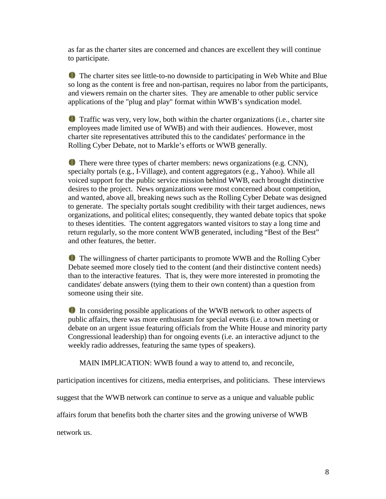as far as the charter sites are concerned and chances are excellent they will continue to participate.

 The charter sites see little-to-no downside to participating in Web White and Blue so long as the content is free and non-partisan, requires no labor from the participants, and viewers remain on the charter sites. They are amenable to other public service applications of the "plug and play" format within WWB's syndication model.

 Traffic was very, very low, both within the charter organizations (i.e., charter site employees made limited use of WWB) and with their audiences. However, most charter site representatives attributed this to the candidates' performance in the Rolling Cyber Debate, not to Markle's efforts or WWB generally.

There were three types of charter members: news organizations (e.g. CNN), specialty portals (e.g., I-Village), and content aggregators (e.g., Yahoo). While all voiced support for the public service mission behind WWB, each brought distinctive desires to the project. News organizations were most concerned about competition, and wanted, above all, breaking news such as the Rolling Cyber Debate was designed to generate. The specialty portals sought credibility with their target audiences, news organizations, and political elites; consequently, they wanted debate topics that spoke to theses identities. The content aggregators wanted visitors to stay a long time and return regularly, so the more content WWB generated, including "Best of the Best" and other features, the better.

The willingness of charter participants to promote WWB and the Rolling Cyber Debate seemed more closely tied to the content (and their distinctive content needs) than to the interactive features. That is, they were more interested in promoting the candidates' debate answers (tying them to their own content) than a question from someone using their site.

In considering possible applications of the WWB network to other aspects of public affairs, there was more enthusiasm for special events (i.e. a town meeting or debate on an urgent issue featuring officials from the White House and minority party Congressional leadership) than for ongoing events (i.e. an interactive adjunct to the weekly radio addresses, featuring the same types of speakers).

MAIN IMPLICATION: WWB found a way to attend to, and reconcile,

participation incentives for citizens, media enterprises, and politicians. These interviews

suggest that the WWB network can continue to serve as a unique and valuable public

affairs forum that benefits both the charter sites and the growing universe of WWB

network us.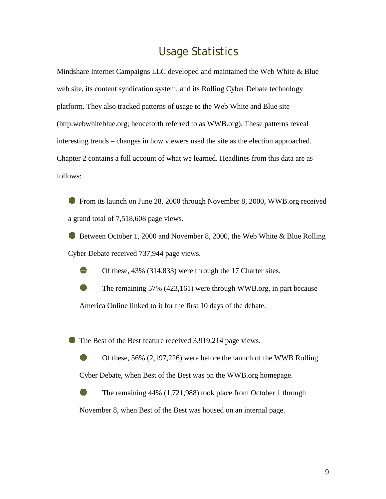#### Usage Statistics

Mindshare Internet Campaigns LLC developed and maintained the Web White & Blue web site, its content syndication system, and its Rolling Cyber Debate technology platform. They also tracked patterns of usage to the Web White and Blue site (http:webwhiteblue.org; henceforth referred to as WWB.org). These patterns reveal interesting trends – changes in how viewers used the site as the election approached. Chapter 2 contains a full account of what we learned. Headlines from this data are as follows:

 From its launch on June 28, 2000 through November 8, 2000, WWB.org received a grand total of 7,518,608 page views.

 Between October 1, 2000 and November 8, 2000, the Web White & Blue Rolling Cyber Debate received 737,944 page views.

Of these, 43% (314,833) were through the 17 Charter sites.

 The remaining 57% (423,161) were through WWB.org, in part because America Online linked to it for the first 10 days of the debate.

The Best of the Best feature received 3,919,214 page views.

 Of these, 56% (2,197,226) were before the launch of the WWB Rolling Cyber Debate, when Best of the Best was on the WWB.org homepage.

 The remaining 44% (1,721,988) took place from October 1 through November 8, when Best of the Best was housed on an internal page.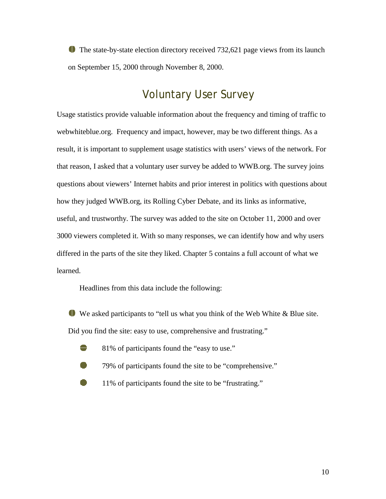The state-by-state election directory received 732,621 page views from its launch on September 15, 2000 through November 8, 2000.

#### Voluntary User Survey

Usage statistics provide valuable information about the frequency and timing of traffic to webwhiteblue.org. Frequency and impact, however, may be two different things. As a result, it is important to supplement usage statistics with users' views of the network. For that reason, I asked that a voluntary user survey be added to WWB.org. The survey joins questions about viewers' Internet habits and prior interest in politics with questions about how they judged WWB.org, its Rolling Cyber Debate, and its links as informative, useful, and trustworthy. The survey was added to the site on October 11, 2000 and over 3000 viewers completed it. With so many responses, we can identify how and why users differed in the parts of the site they liked. Chapter 5 contains a full account of what we learned.

Headlines from this data include the following:

 We asked participants to "tell us what you think of the Web White & Blue site. Did you find the site: easy to use, comprehensive and frustrating."

- <sup>8</sup> 81% of participants found the "easy to use."
	- 79% of participants found the site to be "comprehensive."
	- 11% of participants found the site to be "frustrating."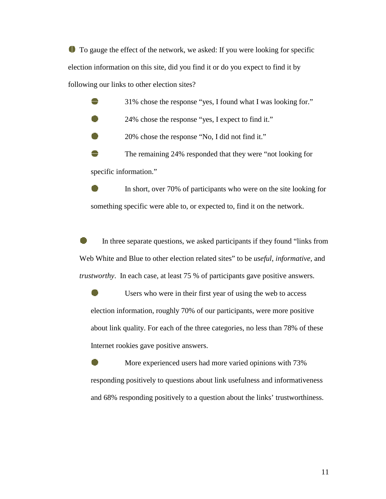To gauge the effect of the network, we asked: If you were looking for specific election information on this site, did you find it or do you expect to find it by following our links to other election sites?

31% chose the response "yes, I found what I was looking for."

24% chose the response "yes, I expect to find it."

20% chose the response "No, I did not find it."

 The remaining 24% responded that they were "not looking for specific information."

 In short, over 70% of participants who were on the site looking for something specific were able to, or expected to, find it on the network.

 In three separate questions, we asked participants if they found "links from Web White and Blue to other election related sites" to be *useful*, *informative,* and *trustworthy*. In each case, at least 75 % of participants gave positive answers.

 Users who were in their first year of using the web to access election information, roughly 70% of our participants, were more positive about link quality. For each of the three categories, no less than 78% of these Internet rookies gave positive answers.

 More experienced users had more varied opinions with 73% responding positively to questions about link usefulness and informativeness and 68% responding positively to a question about the links' trustworthiness.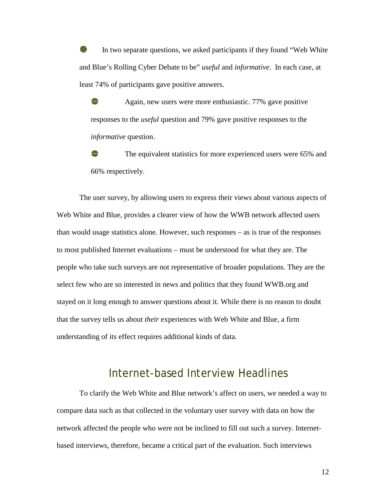In two separate questions, we asked participants if they found "Web White and Blue's Rolling Cyber Debate to be" *useful* and *informative*. In each case, at least 74% of participants gave positive answers.

 Again, new users were more enthusiastic. 77% gave positive responses to the *useful* question and 79% gave positive responses to the *informative* question.

The equivalent statistics for more experienced users were 65% and 66% respectively.

The user survey, by allowing users to express their views about various aspects of Web White and Blue, provides a clearer view of how the WWB network affected users than would usage statistics alone. However, such responses – as is true of the responses to most published Internet evaluations – must be understood for what they are. The people who take such surveys are not representative of broader populations. They are the select few who are so interested in news and politics that they found WWB.org and stayed on it long enough to answer questions about it. While there is no reason to doubt that the survey tells us about *their* experiences with Web White and Blue, a firm understanding of its effect requires additional kinds of data.

#### Internet-based Interview Headlines

To clarify the Web White and Blue network's affect on users, we needed a way to compare data such as that collected in the voluntary user survey with data on how the network affected the people who were not be inclined to fill out such a survey. Internetbased interviews, therefore, became a critical part of the evaluation. Such interviews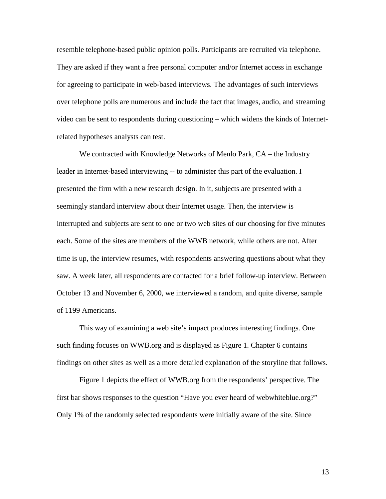resemble telephone-based public opinion polls. Participants are recruited via telephone. They are asked if they want a free personal computer and/or Internet access in exchange for agreeing to participate in web-based interviews. The advantages of such interviews over telephone polls are numerous and include the fact that images, audio, and streaming video can be sent to respondents during questioning – which widens the kinds of Internetrelated hypotheses analysts can test.

We contracted with Knowledge Networks of Menlo Park, CA – the Industry leader in Internet-based interviewing -- to administer this part of the evaluation. I presented the firm with a new research design. In it, subjects are presented with a seemingly standard interview about their Internet usage. Then, the interview is interrupted and subjects are sent to one or two web sites of our choosing for five minutes each. Some of the sites are members of the WWB network, while others are not. After time is up, the interview resumes, with respondents answering questions about what they saw. A week later, all respondents are contacted for a brief follow-up interview. Between October 13 and November 6, 2000, we interviewed a random, and quite diverse, sample of 1199 Americans.

This way of examining a web site's impact produces interesting findings. One such finding focuses on WWB.org and is displayed as Figure 1. Chapter 6 contains findings on other sites as well as a more detailed explanation of the storyline that follows.

Figure 1 depicts the effect of WWB.org from the respondents' perspective. The first bar shows responses to the question "Have you ever heard of webwhiteblue.org?" Only 1% of the randomly selected respondents were initially aware of the site. Since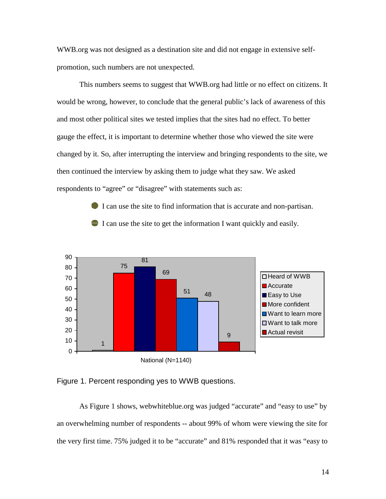WWB.org was not designed as a destination site and did not engage in extensive selfpromotion, such numbers are not unexpected.

This numbers seems to suggest that WWB.org had little or no effect on citizens. It would be wrong, however, to conclude that the general public's lack of awareness of this and most other political sites we tested implies that the sites had no effect. To better gauge the effect, it is important to determine whether those who viewed the site were changed by it. So, after interrupting the interview and bringing respondents to the site, we then continued the interview by asking them to judge what they saw. We asked respondents to "agree" or "disagree" with statements such as:

> I can use the site to find information that is accurate and non-partisan. I can use the site to get the information I want quickly and easily.





As Figure 1 shows, webwhiteblue.org was judged "accurate" and "easy to use" by an overwhelming number of respondents -- about 99% of whom were viewing the site for the very first time. 75% judged it to be "accurate" and 81% responded that it was "easy to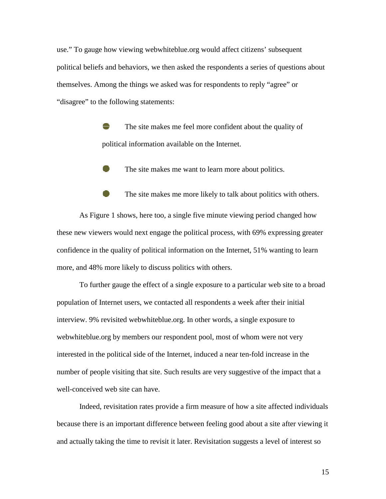use." To gauge how viewing webwhiteblue.org would affect citizens' subsequent political beliefs and behaviors, we then asked the respondents a series of questions about themselves. Among the things we asked was for respondents to reply "agree" or "disagree" to the following statements:

> The site makes me feel more confident about the quality of political information available on the Internet.

The site makes me want to learn more about politics.

The site makes me more likely to talk about politics with others.

As Figure 1 shows, here too, a single five minute viewing period changed how these new viewers would next engage the political process, with 69% expressing greater confidence in the quality of political information on the Internet, 51% wanting to learn more, and 48% more likely to discuss politics with others.

To further gauge the effect of a single exposure to a particular web site to a broad population of Internet users, we contacted all respondents a week after their initial interview. 9% revisited webwhiteblue.org. In other words, a single exposure to webwhiteblue.org by members our respondent pool, most of whom were not very interested in the political side of the Internet, induced a near ten-fold increase in the number of people visiting that site. Such results are very suggestive of the impact that a well-conceived web site can have.

Indeed, revisitation rates provide a firm measure of how a site affected individuals because there is an important difference between feeling good about a site after viewing it and actually taking the time to revisit it later. Revisitation suggests a level of interest so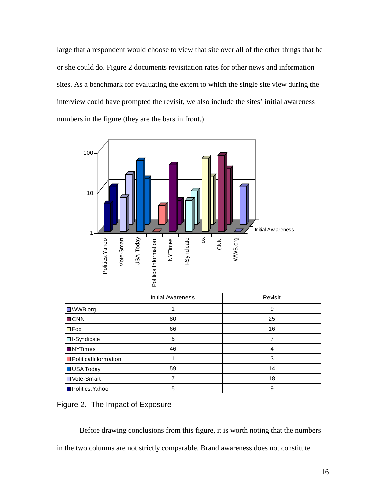large that a respondent would choose to view that site over all of the other things that he or she could do. Figure 2 documents revisitation rates for other news and information sites. As a benchmark for evaluating the extent to which the single site view during the interview could have prompted the revisit, we also include the sites' initial awareness numbers in the figure (they are the bars in front.)



|                               | <b>Initial Awareness</b> | Revisit |
|-------------------------------|--------------------------|---------|
| $\Box$ WWB.org                |                          | 9       |
| $\blacksquare$ CNN            | 80                       | 25      |
| $\square$ Fox                 | 66                       | 16      |
| □ I-Syndicate                 | 6                        |         |
| <b>NYTimes</b>                | 46                       | 4       |
| <b>D</b> PoliticalInformation |                          | 3       |
| USA Today                     | 59                       | 14      |
| <b>D</b> Vote-Smart           |                          | 18      |
| <b>Politics</b> .Yahoo        | 5                        | 9       |

Figure 2. The Impact of Exposure

Before drawing conclusions from this figure, it is worth noting that the numbers in the two columns are not strictly comparable. Brand awareness does not constitute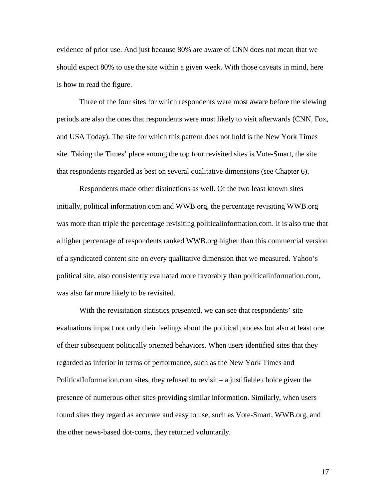evidence of prior use. And just because 80% are aware of CNN does not mean that we should expect 80% to use the site within a given week. With those caveats in mind, here is how to read the figure.

Three of the four sites for which respondents were most aware before the viewing periods are also the ones that respondents were most likely to visit afterwards (CNN, Fox, and USA Today). The site for which this pattern does not hold is the New York Times site. Taking the Times' place among the top four revisited sites is Vote-Smart, the site that respondents regarded as best on several qualitative dimensions (see Chapter 6).

Respondents made other distinctions as well. Of the two least known sites initially, political information.com and WWB.org, the percentage revisiting WWB.org was more than triple the percentage revisiting politicalinformation.com. It is also true that a higher percentage of respondents ranked WWB.org higher than this commercial version of a syndicated content site on every qualitative dimension that we measured. Yahoo's political site, also consistently evaluated more favorably than politicalinformation.com, was also far more likely to be revisited.

With the revisitation statistics presented, we can see that respondents' site evaluations impact not only their feelings about the political process but also at least one of their subsequent politically oriented behaviors. When users identified sites that they regarded as inferior in terms of performance, such as the New York Times and PoliticalInformation.com sites, they refused to revisit – a justifiable choice given the presence of numerous other sites providing similar information. Similarly, when users found sites they regard as accurate and easy to use, such as Vote-Smart, WWB.org, and the other news-based dot-coms, they returned voluntarily.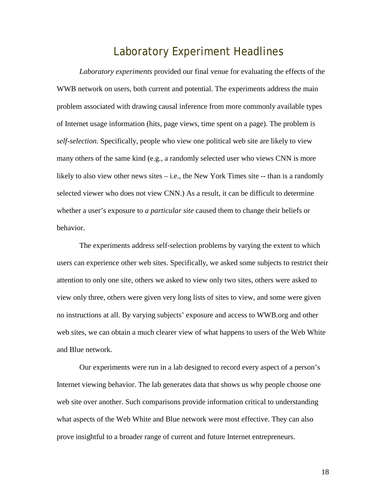#### Laboratory Experiment Headlines

*Laboratory experiments* provided our final venue for evaluating the effects of the WWB network on users, both current and potential. The experiments address the main problem associated with drawing causal inference from more commonly available types of Internet usage information (hits, page views, time spent on a page). The problem is *self-selection.* Specifically, people who view one political web site are likely to view many others of the same kind (e.g., a randomly selected user who views CNN is more likely to also view other news sites – i.e., the New York Times site -- than is a randomly selected viewer who does not view CNN.) As a result, it can be difficult to determine whether a user's exposure to *a particular site* caused them to change their beliefs or behavior.

The experiments address self-selection problems by varying the extent to which users can experience other web sites. Specifically, we asked some subjects to restrict their attention to only one site, others we asked to view only two sites, others were asked to view only three, others were given very long lists of sites to view, and some were given no instructions at all. By varying subjects' exposure and access to WWB.org and other web sites, we can obtain a much clearer view of what happens to users of the Web White and Blue network.

Our experiments were run in a lab designed to record every aspect of a person's Internet viewing behavior. The lab generates data that shows us why people choose one web site over another. Such comparisons provide information critical to understanding what aspects of the Web White and Blue network were most effective. They can also prove insightful to a broader range of current and future Internet entrepreneurs.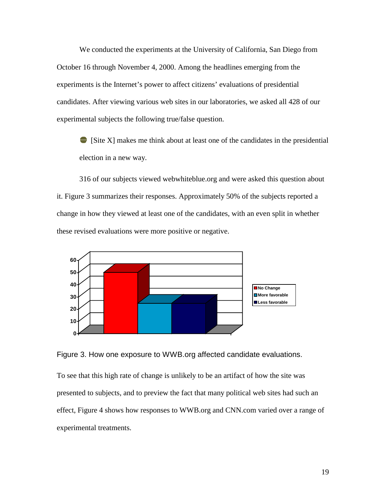We conducted the experiments at the University of California, San Diego from October 16 through November 4, 2000. Among the headlines emerging from the experiments is the Internet's power to affect citizens' evaluations of presidential candidates. After viewing various web sites in our laboratories, we asked all 428 of our experimental subjects the following true/false question.

 $\blacksquare$  [Site X] makes me think about at least one of the candidates in the presidential election in a new way.

316 of our subjects viewed webwhiteblue.org and were asked this question about it. Figure 3 summarizes their responses. Approximately 50% of the subjects reported a change in how they viewed at least one of the candidates, with an even split in whether these revised evaluations were more positive or negative.





To see that this high rate of change is unlikely to be an artifact of how the site was presented to subjects, and to preview the fact that many political web sites had such an effect, Figure 4 shows how responses to WWB.org and CNN.com varied over a range of experimental treatments.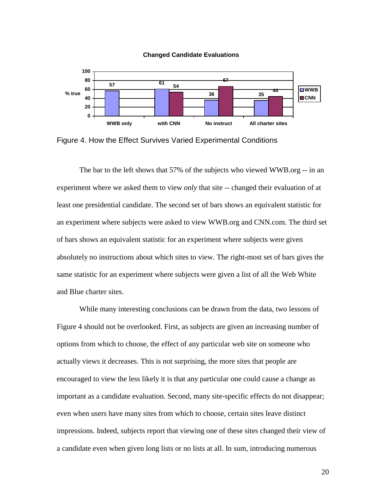



Figure 4. How the Effect Survives Varied Experimental Conditions

The bar to the left shows that 57% of the subjects who viewed WWB.org -- in an experiment where we asked them to view *only* that site -- changed their evaluation of at least one presidential candidate. The second set of bars shows an equivalent statistic for an experiment where subjects were asked to view WWB.org and CNN.com. The third set of bars shows an equivalent statistic for an experiment where subjects were given absolutely no instructions about which sites to view. The right-most set of bars gives the same statistic for an experiment where subjects were given a list of all the Web White and Blue charter sites.

While many interesting conclusions can be drawn from the data, two lessons of Figure 4 should not be overlooked. First, as subjects are given an increasing number of options from which to choose, the effect of any particular web site on someone who actually views it decreases. This is not surprising, the more sites that people are encouraged to view the less likely it is that any particular one could cause a change as important as a candidate evaluation. Second, many site-specific effects do not disappear; even when users have many sites from which to choose, certain sites leave distinct impressions. Indeed, subjects report that viewing one of these sites changed their view of a candidate even when given long lists or no lists at all. In sum, introducing numerous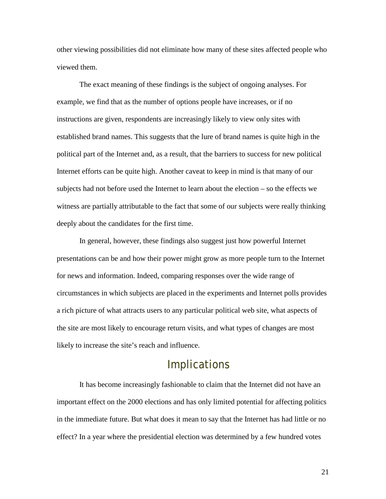other viewing possibilities did not eliminate how many of these sites affected people who viewed them.

The exact meaning of these findings is the subject of ongoing analyses. For example, we find that as the number of options people have increases, or if no instructions are given, respondents are increasingly likely to view only sites with established brand names. This suggests that the lure of brand names is quite high in the political part of the Internet and, as a result, that the barriers to success for new political Internet efforts can be quite high. Another caveat to keep in mind is that many of our subjects had not before used the Internet to learn about the election – so the effects we witness are partially attributable to the fact that some of our subjects were really thinking deeply about the candidates for the first time.

In general, however, these findings also suggest just how powerful Internet presentations can be and how their power might grow as more people turn to the Internet for news and information. Indeed, comparing responses over the wide range of circumstances in which subjects are placed in the experiments and Internet polls provides a rich picture of what attracts users to any particular political web site, what aspects of the site are most likely to encourage return visits, and what types of changes are most likely to increase the site's reach and influence.

#### **Implications**

It has become increasingly fashionable to claim that the Internet did not have an important effect on the 2000 elections and has only limited potential for affecting politics in the immediate future. But what does it mean to say that the Internet has had little or no effect? In a year where the presidential election was determined by a few hundred votes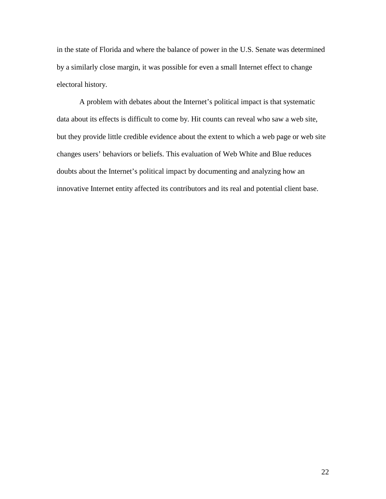in the state of Florida and where the balance of power in the U.S. Senate was determined by a similarly close margin, it was possible for even a small Internet effect to change electoral history.

A problem with debates about the Internet's political impact is that systematic data about its effects is difficult to come by. Hit counts can reveal who saw a web site, but they provide little credible evidence about the extent to which a web page or web site changes users' behaviors or beliefs. This evaluation of Web White and Blue reduces doubts about the Internet's political impact by documenting and analyzing how an innovative Internet entity affected its contributors and its real and potential client base.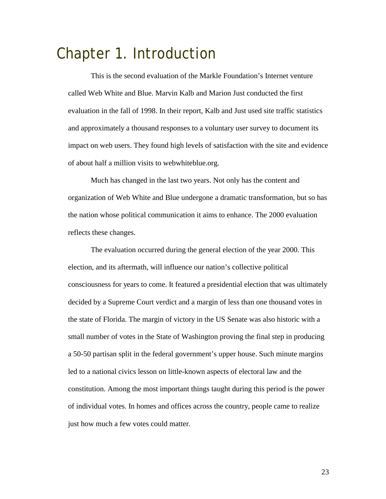## Chapter 1. Introduction

This is the second evaluation of the Markle Foundation's Internet venture called Web White and Blue. Marvin Kalb and Marion Just conducted the first evaluation in the fall of 1998. In their report, Kalb and Just used site traffic statistics and approximately a thousand responses to a voluntary user survey to document its impact on web users. They found high levels of satisfaction with the site and evidence of about half a million visits to webwhiteblue.org.

Much has changed in the last two years. Not only has the content and organization of Web White and Blue undergone a dramatic transformation, but so has the nation whose political communication it aims to enhance. The 2000 evaluation reflects these changes.

The evaluation occurred during the general election of the year 2000. This election, and its aftermath, will influence our nation's collective political consciousness for years to come. It featured a presidential election that was ultimately decided by a Supreme Court verdict and a margin of less than one thousand votes in the state of Florida. The margin of victory in the US Senate was also historic with a small number of votes in the State of Washington proving the final step in producing a 50-50 partisan split in the federal government's upper house. Such minute margins led to a national civics lesson on little-known aspects of electoral law and the constitution. Among the most important things taught during this period is the power of individual votes. In homes and offices across the country, people came to realize just how much a few votes could matter.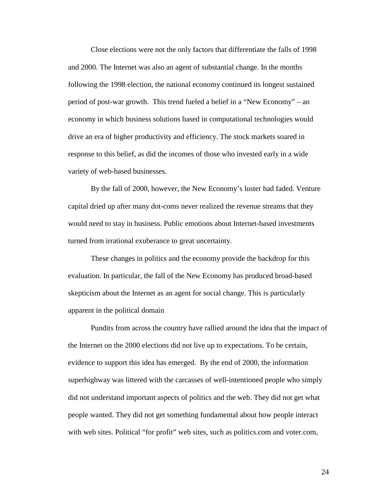Close elections were not the only factors that differentiate the falls of 1998 and 2000. The Internet was also an agent of substantial change. In the months following the 1998 election, the national economy continued its longest sustained period of post-war growth. This trend fueled a belief in a "New Economy" – an economy in which business solutions based in computational technologies would drive an era of higher productivity and efficiency. The stock markets soared in response to this belief, as did the incomes of those who invested early in a wide variety of web-based businesses.

By the fall of 2000, however, the New Economy's luster had faded. Venture capital dried up after many dot-coms never realized the revenue streams that they would need to stay in business. Public emotions about Internet-based investments turned from irrational exuberance to great uncertainty.

These changes in politics and the economy provide the backdrop for this evaluation. In particular, the fall of the New Economy has produced broad-based skepticism about the Internet as an agent for social change. This is particularly apparent in the political domain

Pundits from across the country have rallied around the idea that the impact of the Internet on the 2000 elections did not live up to expectations. To be certain, evidence to support this idea has emerged. By the end of 2000, the information superhighway was littered with the carcasses of well-intentioned people who simply did not understand important aspects of politics and the web. They did not get what people wanted. They did not get something fundamental about how people interact with web sites. Political "for profit" web sites, such as politics.com and voter.com,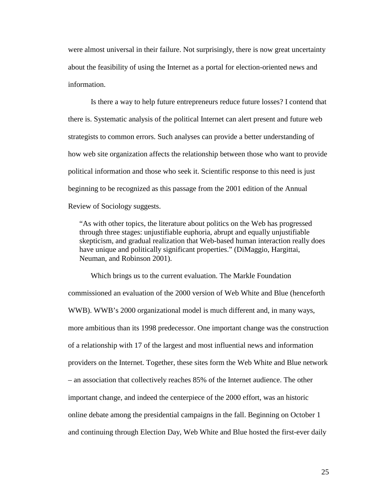were almost universal in their failure. Not surprisingly, there is now great uncertainty about the feasibility of using the Internet as a portal for election-oriented news and information.

Is there a way to help future entrepreneurs reduce future losses? I contend that there is. Systematic analysis of the political Internet can alert present and future web strategists to common errors. Such analyses can provide a better understanding of how web site organization affects the relationship between those who want to provide political information and those who seek it. Scientific response to this need is just beginning to be recognized as this passage from the 2001 edition of the Annual Review of Sociology suggests.

"As with other topics, the literature about politics on the Web has progressed through three stages: unjustifiable euphoria, abrupt and equally unjustifiable skepticism, and gradual realization that Web-based human interaction really does have unique and politically significant properties." (DiMaggio, Hargittai, Neuman, and Robinson 2001).

Which brings us to the current evaluation. The Markle Foundation commissioned an evaluation of the 2000 version of Web White and Blue (henceforth WWB). WWB's 2000 organizational model is much different and, in many ways, more ambitious than its 1998 predecessor. One important change was the construction of a relationship with 17 of the largest and most influential news and information providers on the Internet. Together, these sites form the Web White and Blue network – an association that collectively reaches 85% of the Internet audience. The other important change, and indeed the centerpiece of the 2000 effort, was an historic online debate among the presidential campaigns in the fall. Beginning on October 1 and continuing through Election Day, Web White and Blue hosted the first-ever daily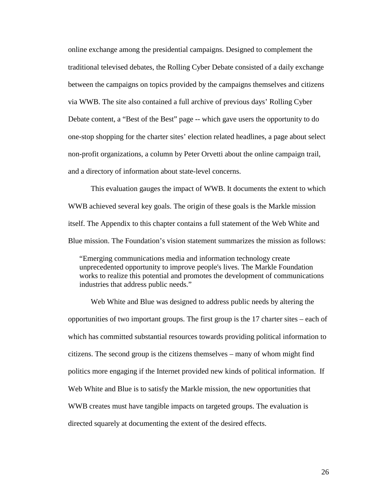online exchange among the presidential campaigns. Designed to complement the traditional televised debates, the Rolling Cyber Debate consisted of a daily exchange between the campaigns on topics provided by the campaigns themselves and citizens via WWB. The site also contained a full archive of previous days' Rolling Cyber Debate content, a "Best of the Best" page -- which gave users the opportunity to do one-stop shopping for the charter sites' election related headlines, a page about select non-profit organizations, a column by Peter Orvetti about the online campaign trail, and a directory of information about state-level concerns.

This evaluation gauges the impact of WWB. It documents the extent to which WWB achieved several key goals. The origin of these goals is the Markle mission itself. The Appendix to this chapter contains a full statement of the Web White and Blue mission. The Foundation's vision statement summarizes the mission as follows:

"Emerging communications media and information technology create unprecedented opportunity to improve people's lives. The Markle Foundation works to realize this potential and promotes the development of communications industries that address public needs."

Web White and Blue was designed to address public needs by altering the opportunities of two important groups. The first group is the 17 charter sites – each of which has committed substantial resources towards providing political information to citizens. The second group is the citizens themselves – many of whom might find politics more engaging if the Internet provided new kinds of political information. If Web White and Blue is to satisfy the Markle mission, the new opportunities that WWB creates must have tangible impacts on targeted groups. The evaluation is directed squarely at documenting the extent of the desired effects.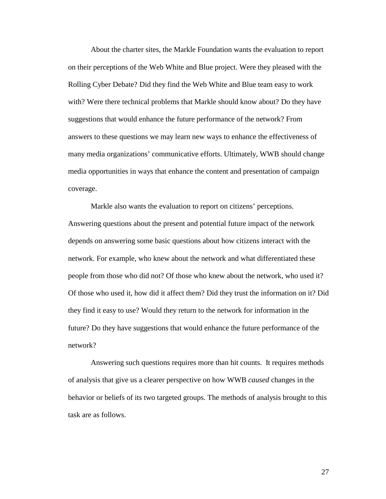About the charter sites, the Markle Foundation wants the evaluation to report on their perceptions of the Web White and Blue project. Were they pleased with the Rolling Cyber Debate? Did they find the Web White and Blue team easy to work with? Were there technical problems that Markle should know about? Do they have suggestions that would enhance the future performance of the network? From answers to these questions we may learn new ways to enhance the effectiveness of many media organizations' communicative efforts. Ultimately, WWB should change media opportunities in ways that enhance the content and presentation of campaign coverage.

Markle also wants the evaluation to report on citizens' perceptions. Answering questions about the present and potential future impact of the network depends on answering some basic questions about how citizens interact with the network. For example, who knew about the network and what differentiated these people from those who did not? Of those who knew about the network, who used it? Of those who used it, how did it affect them? Did they trust the information on it? Did they find it easy to use? Would they return to the network for information in the future? Do they have suggestions that would enhance the future performance of the network?

Answering such questions requires more than hit counts. It requires methods of analysis that give us a clearer perspective on how WWB *caused* changes in the behavior or beliefs of its two targeted groups. The methods of analysis brought to this task are as follows.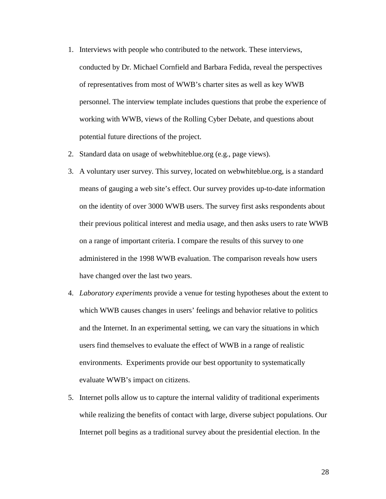- 1. Interviews with people who contributed to the network. These interviews, conducted by Dr. Michael Cornfield and Barbara Fedida, reveal the perspectives of representatives from most of WWB's charter sites as well as key WWB personnel. The interview template includes questions that probe the experience of working with WWB, views of the Rolling Cyber Debate, and questions about potential future directions of the project.
- 2. Standard data on usage of webwhiteblue.org (e.g., page views).
- 3. A voluntary user survey. This survey, located on webwhiteblue.org, is a standard means of gauging a web site's effect. Our survey provides up-to-date information on the identity of over 3000 WWB users. The survey first asks respondents about their previous political interest and media usage, and then asks users to rate WWB on a range of important criteria. I compare the results of this survey to one administered in the 1998 WWB evaluation. The comparison reveals how users have changed over the last two years.
- 4. *Laboratory experiments* provide a venue for testing hypotheses about the extent to which WWB causes changes in users' feelings and behavior relative to politics and the Internet. In an experimental setting, we can vary the situations in which users find themselves to evaluate the effect of WWB in a range of realistic environments. Experiments provide our best opportunity to systematically evaluate WWB's impact on citizens.
- 5. Internet polls allow us to capture the internal validity of traditional experiments while realizing the benefits of contact with large, diverse subject populations. Our Internet poll begins as a traditional survey about the presidential election. In the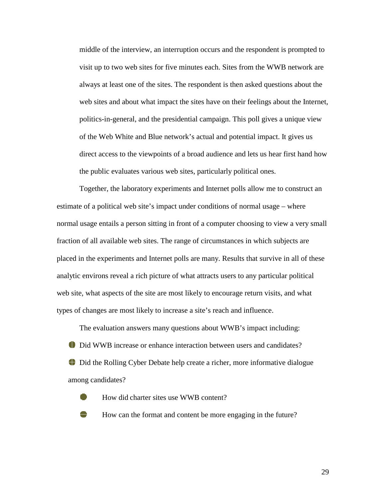middle of the interview, an interruption occurs and the respondent is prompted to visit up to two web sites for five minutes each. Sites from the WWB network are always at least one of the sites. The respondent is then asked questions about the web sites and about what impact the sites have on their feelings about the Internet, politics-in-general, and the presidential campaign. This poll gives a unique view of the Web White and Blue network's actual and potential impact. It gives us direct access to the viewpoints of a broad audience and lets us hear first hand how the public evaluates various web sites, particularly political ones.

Together, the laboratory experiments and Internet polls allow me to construct an estimate of a political web site's impact under conditions of normal usage – where normal usage entails a person sitting in front of a computer choosing to view a very small fraction of all available web sites. The range of circumstances in which subjects are placed in the experiments and Internet polls are many. Results that survive in all of these analytic environs reveal a rich picture of what attracts users to any particular political web site, what aspects of the site are most likely to encourage return visits, and what types of changes are most likely to increase a site's reach and influence.

 The evaluation answers many questions about WWB's impact including: Did WWB increase or enhance interaction between users and candidates? Did the Rolling Cyber Debate help create a richer, more informative dialogue among candidates?

- How did charter sites use WWB content?
- How can the format and content be more engaging in the future?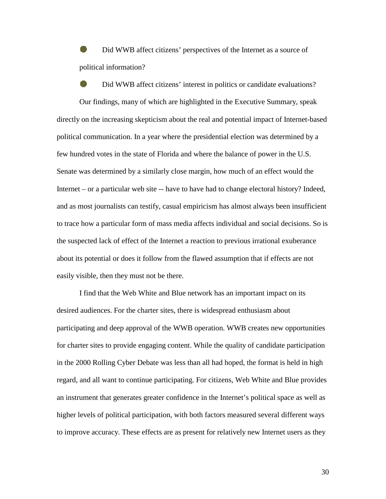Did WWB affect citizens' perspectives of the Internet as a source of political information?

 Did WWB affect citizens' interest in politics or candidate evaluations? Our findings, many of which are highlighted in the Executive Summary, speak directly on the increasing skepticism about the real and potential impact of Internet-based political communication. In a year where the presidential election was determined by a few hundred votes in the state of Florida and where the balance of power in the U.S. Senate was determined by a similarly close margin, how much of an effect would the Internet – or a particular web site -- have to have had to change electoral history? Indeed, and as most journalists can testify, casual empiricism has almost always been insufficient to trace how a particular form of mass media affects individual and social decisions. So is the suspected lack of effect of the Internet a reaction to previous irrational exuberance about its potential or does it follow from the flawed assumption that if effects are not easily visible, then they must not be there.

I find that the Web White and Blue network has an important impact on its desired audiences. For the charter sites, there is widespread enthusiasm about participating and deep approval of the WWB operation. WWB creates new opportunities for charter sites to provide engaging content. While the quality of candidate participation in the 2000 Rolling Cyber Debate was less than all had hoped, the format is held in high regard, and all want to continue participating. For citizens, Web White and Blue provides an instrument that generates greater confidence in the Internet's political space as well as higher levels of political participation, with both factors measured several different ways to improve accuracy. These effects are as present for relatively new Internet users as they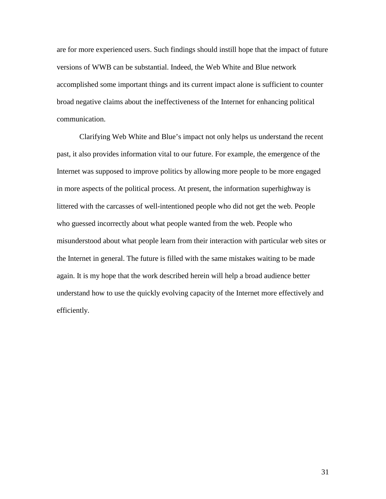are for more experienced users. Such findings should instill hope that the impact of future versions of WWB can be substantial. Indeed, the Web White and Blue network accomplished some important things and its current impact alone is sufficient to counter broad negative claims about the ineffectiveness of the Internet for enhancing political communication.

Clarifying Web White and Blue's impact not only helps us understand the recent past, it also provides information vital to our future. For example, the emergence of the Internet was supposed to improve politics by allowing more people to be more engaged in more aspects of the political process. At present, the information superhighway is littered with the carcasses of well-intentioned people who did not get the web. People who guessed incorrectly about what people wanted from the web. People who misunderstood about what people learn from their interaction with particular web sites or the Internet in general. The future is filled with the same mistakes waiting to be made again. It is my hope that the work described herein will help a broad audience better understand how to use the quickly evolving capacity of the Internet more effectively and efficiently.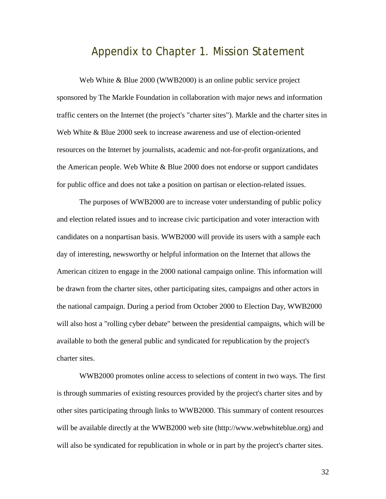#### Appendix to Chapter 1. Mission Statement

Web White & Blue 2000 (WWB2000) is an online public service project sponsored by The Markle Foundation in collaboration with major news and information traffic centers on the Internet (the project's "charter sites"). Markle and the charter sites in Web White & Blue 2000 seek to increase awareness and use of election-oriented resources on the Internet by journalists, academic and not-for-profit organizations, and the American people. Web White & Blue 2000 does not endorse or support candidates for public office and does not take a position on partisan or election-related issues.

The purposes of WWB2000 are to increase voter understanding of public policy and election related issues and to increase civic participation and voter interaction with candidates on a nonpartisan basis. WWB2000 will provide its users with a sample each day of interesting, newsworthy or helpful information on the Internet that allows the American citizen to engage in the 2000 national campaign online. This information will be drawn from the charter sites, other participating sites, campaigns and other actors in the national campaign. During a period from October 2000 to Election Day, WWB2000 will also host a "rolling cyber debate" between the presidential campaigns, which will be available to both the general public and syndicated for republication by the project's charter sites.

WWB2000 promotes online access to selections of content in two ways. The first is through summaries of existing resources provided by the project's charter sites and by other sites participating through links to WWB2000. This summary of content resources will be available directly at the WWB2000 web site (http://www.webwhiteblue.org) and will also be syndicated for republication in whole or in part by the project's charter sites.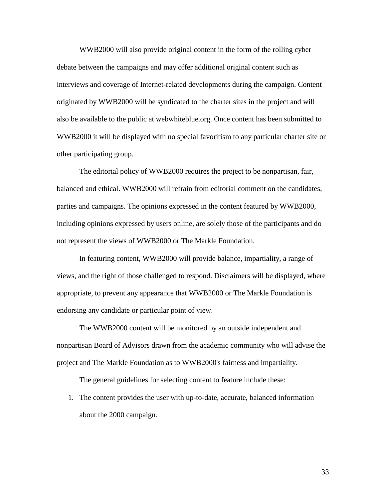WWB2000 will also provide original content in the form of the rolling cyber debate between the campaigns and may offer additional original content such as interviews and coverage of Internet-related developments during the campaign. Content originated by WWB2000 will be syndicated to the charter sites in the project and will also be available to the public at webwhiteblue.org. Once content has been submitted to WWB2000 it will be displayed with no special favoritism to any particular charter site or other participating group.

The editorial policy of WWB2000 requires the project to be nonpartisan, fair, balanced and ethical. WWB2000 will refrain from editorial comment on the candidates, parties and campaigns. The opinions expressed in the content featured by WWB2000, including opinions expressed by users online, are solely those of the participants and do not represent the views of WWB2000 or The Markle Foundation.

In featuring content, WWB2000 will provide balance, impartiality, a range of views, and the right of those challenged to respond. Disclaimers will be displayed, where appropriate, to prevent any appearance that WWB2000 or The Markle Foundation is endorsing any candidate or particular point of view.

The WWB2000 content will be monitored by an outside independent and nonpartisan Board of Advisors drawn from the academic community who will advise the project and The Markle Foundation as to WWB2000's fairness and impartiality.

The general guidelines for selecting content to feature include these:

1. The content provides the user with up-to-date, accurate, balanced information about the 2000 campaign.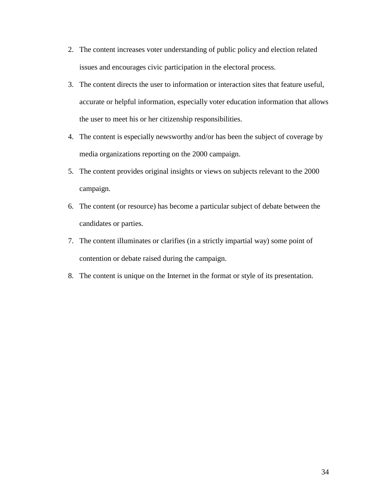- 2. The content increases voter understanding of public policy and election related issues and encourages civic participation in the electoral process.
- 3. The content directs the user to information or interaction sites that feature useful, accurate or helpful information, especially voter education information that allows the user to meet his or her citizenship responsibilities.
- 4. The content is especially newsworthy and/or has been the subject of coverage by media organizations reporting on the 2000 campaign.
- 5. The content provides original insights or views on subjects relevant to the 2000 campaign.
- 6. The content (or resource) has become a particular subject of debate between the candidates or parties.
- 7. The content illuminates or clarifies (in a strictly impartial way) some point of contention or debate raised during the campaign.
- 8. The content is unique on the Internet in the format or style of its presentation.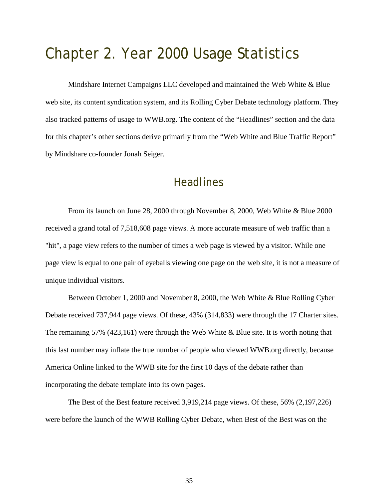# Chapter 2. Year 2000 Usage Statistics

Mindshare Internet Campaigns LLC developed and maintained the Web White & Blue web site, its content syndication system, and its Rolling Cyber Debate technology platform. They also tracked patterns of usage to WWB.org. The content of the "Headlines" section and the data for this chapter's other sections derive primarily from the "Web White and Blue Traffic Report" by Mindshare co-founder Jonah Seiger.

### **Headlines**

From its launch on June 28, 2000 through November 8, 2000, Web White & Blue 2000 received a grand total of 7,518,608 page views. A more accurate measure of web traffic than a "hit", a page view refers to the number of times a web page is viewed by a visitor. While one page view is equal to one pair of eyeballs viewing one page on the web site, it is not a measure of unique individual visitors.

Between October 1, 2000 and November 8, 2000, the Web White & Blue Rolling Cyber Debate received 737,944 page views. Of these, 43% (314,833) were through the 17 Charter sites. The remaining 57% (423,161) were through the Web White  $\&$  Blue site. It is worth noting that this last number may inflate the true number of people who viewed WWB.org directly, because America Online linked to the WWB site for the first 10 days of the debate rather than incorporating the debate template into its own pages.

The Best of the Best feature received 3,919,214 page views. Of these, 56% (2,197,226) were before the launch of the WWB Rolling Cyber Debate, when Best of the Best was on the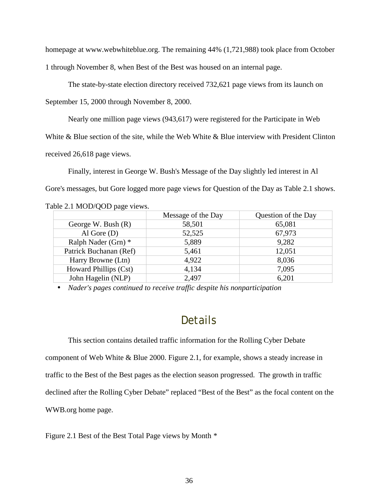homepage at www.webwhiteblue.org. The remaining 44% (1,721,988) took place from October 1 through November 8, when Best of the Best was housed on an internal page.

The state-by-state election directory received 732,621 page views from its launch on

September 15, 2000 through November 8, 2000.

Nearly one million page views (943,617) were registered for the Participate in Web

White & Blue section of the site, while the Web White & Blue interview with President Clinton

received 26,618 page views.

Finally, interest in George W. Bush's Message of the Day slightly led interest in Al Gore's messages, but Gore logged more page views for Question of the Day as Table 2.1 shows.

|  | Table 2.1 MOD/QOD page views. |  |
|--|-------------------------------|--|
|--|-------------------------------|--|

|                        | Message of the Day | Question of the Day |
|------------------------|--------------------|---------------------|
| George W. Bush $(R)$   | 58,501             | 65,081              |
| Al Gore $(D)$          | 52,525             | 67,973              |
| Ralph Nader (Grn) *    | 5,889              | 9,282               |
| Patrick Buchanan (Ref) | 5,461              | 12,051              |
| Harry Browne (Ltn)     | 4,922              | 8,036               |
| Howard Phillips (Cst)  | 4,134              | 7,095               |
| John Hagelin (NLP)     | 2,497              | 6,201               |

• *Nader's pages continued to receive traffic despite his nonparticipation* 

## Details

This section contains detailed traffic information for the Rolling Cyber Debate component of Web White & Blue 2000. Figure 2.1, for example, shows a steady increase in traffic to the Best of the Best pages as the election season progressed. The growth in traffic declined after the Rolling Cyber Debate" replaced "Best of the Best" as the focal content on the WWB.org home page.

Figure 2.1 Best of the Best Total Page views by Month *\**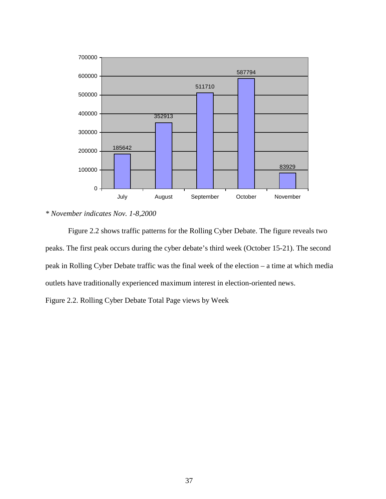

*\* November indicates Nov. 1-8,2000* 

Figure 2.2 shows traffic patterns for the Rolling Cyber Debate. The figure reveals two peaks. The first peak occurs during the cyber debate's third week (October 15-21). The second peak in Rolling Cyber Debate traffic was the final week of the election – a time at which media outlets have traditionally experienced maximum interest in election-oriented news.

Figure 2.2. Rolling Cyber Debate Total Page views by Week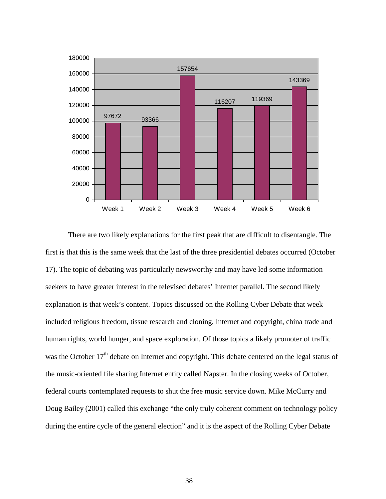

There are two likely explanations for the first peak that are difficult to disentangle. The first is that this is the same week that the last of the three presidential debates occurred (October 17). The topic of debating was particularly newsworthy and may have led some information seekers to have greater interest in the televised debates' Internet parallel. The second likely explanation is that week's content. Topics discussed on the Rolling Cyber Debate that week included religious freedom, tissue research and cloning, Internet and copyright, china trade and human rights, world hunger, and space exploration. Of those topics a likely promoter of traffic was the October 17<sup>th</sup> debate on Internet and copyright. This debate centered on the legal status of the music-oriented file sharing Internet entity called Napster. In the closing weeks of October, federal courts contemplated requests to shut the free music service down. Mike McCurry and Doug Bailey (2001) called this exchange "the only truly coherent comment on technology policy during the entire cycle of the general election" and it is the aspect of the Rolling Cyber Debate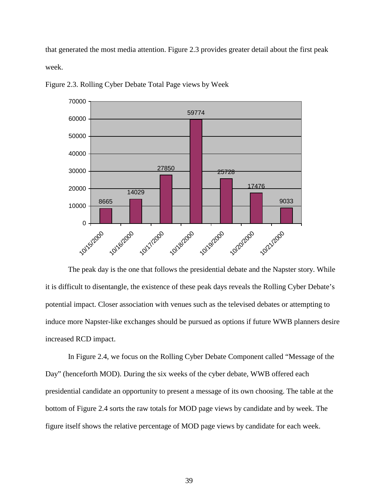that generated the most media attention. Figure 2.3 provides greater detail about the first peak week.



Figure 2.3. Rolling Cyber Debate Total Page views by Week

The peak day is the one that follows the presidential debate and the Napster story. While it is difficult to disentangle, the existence of these peak days reveals the Rolling Cyber Debate's potential impact. Closer association with venues such as the televised debates or attempting to induce more Napster-like exchanges should be pursued as options if future WWB planners desire increased RCD impact.

In Figure 2.4, we focus on the Rolling Cyber Debate Component called "Message of the Day" (henceforth MOD). During the six weeks of the cyber debate, WWB offered each presidential candidate an opportunity to present a message of its own choosing. The table at the bottom of Figure 2.4 sorts the raw totals for MOD page views by candidate and by week. The figure itself shows the relative percentage of MOD page views by candidate for each week.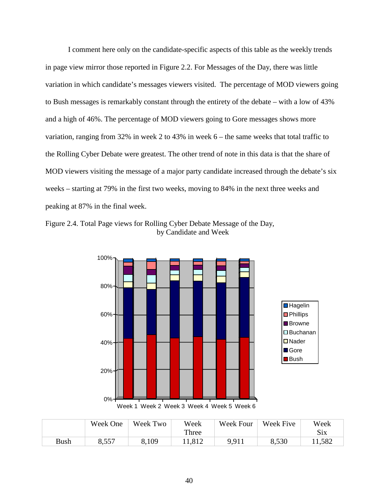I comment here only on the candidate-specific aspects of this table as the weekly trends in page view mirror those reported in Figure 2.2. For Messages of the Day, there was little variation in which candidate's messages viewers visited. The percentage of MOD viewers going to Bush messages is remarkably constant through the entirety of the debate – with a low of 43% and a high of 46%. The percentage of MOD viewers going to Gore messages shows more variation, ranging from 32% in week 2 to 43% in week 6 – the same weeks that total traffic to the Rolling Cyber Debate were greatest. The other trend of note in this data is that the share of MOD viewers visiting the message of a major party candidate increased through the debate's six weeks – starting at 79% in the first two weeks, moving to 84% in the next three weeks and peaking at 87% in the final week.





|             | Week One | Week Two | Week   | Week Four | Week Five | Week       |
|-------------|----------|----------|--------|-----------|-----------|------------|
|             |          |          | Three  |           |           | <b>Six</b> |
| <b>Bush</b> | 8,557    | 8,109    | 11,812 | 9,911     | 8,530     | 11,582     |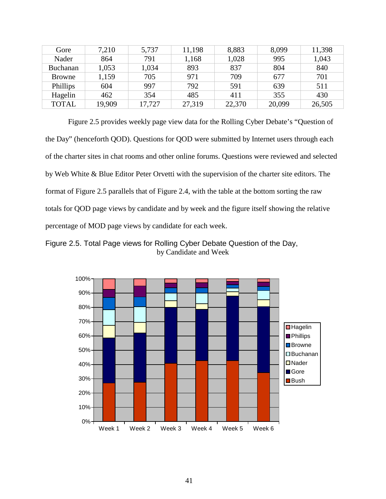| Gore            | 7,210  | 5,737  | 11,198 | 8,883  | 8,099  | 11,398 |
|-----------------|--------|--------|--------|--------|--------|--------|
| Nader           | 864    | 791    | 1,168  | 1,028  | 995    | 1,043  |
| <b>Buchanan</b> | 1,053  | 1,034  | 893    | 837    | 804    | 840    |
| Browne          | 1,159  | 705    | 971    | 709    | 677    | 701    |
| Phillips        | 604    | 997    | 792    | 591    | 639    | 511    |
| Hagelin         | 462    | 354    | 485    | 411    | 355    | 430    |
| <b>TOTAL</b>    | 19,909 | 17,727 | 27,319 | 22,370 | 20,099 | 26,505 |

 Figure 2.5 provides weekly page view data for the Rolling Cyber Debate's "Question of the Day" (henceforth QOD). Questions for QOD were submitted by Internet users through each of the charter sites in chat rooms and other online forums. Questions were reviewed and selected by Web White & Blue Editor Peter Orvetti with the supervision of the charter site editors. The format of Figure 2.5 parallels that of Figure 2.4, with the table at the bottom sorting the raw totals for QOD page views by candidate and by week and the figure itself showing the relative percentage of MOD page views by candidate for each week.

Figure 2.5. Total Page views for Rolling Cyber Debate Question of the Day, by Candidate and Week

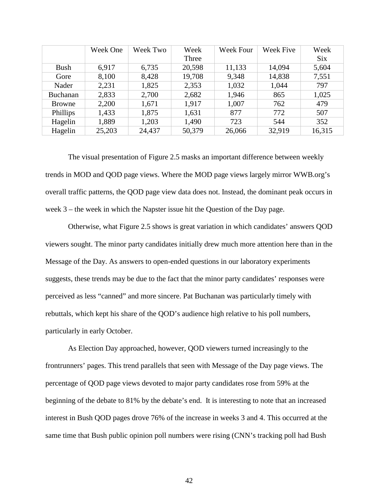|                 | Week One | Week Two | Week   | <b>Week Four</b> | <b>Week Five</b> | Week       |
|-----------------|----------|----------|--------|------------------|------------------|------------|
|                 |          |          | Three  |                  |                  | <b>Six</b> |
| <b>Bush</b>     | 6,917    | 6,735    | 20,598 | 11,133           | 14,094           | 5,604      |
| Gore            | 8,100    | 8,428    | 19,708 | 9,348            | 14,838           | 7,551      |
| Nader           | 2,231    | 1,825    | 2,353  | 1,032            | 1,044            | 797        |
| <b>Buchanan</b> | 2,833    | 2,700    | 2,682  | 1,946            | 865              | 1,025      |
| Browne          | 2,200    | 1,671    | 1,917  | 1,007            | 762              | 479        |
| Phillips        | 1,433    | 1,875    | 1,631  | 877              | 772              | 507        |
| Hagelin         | 1,889    | 1,203    | 1,490  | 723              | 544              | 352        |
| Hagelin         | 25,203   | 24,437   | 50,379 | 26,066           | 32,919           | 16,315     |

 The visual presentation of Figure 2.5 masks an important difference between weekly trends in MOD and QOD page views. Where the MOD page views largely mirror WWB.org's overall traffic patterns, the QOD page view data does not. Instead, the dominant peak occurs in week 3 – the week in which the Napster issue hit the Question of the Day page.

 Otherwise, what Figure 2.5 shows is great variation in which candidates' answers QOD viewers sought. The minor party candidates initially drew much more attention here than in the Message of the Day. As answers to open-ended questions in our laboratory experiments suggests, these trends may be due to the fact that the minor party candidates' responses were perceived as less "canned" and more sincere. Pat Buchanan was particularly timely with rebuttals, which kept his share of the QOD's audience high relative to his poll numbers, particularly in early October.

As Election Day approached, however, QOD viewers turned increasingly to the frontrunners' pages. This trend parallels that seen with Message of the Day page views. The percentage of QOD page views devoted to major party candidates rose from 59% at the beginning of the debate to 81% by the debate's end. It is interesting to note that an increased interest in Bush QOD pages drove 76% of the increase in weeks 3 and 4. This occurred at the same time that Bush public opinion poll numbers were rising (CNN's tracking poll had Bush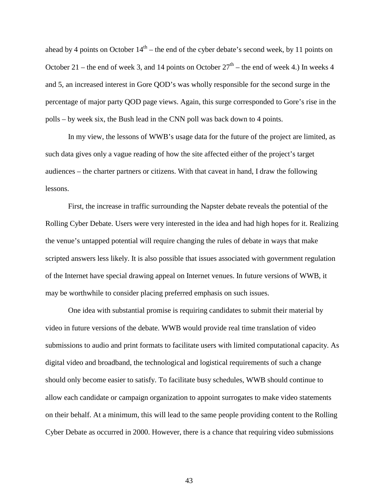ahead by 4 points on October  $14<sup>th</sup>$  – the end of the cyber debate's second week, by 11 points on October 21 – the end of week 3, and 14 points on October  $27<sup>th</sup>$  – the end of week 4.) In weeks 4 and 5, an increased interest in Gore QOD's was wholly responsible for the second surge in the percentage of major party QOD page views. Again, this surge corresponded to Gore's rise in the polls – by week six, the Bush lead in the CNN poll was back down to 4 points.

 In my view, the lessons of WWB's usage data for the future of the project are limited, as such data gives only a vague reading of how the site affected either of the project's target audiences – the charter partners or citizens. With that caveat in hand, I draw the following lessons.

 First, the increase in traffic surrounding the Napster debate reveals the potential of the Rolling Cyber Debate. Users were very interested in the idea and had high hopes for it. Realizing the venue's untapped potential will require changing the rules of debate in ways that make scripted answers less likely. It is also possible that issues associated with government regulation of the Internet have special drawing appeal on Internet venues. In future versions of WWB, it may be worthwhile to consider placing preferred emphasis on such issues.

One idea with substantial promise is requiring candidates to submit their material by video in future versions of the debate. WWB would provide real time translation of video submissions to audio and print formats to facilitate users with limited computational capacity. As digital video and broadband, the technological and logistical requirements of such a change should only become easier to satisfy. To facilitate busy schedules, WWB should continue to allow each candidate or campaign organization to appoint surrogates to make video statements on their behalf. At a minimum, this will lead to the same people providing content to the Rolling Cyber Debate as occurred in 2000. However, there is a chance that requiring video submissions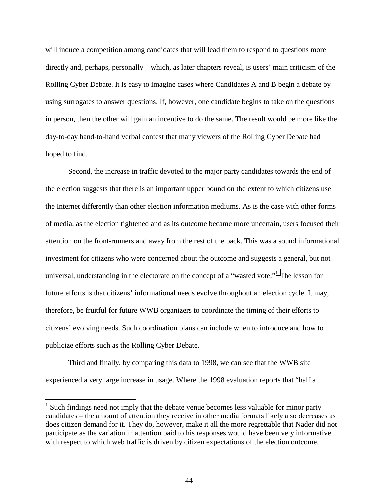will induce a competition among candidates that will lead them to respond to questions more directly and, perhaps, personally – which, as later chapters reveal, is users' main criticism of the Rolling Cyber Debate. It is easy to imagine cases where Candidates A and B begin a debate by using surrogates to answer questions. If, however, one candidate begins to take on the questions in person, then the other will gain an incentive to do the same. The result would be more like the day-to-day hand-to-hand verbal contest that many viewers of the Rolling Cyber Debate had hoped to find.

Second, the increase in traffic devoted to the major party candidates towards the end of the election suggests that there is an important upper bound on the extent to which citizens use the Internet differently than other election information mediums. As is the case with other forms of media, as the election tightened and as its outcome became more uncertain, users focused their attention on the front-runners and away from the rest of the pack. This was a sound informational investment for citizens who were concerned about the outcome and suggests a general, but not universal, understanding in the electorate on the concept of a "wasted vote."<sup>1</sup> The lesson for future efforts is that citizens' informational needs evolve throughout an election cycle. It may, therefore, be fruitful for future WWB organizers to coordinate the timing of their efforts to citizens' evolving needs. Such coordination plans can include when to introduce and how to publicize efforts such as the Rolling Cyber Debate.

Third and finally, by comparing this data to 1998, we can see that the WWB site experienced a very large increase in usage. Where the 1998 evaluation reports that "half a

 $\overline{a}$ 

 $1$  Such findings need not imply that the debate venue becomes less valuable for minor party candidates – the amount of attention they receive in other media formats likely also decreases as does citizen demand for it. They do, however, make it all the more regrettable that Nader did not participate as the variation in attention paid to his responses would have been very informative with respect to which web traffic is driven by citizen expectations of the election outcome.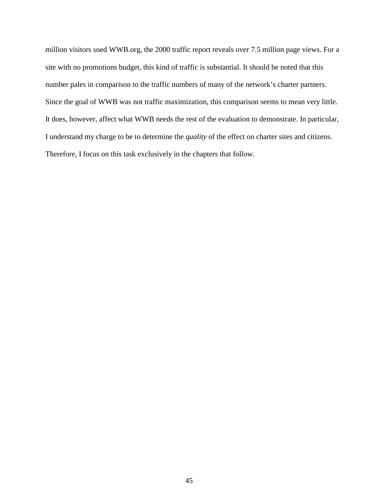million visitors used WWB.org, the 2000 traffic report reveals over 7.5 million page views. For a site with no promotions budget, this kind of traffic is substantial. It should be noted that this number pales in comparison to the traffic numbers of many of the network's charter partners. Since the goal of WWB was not traffic maximization, this comparison seems to mean very little. It does, however, affect what WWB needs the rest of the evaluation to demonstrate. In particular, I understand my charge to be to determine the *quality* of the effect on charter sites and citizens. Therefore, I focus on this task exclusively in the chapters that follow.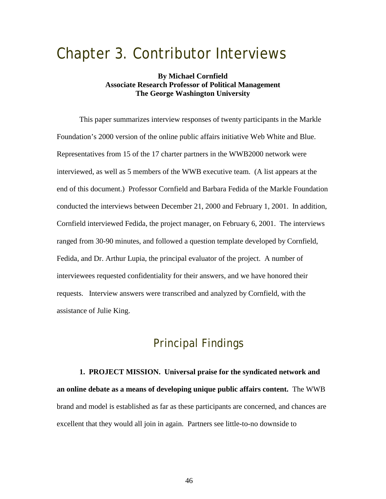# Chapter 3. Contributor Interviews

### **By Michael Cornfield Associate Research Professor of Political Management The George Washington University**

This paper summarizes interview responses of twenty participants in the Markle Foundation's 2000 version of the online public affairs initiative Web White and Blue. Representatives from 15 of the 17 charter partners in the WWB2000 network were interviewed, as well as 5 members of the WWB executive team. (A list appears at the end of this document.) Professor Cornfield and Barbara Fedida of the Markle Foundation conducted the interviews between December 21, 2000 and February 1, 2001. In addition, Cornfield interviewed Fedida, the project manager, on February 6, 2001. The interviews ranged from 30-90 minutes, and followed a question template developed by Cornfield, Fedida, and Dr. Arthur Lupia, the principal evaluator of the project. A number of interviewees requested confidentiality for their answers, and we have honored their requests. Interview answers were transcribed and analyzed by Cornfield, with the assistance of Julie King.

## Principal Findings

**1. PROJECT MISSION. Universal praise for the syndicated network and an online debate as a means of developing unique public affairs content.** The WWB brand and model is established as far as these participants are concerned, and chances are excellent that they would all join in again. Partners see little-to-no downside to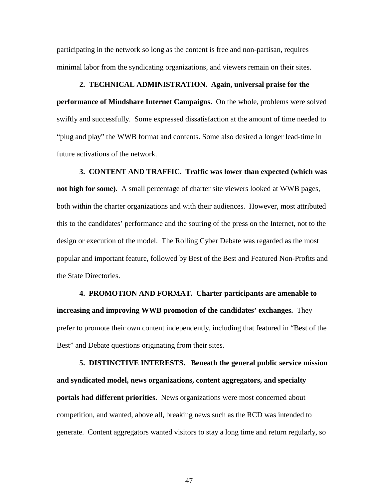participating in the network so long as the content is free and non-partisan, requires minimal labor from the syndicating organizations, and viewers remain on their sites.

#### **2. TECHNICAL ADMINISTRATION. Again, universal praise for the**

**performance of Mindshare Internet Campaigns.** On the whole, problems were solved swiftly and successfully.Some expressed dissatisfaction at the amount of time needed to "plug and play" the WWB format and contents. Some also desired a longer lead-time in future activations of the network.

**3. CONTENT AND TRAFFIC. Traffic was lower than expected (which was not high for some).** A small percentage of charter site viewers looked at WWB pages, both within the charter organizations and with their audiences. However, most attributed this to the candidates' performance and the souring of the press on the Internet, not to the design or execution of the model. The Rolling Cyber Debate was regarded as the most popular and important feature, followed by Best of the Best and Featured Non-Profits and the State Directories.

**4. PROMOTION AND FORMAT. Charter participants are amenable to increasing and improving WWB promotion of the candidates' exchanges.** They prefer to promote their own content independently, including that featured in "Best of the Best" and Debate questions originating from their sites.

**5. DISTINCTIVE INTERESTS. Beneath the general public service mission and syndicated model, news organizations, content aggregators, and specialty portals had different priorities.** News organizations were most concerned about competition, and wanted, above all, breaking news such as the RCD was intended to generate. Content aggregators wanted visitors to stay a long time and return regularly, so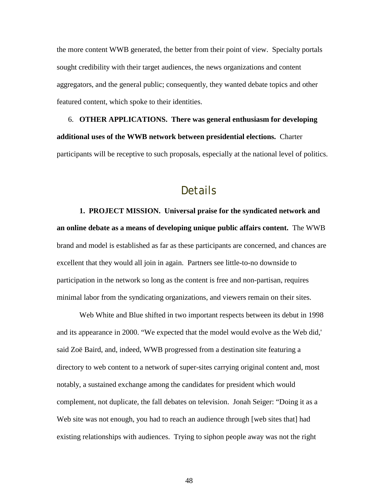the more content WWB generated, the better from their point of view. Specialty portals sought credibility with their target audiences, the news organizations and content aggregators, and the general public; consequently, they wanted debate topics and other featured content, which spoke to their identities.

6. **OTHER APPLICATIONS. There was general enthusiasm for developing additional uses of the WWB network between presidential elections.** Charter participants will be receptive to such proposals, especially at the national level of politics.

### Details

**1. PROJECT MISSION. Universal praise for the syndicated network and an online debate as a means of developing unique public affairs content.** The WWB brand and model is established as far as these participants are concerned, and chances are excellent that they would all join in again. Partners see little-to-no downside to participation in the network so long as the content is free and non-partisan, requires minimal labor from the syndicating organizations, and viewers remain on their sites.

Web White and Blue shifted in two important respects between its debut in 1998 and its appearance in 2000. "We expected that the model would evolve as the Web did,' said Zoë Baird, and, indeed, WWB progressed from a destination site featuring a directory to web content to a network of super-sites carrying original content and, most notably, a sustained exchange among the candidates for president which would complement, not duplicate, the fall debates on television. Jonah Seiger: "Doing it as a Web site was not enough, you had to reach an audience through [web sites that] had existing relationships with audiences. Trying to siphon people away was not the right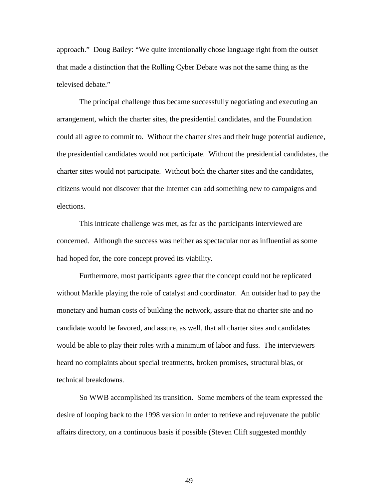approach." Doug Bailey: "We quite intentionally chose language right from the outset that made a distinction that the Rolling Cyber Debate was not the same thing as the televised debate."

The principal challenge thus became successfully negotiating and executing an arrangement, which the charter sites, the presidential candidates, and the Foundation could all agree to commit to. Without the charter sites and their huge potential audience, the presidential candidates would not participate. Without the presidential candidates, the charter sites would not participate. Without both the charter sites and the candidates, citizens would not discover that the Internet can add something new to campaigns and elections.

This intricate challenge was met, as far as the participants interviewed are concerned. Although the success was neither as spectacular nor as influential as some had hoped for, the core concept proved its viability.

Furthermore, most participants agree that the concept could not be replicated without Markle playing the role of catalyst and coordinator. An outsider had to pay the monetary and human costs of building the network, assure that no charter site and no candidate would be favored, and assure, as well, that all charter sites and candidates would be able to play their roles with a minimum of labor and fuss. The interviewers heard no complaints about special treatments, broken promises, structural bias, or technical breakdowns.

So WWB accomplished its transition. Some members of the team expressed the desire of looping back to the 1998 version in order to retrieve and rejuvenate the public affairs directory, on a continuous basis if possible (Steven Clift suggested monthly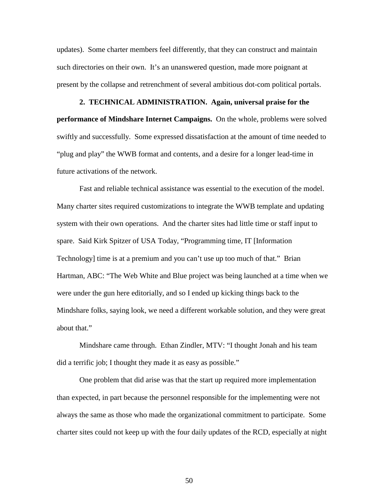updates). Some charter members feel differently, that they can construct and maintain such directories on their own. It's an unanswered question, made more poignant at present by the collapse and retrenchment of several ambitious dot-com political portals.

#### **2. TECHNICAL ADMINISTRATION. Again, universal praise for the**

**performance of Mindshare Internet Campaigns.** On the whole, problems were solved swiftly and successfully.Some expressed dissatisfaction at the amount of time needed to "plug and play" the WWB format and contents, and a desire for a longer lead-time in future activations of the network.

Fast and reliable technical assistance was essential to the execution of the model. Many charter sites required customizations to integrate the WWB template and updating system with their own operations. And the charter sites had little time or staff input to spare. Said Kirk Spitzer of USA Today, "Programming time, IT [Information Technology] time is at a premium and you can't use up too much of that." Brian Hartman, ABC: "The Web White and Blue project was being launched at a time when we were under the gun here editorially, and so I ended up kicking things back to the Mindshare folks, saying look, we need a different workable solution, and they were great about that."

Mindshare came through. Ethan Zindler, MTV: "I thought Jonah and his team did a terrific job; I thought they made it as easy as possible."

One problem that did arise was that the start up required more implementation than expected, in part because the personnel responsible for the implementing were not always the same as those who made the organizational commitment to participate. Some charter sites could not keep up with the four daily updates of the RCD, especially at night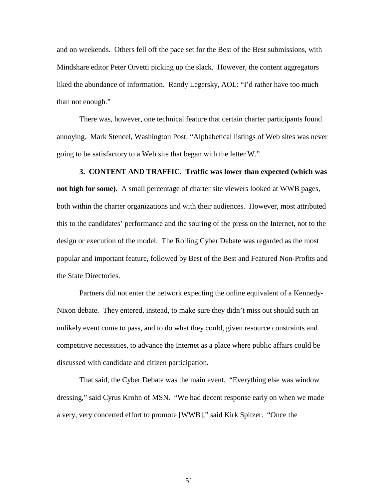and on weekends. Others fell off the pace set for the Best of the Best submissions, with Mindshare editor Peter Orvetti picking up the slack. However, the content aggregators liked the abundance of information. Randy Legersky, AOL: "I'd rather have too much than not enough."

There was, however, one technical feature that certain charter participants found annoying. Mark Stencel, Washington Post: "Alphabetical listings of Web sites was never going to be satisfactory to a Web site that began with the letter W."

**3. CONTENT AND TRAFFIC. Traffic was lower than expected (which was not high for some).** A small percentage of charter site viewers looked at WWB pages, both within the charter organizations and with their audiences. However, most attributed this to the candidates' performance and the souring of the press on the Internet, not to the design or execution of the model. The Rolling Cyber Debate was regarded as the most popular and important feature, followed by Best of the Best and Featured Non-Profits and the State Directories.

Partners did not enter the network expecting the online equivalent of a Kennedy-Nixon debate. They entered, instead, to make sure they didn't miss out should such an unlikely event come to pass, and to do what they could, given resource constraints and competitive necessities, to advance the Internet as a place where public affairs could be discussed with candidate and citizen participation.

That said, the Cyber Debate was the main event. "Everything else was window dressing," said Cyrus Krohn of MSN. "We had decent response early on when we made a very, very concerted effort to promote [WWB]," said Kirk Spitzer. "Once the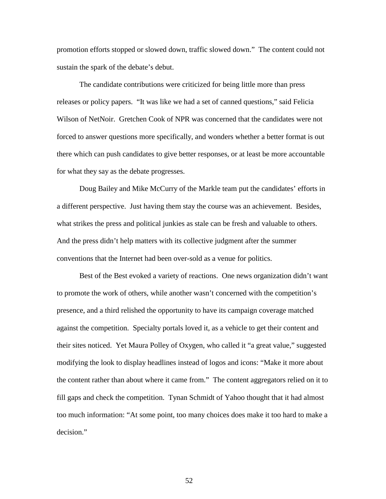promotion efforts stopped or slowed down, traffic slowed down." The content could not sustain the spark of the debate's debut.

The candidate contributions were criticized for being little more than press releases or policy papers. "It was like we had a set of canned questions," said Felicia Wilson of NetNoir. Gretchen Cook of NPR was concerned that the candidates were not forced to answer questions more specifically, and wonders whether a better format is out there which can push candidates to give better responses, or at least be more accountable for what they say as the debate progresses.

Doug Bailey and Mike McCurry of the Markle team put the candidates' efforts in a different perspective. Just having them stay the course was an achievement. Besides, what strikes the press and political junkies as stale can be fresh and valuable to others. And the press didn't help matters with its collective judgment after the summer conventions that the Internet had been over-sold as a venue for politics.

Best of the Best evoked a variety of reactions. One news organization didn't want to promote the work of others, while another wasn't concerned with the competition's presence, and a third relished the opportunity to have its campaign coverage matched against the competition. Specialty portals loved it, as a vehicle to get their content and their sites noticed. Yet Maura Polley of Oxygen, who called it "a great value," suggested modifying the look to display headlines instead of logos and icons: "Make it more about the content rather than about where it came from." The content aggregators relied on it to fill gaps and check the competition. Tynan Schmidt of Yahoo thought that it had almost too much information: "At some point, too many choices does make it too hard to make a decision."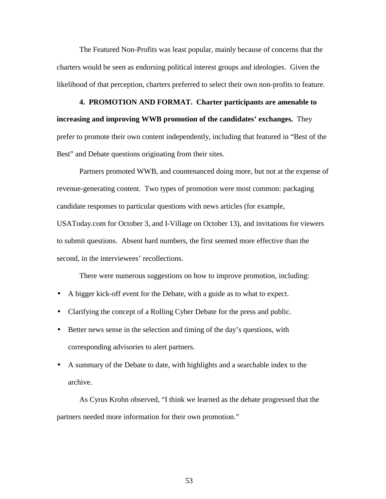The Featured Non-Profits was least popular, mainly because of concerns that the charters would be seen as endorsing political interest groups and ideologies. Given the likelihood of that perception, charters preferred to select their own non-profits to feature.

**4. PROMOTION AND FORMAT. Charter participants are amenable to increasing and improving WWB promotion of the candidates' exchanges.** They prefer to promote their own content independently, including that featured in "Best of the Best" and Debate questions originating from their sites.

Partners promoted WWB, and countenanced doing more, but not at the expense of revenue-generating content. Two types of promotion were most common: packaging candidate responses to particular questions with news articles (for example, USAToday.com for October 3, and I-Village on October 13), and invitations for viewers to submit questions. Absent hard numbers, the first seemed more effective than the second, in the interviewees' recollections.

There were numerous suggestions on how to improve promotion, including:

- A bigger kick-off event for the Debate, with a guide as to what to expect.
- Clarifying the concept of a Rolling Cyber Debate for the press and public.
- Better news sense in the selection and timing of the day's questions, with corresponding advisories to alert partners.
- A summary of the Debate to date, with highlights and a searchable index to the archive.

As Cyrus Krohn observed, "I think we learned as the debate progressed that the partners needed more information for their own promotion."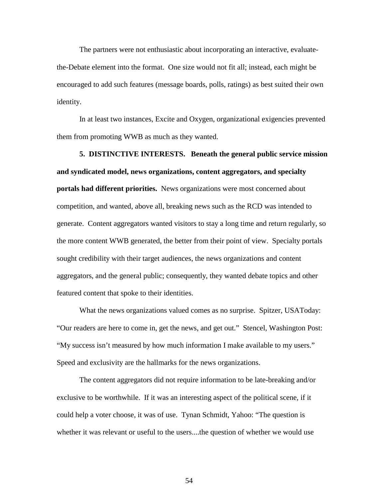The partners were not enthusiastic about incorporating an interactive, evaluatethe-Debate element into the format. One size would not fit all; instead, each might be encouraged to add such features (message boards, polls, ratings) as best suited their own identity.

In at least two instances, Excite and Oxygen, organizational exigencies prevented them from promoting WWB as much as they wanted.

**5. DISTINCTIVE INTERESTS. Beneath the general public service mission and syndicated model, news organizations, content aggregators, and specialty portals had different priorities.** News organizations were most concerned about competition, and wanted, above all, breaking news such as the RCD was intended to generate. Content aggregators wanted visitors to stay a long time and return regularly, so the more content WWB generated, the better from their point of view. Specialty portals sought credibility with their target audiences, the news organizations and content aggregators, and the general public; consequently, they wanted debate topics and other featured content that spoke to their identities.

What the news organizations valued comes as no surprise. Spitzer, USAToday: "Our readers are here to come in, get the news, and get out." Stencel, Washington Post: "My success isn't measured by how much information I make available to my users." Speed and exclusivity are the hallmarks for the news organizations.

The content aggregators did not require information to be late-breaking and/or exclusive to be worthwhile. If it was an interesting aspect of the political scene, if it could help a voter choose, it was of use. Tynan Schmidt, Yahoo: "The question is whether it was relevant or useful to the users....the question of whether we would use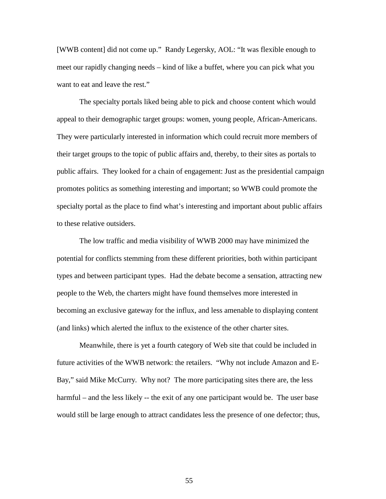[WWB content] did not come up." Randy Legersky, AOL: "It was flexible enough to meet our rapidly changing needs – kind of like a buffet, where you can pick what you want to eat and leave the rest."

The specialty portals liked being able to pick and choose content which would appeal to their demographic target groups: women, young people, African-Americans. They were particularly interested in information which could recruit more members of their target groups to the topic of public affairs and, thereby, to their sites as portals to public affairs. They looked for a chain of engagement: Just as the presidential campaign promotes politics as something interesting and important; so WWB could promote the specialty portal as the place to find what's interesting and important about public affairs to these relative outsiders.

The low traffic and media visibility of WWB 2000 may have minimized the potential for conflicts stemming from these different priorities, both within participant types and between participant types. Had the debate become a sensation, attracting new people to the Web, the charters might have found themselves more interested in becoming an exclusive gateway for the influx, and less amenable to displaying content (and links) which alerted the influx to the existence of the other charter sites.

Meanwhile, there is yet a fourth category of Web site that could be included in future activities of the WWB network: the retailers. "Why not include Amazon and E-Bay," said Mike McCurry. Why not? The more participating sites there are, the less harmful – and the less likely –- the exit of any one participant would be. The user base would still be large enough to attract candidates less the presence of one defector; thus,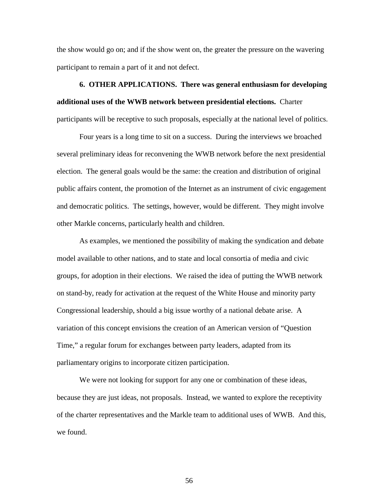the show would go on; and if the show went on, the greater the pressure on the wavering participant to remain a part of it and not defect.

## **6. OTHER APPLICATIONS. There was general enthusiasm for developing additional uses of the WWB network between presidential elections.** Charter participants will be receptive to such proposals, especially at the national level of politics.

Four years is a long time to sit on a success. During the interviews we broached several preliminary ideas for reconvening the WWB network before the next presidential election. The general goals would be the same: the creation and distribution of original public affairs content, the promotion of the Internet as an instrument of civic engagement and democratic politics. The settings, however, would be different. They might involve other Markle concerns, particularly health and children.

As examples, we mentioned the possibility of making the syndication and debate model available to other nations, and to state and local consortia of media and civic groups, for adoption in their elections. We raised the idea of putting the WWB network on stand-by, ready for activation at the request of the White House and minority party Congressional leadership, should a big issue worthy of a national debate arise. A variation of this concept envisions the creation of an American version of "Question Time," a regular forum for exchanges between party leaders, adapted from its parliamentary origins to incorporate citizen participation.

We were not looking for support for any one or combination of these ideas, because they are just ideas, not proposals. Instead, we wanted to explore the receptivity of the charter representatives and the Markle team to additional uses of WWB. And this, we found.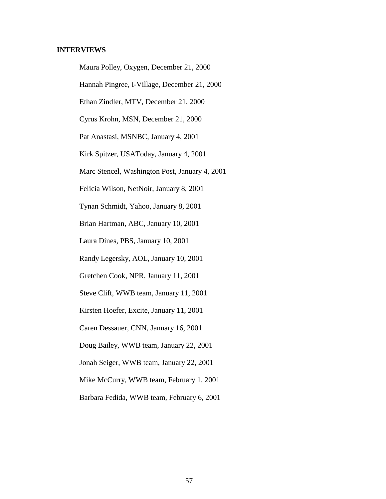#### **INTERVIEWS**

Maura Polley, Oxygen, December 21, 2000

Hannah Pingree, I-Village, December 21, 2000

Ethan Zindler, MTV, December 21, 2000

Cyrus Krohn, MSN, December 21, 2000

Pat Anastasi, MSNBC, January 4, 2001

Kirk Spitzer, USAToday, January 4, 2001

Marc Stencel, Washington Post, January 4, 2001

Felicia Wilson, NetNoir, January 8, 2001

Tynan Schmidt, Yahoo, January 8, 2001

Brian Hartman, ABC, January 10, 2001

Laura Dines, PBS, January 10, 2001

Randy Legersky, AOL, January 10, 2001

Gretchen Cook, NPR, January 11, 2001

Steve Clift, WWB team, January 11, 2001

Kirsten Hoefer, Excite, January 11, 2001

Caren Dessauer, CNN, January 16, 2001

Doug Bailey, WWB team, January 22, 2001

Jonah Seiger, WWB team, January 22, 2001

Mike McCurry, WWB team, February 1, 2001

Barbara Fedida, WWB team, February 6, 2001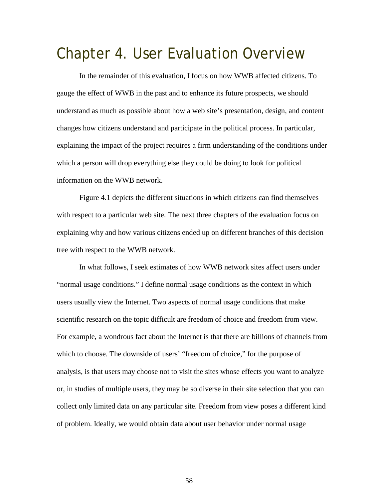# Chapter 4. User Evaluation Overview

In the remainder of this evaluation, I focus on how WWB affected citizens. To gauge the effect of WWB in the past and to enhance its future prospects, we should understand as much as possible about how a web site's presentation, design, and content changes how citizens understand and participate in the political process. In particular, explaining the impact of the project requires a firm understanding of the conditions under which a person will drop everything else they could be doing to look for political information on the WWB network.

Figure 4.1 depicts the different situations in which citizens can find themselves with respect to a particular web site. The next three chapters of the evaluation focus on explaining why and how various citizens ended up on different branches of this decision tree with respect to the WWB network.

In what follows, I seek estimates of how WWB network sites affect users under "normal usage conditions." I define normal usage conditions as the context in which users usually view the Internet. Two aspects of normal usage conditions that make scientific research on the topic difficult are freedom of choice and freedom from view. For example, a wondrous fact about the Internet is that there are billions of channels from which to choose. The downside of users' "freedom of choice," for the purpose of analysis, is that users may choose not to visit the sites whose effects you want to analyze or, in studies of multiple users, they may be so diverse in their site selection that you can collect only limited data on any particular site. Freedom from view poses a different kind of problem. Ideally, we would obtain data about user behavior under normal usage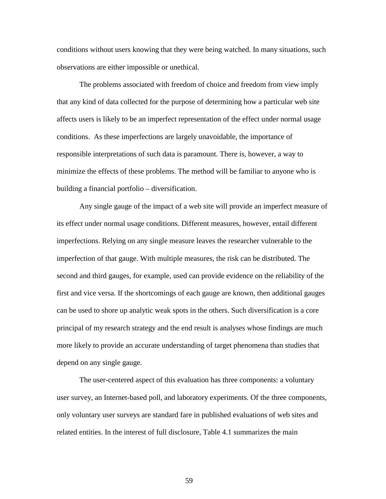conditions without users knowing that they were being watched. In many situations, such observations are either impossible or unethical.

The problems associated with freedom of choice and freedom from view imply that any kind of data collected for the purpose of determining how a particular web site affects users is likely to be an imperfect representation of the effect under normal usage conditions. As these imperfections are largely unavoidable, the importance of responsible interpretations of such data is paramount. There is, however, a way to minimize the effects of these problems. The method will be familiar to anyone who is building a financial portfolio – diversification.

Any single gauge of the impact of a web site will provide an imperfect measure of its effect under normal usage conditions. Different measures, however, entail different imperfections. Relying on any single measure leaves the researcher vulnerable to the imperfection of that gauge. With multiple measures, the risk can be distributed. The second and third gauges, for example, used can provide evidence on the reliability of the first and vice versa. If the shortcomings of each gauge are known, then additional gauges can be used to shore up analytic weak spots in the others. Such diversification is a core principal of my research strategy and the end result is analyses whose findings are much more likely to provide an accurate understanding of target phenomena than studies that depend on any single gauge.

The user-centered aspect of this evaluation has three components: a voluntary user survey, an Internet-based poll, and laboratory experiments. Of the three components, only voluntary user surveys are standard fare in published evaluations of web sites and related entities. In the interest of full disclosure, Table 4.1 summarizes the main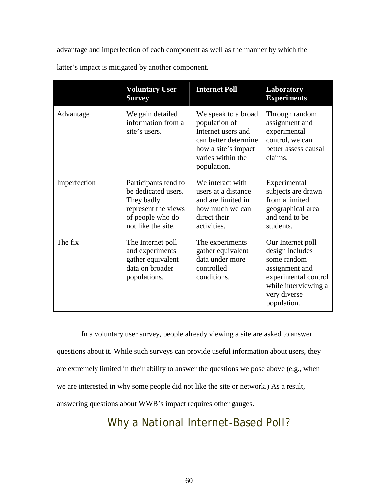advantage and imperfection of each component as well as the manner by which the

|              | <b>Voluntary User</b><br><b>Survey</b>                                                                                     | <b>Internet Poll</b>                                                                                                                          | Laboratory<br><b>Experiments</b>                                                                                                                     |
|--------------|----------------------------------------------------------------------------------------------------------------------------|-----------------------------------------------------------------------------------------------------------------------------------------------|------------------------------------------------------------------------------------------------------------------------------------------------------|
| Advantage    | We gain detailed<br>information from a<br>site's users.                                                                    | We speak to a broad<br>population of<br>Internet users and<br>can better determine<br>how a site's impact<br>varies within the<br>population. | Through random<br>assignment and<br>experimental<br>control, we can<br>better assess causal<br>claims.                                               |
| Imperfection | Participants tend to<br>be dedicated users.<br>They badly<br>represent the views<br>of people who do<br>not like the site. | We interact with<br>users at a distance<br>and are limited in<br>how much we can<br>direct their<br>activities.                               | Experimental<br>subjects are drawn<br>from a limited<br>geographical area<br>and tend to be<br>students.                                             |
| The fix      | The Internet poll<br>and experiments<br>gather equivalent<br>data on broader<br>populations.                               | The experiments<br>gather equivalent<br>data under more<br>controlled<br>conditions.                                                          | Our Internet poll<br>design includes<br>some random<br>assignment and<br>experimental control<br>while interviewing a<br>very diverse<br>population. |

latter's impact is mitigated by another component.

 In a voluntary user survey, people already viewing a site are asked to answer questions about it. While such surveys can provide useful information about users, they are extremely limited in their ability to answer the questions we pose above (e.g., when we are interested in why some people did not like the site or network.) As a result, answering questions about WWB's impact requires other gauges.

Why a National Internet-Based Poll?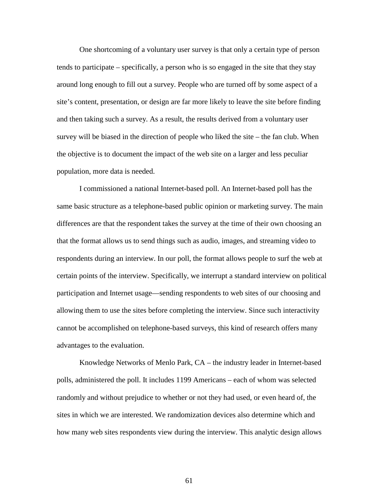One shortcoming of a voluntary user survey is that only a certain type of person tends to participate – specifically, a person who is so engaged in the site that they stay around long enough to fill out a survey. People who are turned off by some aspect of a site's content, presentation, or design are far more likely to leave the site before finding and then taking such a survey. As a result, the results derived from a voluntary user survey will be biased in the direction of people who liked the site – the fan club. When the objective is to document the impact of the web site on a larger and less peculiar population, more data is needed.

I commissioned a national Internet-based poll. An Internet-based poll has the same basic structure as a telephone-based public opinion or marketing survey. The main differences are that the respondent takes the survey at the time of their own choosing an that the format allows us to send things such as audio, images, and streaming video to respondents during an interview. In our poll, the format allows people to surf the web at certain points of the interview. Specifically, we interrupt a standard interview on political participation and Internet usage—sending respondents to web sites of our choosing and allowing them to use the sites before completing the interview. Since such interactivity cannot be accomplished on telephone-based surveys, this kind of research offers many advantages to the evaluation.

Knowledge Networks of Menlo Park, CA – the industry leader in Internet-based polls, administered the poll. It includes 1199 Americans – each of whom was selected randomly and without prejudice to whether or not they had used, or even heard of, the sites in which we are interested. We randomization devices also determine which and how many web sites respondents view during the interview. This analytic design allows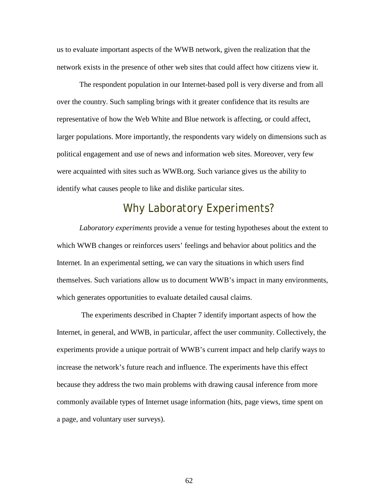us to evaluate important aspects of the WWB network, given the realization that the network exists in the presence of other web sites that could affect how citizens view it.

The respondent population in our Internet-based poll is very diverse and from all over the country. Such sampling brings with it greater confidence that its results are representative of how the Web White and Blue network is affecting, or could affect, larger populations. More importantly, the respondents vary widely on dimensions such as political engagement and use of news and information web sites. Moreover, very few were acquainted with sites such as WWB.org. Such variance gives us the ability to identify what causes people to like and dislike particular sites.

## Why Laboratory Experiments?

*Laboratory experiments* provide a venue for testing hypotheses about the extent to which WWB changes or reinforces users' feelings and behavior about politics and the Internet. In an experimental setting, we can vary the situations in which users find themselves. Such variations allow us to document WWB's impact in many environments, which generates opportunities to evaluate detailed causal claims.

 The experiments described in Chapter 7 identify important aspects of how the Internet, in general, and WWB, in particular, affect the user community. Collectively, the experiments provide a unique portrait of WWB's current impact and help clarify ways to increase the network's future reach and influence. The experiments have this effect because they address the two main problems with drawing causal inference from more commonly available types of Internet usage information (hits, page views, time spent on a page, and voluntary user surveys).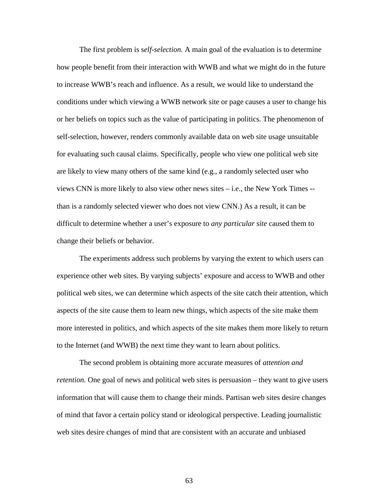The first problem is s*elf-selection.* A main goal of the evaluation is to determine how people benefit from their interaction with WWB and what we might do in the future to increase WWB's reach and influence. As a result, we would like to understand the conditions under which viewing a WWB network site or page causes a user to change his or her beliefs on topics such as the value of participating in politics. The phenomenon of self-selection, however, renders commonly available data on web site usage unsuitable for evaluating such causal claims. Specifically, people who view one political web site are likely to view many others of the same kind (e.g., a randomly selected user who views CNN is more likely to also view other news sites – i.e., the New York Times - than is a randomly selected viewer who does not view CNN.) As a result, it can be difficult to determine whether a user's exposure to *any particular site* caused them to change their beliefs or behavior.

The experiments address such problems by varying the extent to which users can experience other web sites. By varying subjects' exposure and access to WWB and other political web sites, we can determine which aspects of the site catch their attention, which aspects of the site cause them to learn new things, which aspects of the site make them more interested in politics, and which aspects of the site makes them more likely to return to the Internet (and WWB) the next time they want to learn about politics.

 The second problem is obtaining more accurate measures of *attention and retention.* One goal of news and political web sites is persuasion – they want to give users information that will cause them to change their minds. Partisan web sites desire changes of mind that favor a certain policy stand or ideological perspective. Leading journalistic web sites desire changes of mind that are consistent with an accurate and unbiased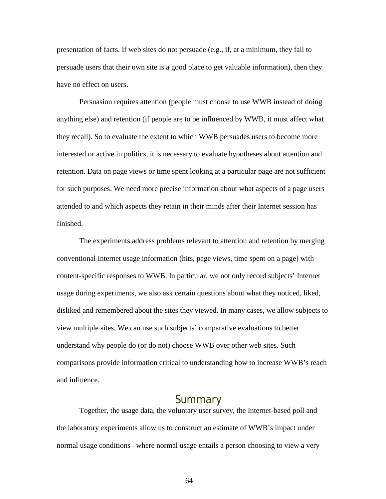presentation of facts. If web sites do not persuade (e.g., if, at a minimum, they fail to persuade users that their own site is a good place to get valuable information), then they have no effect on users.

Persuasion requires attention (people must choose to use WWB instead of doing anything else) and retention (if people are to be influenced by WWB, it must affect what they recall). So to evaluate the extent to which WWB persuades users to become more interested or active in politics, it is necessary to evaluate hypotheses about attention and retention. Data on page views or time spent looking at a particular page are not sufficient for such purposes. We need more precise information about what aspects of a page users attended to and which aspects they retain in their minds after their Internet session has finished.

The experiments address problems relevant to attention and retention by merging conventional Internet usage information (hits, page views, time spent on a page) with content-specific responses to WWB. In particular, we not only record subjects' Internet usage during experiments, we also ask certain questions about what they noticed, liked, disliked and remembered about the sites they viewed. In many cases, we allow subjects to view multiple sites. We can use such subjects' comparative evaluations to better understand why people do (or do not) choose WWB over other web sites. Such comparisons provide information critical to understanding how to increase WWB's reach and influence.

### Summary

Together, the usage data, the voluntary user survey, the Internet-based poll and the laboratory experiments allow us to construct an estimate of WWB's impact under normal usage conditions– where normal usage entails a person choosing to view a very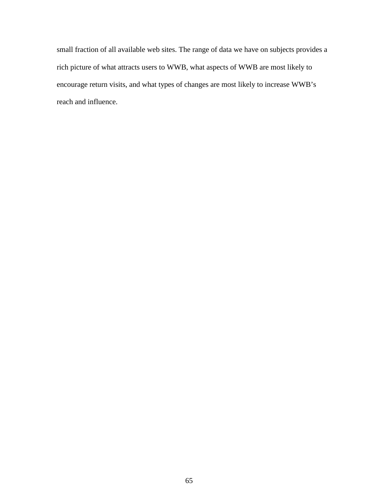small fraction of all available web sites. The range of data we have on subjects provides a rich picture of what attracts users to WWB, what aspects of WWB are most likely to encourage return visits, and what types of changes are most likely to increase WWB's reach and influence.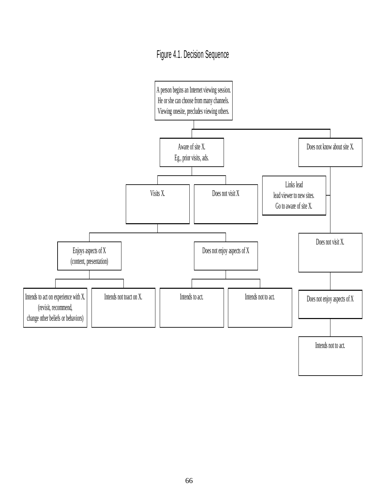## Figure 4.1. Decision Sequence

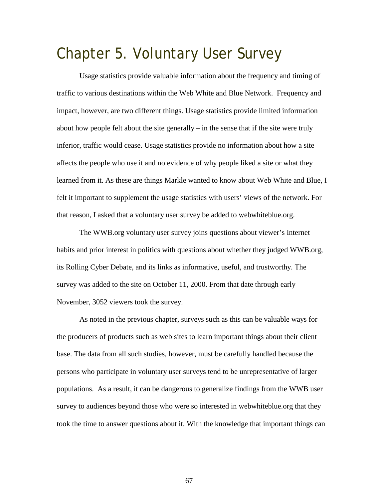# Chapter 5. Voluntary User Survey

 Usage statistics provide valuable information about the frequency and timing of traffic to various destinations within the Web White and Blue Network. Frequency and impact, however, are two different things. Usage statistics provide limited information about how people felt about the site generally – in the sense that if the site were truly inferior, traffic would cease. Usage statistics provide no information about how a site affects the people who use it and no evidence of why people liked a site or what they learned from it. As these are things Markle wanted to know about Web White and Blue, I felt it important to supplement the usage statistics with users' views of the network. For that reason, I asked that a voluntary user survey be added to webwhiteblue.org.

The WWB.org voluntary user survey joins questions about viewer's Internet habits and prior interest in politics with questions about whether they judged WWB.org, its Rolling Cyber Debate, and its links as informative, useful, and trustworthy. The survey was added to the site on October 11, 2000. From that date through early November, 3052 viewers took the survey.

As noted in the previous chapter, surveys such as this can be valuable ways for the producers of products such as web sites to learn important things about their client base. The data from all such studies, however, must be carefully handled because the persons who participate in voluntary user surveys tend to be unrepresentative of larger populations. As a result, it can be dangerous to generalize findings from the WWB user survey to audiences beyond those who were so interested in webwhiteblue.org that they took the time to answer questions about it. With the knowledge that important things can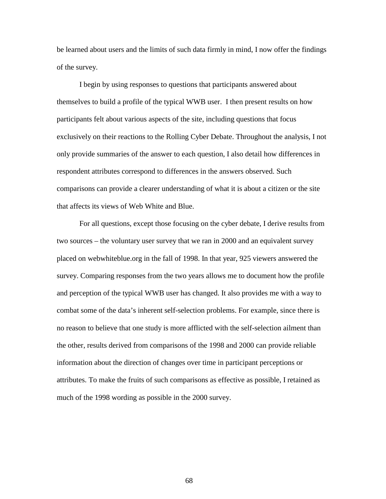be learned about users and the limits of such data firmly in mind, I now offer the findings of the survey.

 I begin by using responses to questions that participants answered about themselves to build a profile of the typical WWB user. I then present results on how participants felt about various aspects of the site, including questions that focus exclusively on their reactions to the Rolling Cyber Debate. Throughout the analysis, I not only provide summaries of the answer to each question, I also detail how differences in respondent attributes correspond to differences in the answers observed. Such comparisons can provide a clearer understanding of what it is about a citizen or the site that affects its views of Web White and Blue.

For all questions, except those focusing on the cyber debate, I derive results from two sources – the voluntary user survey that we ran in 2000 and an equivalent survey placed on webwhiteblue.org in the fall of 1998. In that year, 925 viewers answered the survey. Comparing responses from the two years allows me to document how the profile and perception of the typical WWB user has changed. It also provides me with a way to combat some of the data's inherent self-selection problems. For example, since there is no reason to believe that one study is more afflicted with the self-selection ailment than the other, results derived from comparisons of the 1998 and 2000 can provide reliable information about the direction of changes over time in participant perceptions or attributes. To make the fruits of such comparisons as effective as possible, I retained as much of the 1998 wording as possible in the 2000 survey.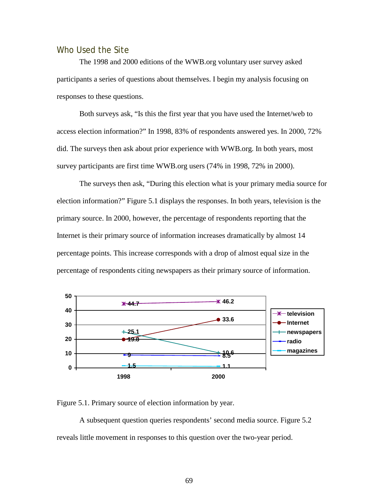### Who Used the Site

 The 1998 and 2000 editions of the WWB.org voluntary user survey asked participants a series of questions about themselves. I begin my analysis focusing on responses to these questions.

Both surveys ask, "Is this the first year that you have used the Internet/web to access election information?" In 1998, 83% of respondents answered yes. In 2000, 72% did. The surveys then ask about prior experience with WWB.org. In both years, most survey participants are first time WWB.org users (74% in 1998, 72% in 2000).

 The surveys then ask, "During this election what is your primary media source for election information?" Figure 5.1 displays the responses. In both years, television is the primary source. In 2000, however, the percentage of respondents reporting that the Internet is their primary source of information increases dramatically by almost 14 percentage points. This increase corresponds with a drop of almost equal size in the percentage of respondents citing newspapers as their primary source of information.



Figure 5.1. Primary source of election information by year.

A subsequent question queries respondents' second media source. Figure 5.2 reveals little movement in responses to this question over the two-year period.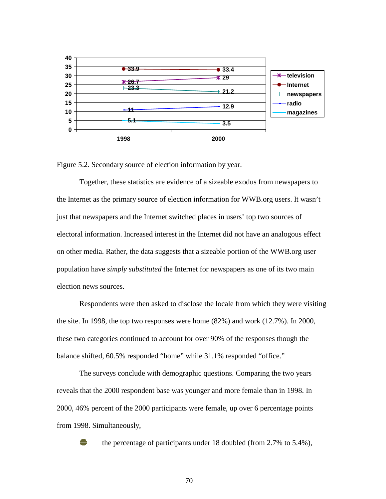

Figure 5.2. Secondary source of election information by year.

Together, these statistics are evidence of a sizeable exodus from newspapers to the Internet as the primary source of election information for WWB.org users. It wasn't just that newspapers and the Internet switched places in users' top two sources of electoral information. Increased interest in the Internet did not have an analogous effect on other media. Rather, the data suggests that a sizeable portion of the WWB.org user population have *simply substituted* the Internet for newspapers as one of its two main election news sources.

Respondents were then asked to disclose the locale from which they were visiting the site. In 1998, the top two responses were home (82%) and work (12.7%). In 2000, these two categories continued to account for over 90% of the responses though the balance shifted, 60.5% responded "home" while 31.1% responded "office."

The surveys conclude with demographic questions. Comparing the two years reveals that the 2000 respondent base was younger and more female than in 1998. In 2000, 46% percent of the 2000 participants were female, up over 6 percentage points from 1998. Simultaneously,



the percentage of participants under 18 doubled (from 2.7% to 5.4%),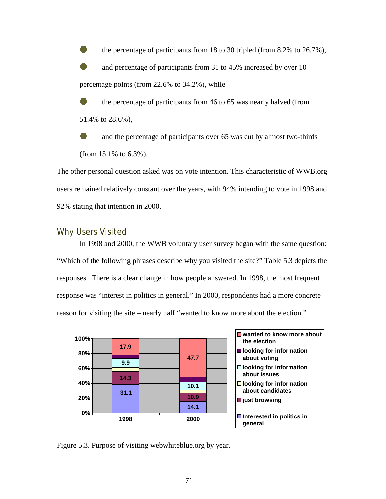the percentage of participants from 18 to 30 tripled (from 8.2% to 26.7%), and percentage of participants from 31 to 45% increased by over 10 percentage points (from 22.6% to 34.2%), while

 the percentage of participants from 46 to 65 was nearly halved (from 51.4% to 28.6%),

 and the percentage of participants over 65 was cut by almost two-thirds (from 15.1% to 6.3%).

The other personal question asked was on vote intention. This characteristic of WWB.org users remained relatively constant over the years, with 94% intending to vote in 1998 and 92% stating that intention in 2000.

### Why Users Visited

 In 1998 and 2000, the WWB voluntary user survey began with the same question: "Which of the following phrases describe why you visited the site?" Table 5.3 depicts the responses. There is a clear change in how people answered. In 1998, the most frequent response was "interest in politics in general." In 2000, respondents had a more concrete reason for visiting the site – nearly half "wanted to know more about the election."



Figure 5.3. Purpose of visiting webwhiteblue.org by year.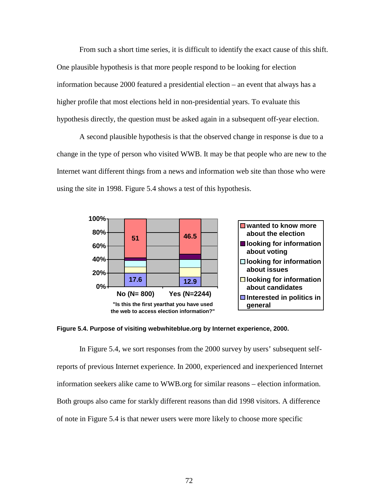From such a short time series, it is difficult to identify the exact cause of this shift. One plausible hypothesis is that more people respond to be looking for election information because 2000 featured a presidential election – an event that always has a higher profile that most elections held in non-presidential years. To evaluate this hypothesis directly, the question must be asked again in a subsequent off-year election.

A second plausible hypothesis is that the observed change in response is due to a change in the type of person who visited WWB. It may be that people who are new to the Internet want different things from a news and information web site than those who were using the site in 1998. Figure 5.4 shows a test of this hypothesis.



**Figure 5.4. Purpose of visiting webwhiteblue.org by Internet experience, 2000.**

In Figure 5.4, we sort responses from the 2000 survey by users' subsequent selfreports of previous Internet experience. In 2000, experienced and inexperienced Internet information seekers alike came to WWB.org for similar reasons – election information. Both groups also came for starkly different reasons than did 1998 visitors. A difference of note in Figure 5.4 is that newer users were more likely to choose more specific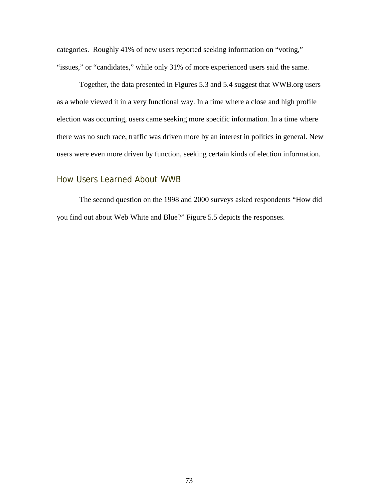categories. Roughly 41% of new users reported seeking information on "voting," "issues," or "candidates," while only 31% of more experienced users said the same.

Together, the data presented in Figures 5.3 and 5.4 suggest that WWB.org users as a whole viewed it in a very functional way. In a time where a close and high profile election was occurring, users came seeking more specific information. In a time where there was no such race, traffic was driven more by an interest in politics in general. New users were even more driven by function, seeking certain kinds of election information.

### How Users Learned About WWB

 The second question on the 1998 and 2000 surveys asked respondents "How did you find out about Web White and Blue?" Figure 5.5 depicts the responses.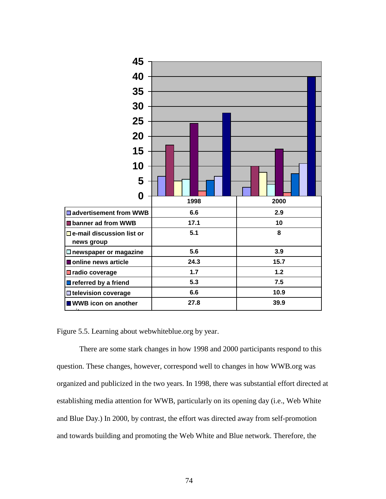

Figure 5.5. Learning about webwhiteblue.org by year.

 There are some stark changes in how 1998 and 2000 participants respond to this question. These changes, however, correspond well to changes in how WWB.org was organized and publicized in the two years. In 1998, there was substantial effort directed at establishing media attention for WWB, particularly on its opening day (i.e., Web White and Blue Day.) In 2000, by contrast, the effort was directed away from self-promotion and towards building and promoting the Web White and Blue network. Therefore, the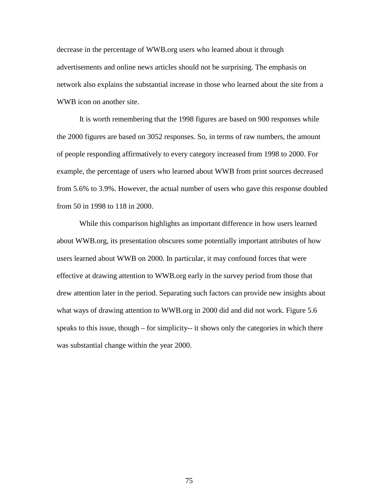decrease in the percentage of WWB.org users who learned about it through advertisements and online news articles should not be surprising. The emphasis on network also explains the substantial increase in those who learned about the site from a WWB icon on another site.

It is worth remembering that the 1998 figures are based on 900 responses while the 2000 figures are based on 3052 responses. So, in terms of raw numbers, the amount of people responding affirmatively to every category increased from 1998 to 2000. For example, the percentage of users who learned about WWB from print sources decreased from 5.6% to 3.9%. However, the actual number of users who gave this response doubled from 50 in 1998 to 118 in 2000.

 While this comparison highlights an important difference in how users learned about WWB.org, its presentation obscures some potentially important attributes of how users learned about WWB on 2000. In particular, it may confound forces that were effective at drawing attention to WWB.org early in the survey period from those that drew attention later in the period. Separating such factors can provide new insights about what ways of drawing attention to WWB.org in 2000 did and did not work. Figure 5.6 speaks to this issue, though – for simplicity-- it shows only the categories in which there was substantial change within the year 2000.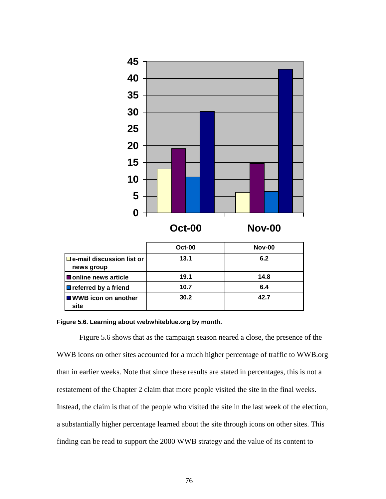

#### **Figure 5.6. Learning about webwhiteblue.org by month.**

Figure 5.6 shows that as the campaign season neared a close, the presence of the WWB icons on other sites accounted for a much higher percentage of traffic to WWB.org than in earlier weeks. Note that since these results are stated in percentages, this is not a restatement of the Chapter 2 claim that more people visited the site in the final weeks. Instead, the claim is that of the people who visited the site in the last week of the election, a substantially higher percentage learned about the site through icons on other sites. This finding can be read to support the 2000 WWB strategy and the value of its content to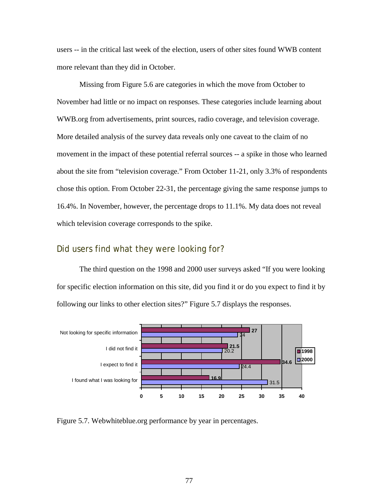users -- in the critical last week of the election, users of other sites found WWB content more relevant than they did in October.

Missing from Figure 5.6 are categories in which the move from October to November had little or no impact on responses. These categories include learning about WWB.org from advertisements, print sources, radio coverage, and television coverage. More detailed analysis of the survey data reveals only one caveat to the claim of no movement in the impact of these potential referral sources -- a spike in those who learned about the site from "television coverage." From October 11-21, only 3.3% of respondents chose this option. From October 22-31, the percentage giving the same response jumps to 16.4%. In November, however, the percentage drops to 11.1%. My data does not reveal which television coverage corresponds to the spike.

### Did users find what they were looking for?

 The third question on the 1998 and 2000 user surveys asked "If you were looking for specific election information on this site, did you find it or do you expect to find it by following our links to other election sites?" Figure 5.7 displays the responses.



Figure 5.7. Webwhiteblue.org performance by year in percentages.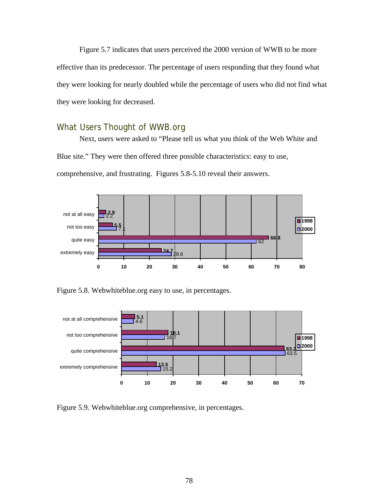Figure 5.7 indicates that users perceived the 2000 version of WWB to be more effective than its predecessor. The percentage of users responding that they found what they were looking for nearly doubled while the percentage of users who did not find what they were looking for decreased.

### What Users Thought of WWB.org

 Next, users were asked to "Please tell us what you think of the Web White and Blue site." They were then offered three possible characteristics: easy to use, comprehensive, and frustrating. Figures 5.8-5.10 reveal their answers.



Figure 5.8. Webwhiteblue.org easy to use, in percentages.



Figure 5.9. Webwhiteblue.org comprehensive, in percentages.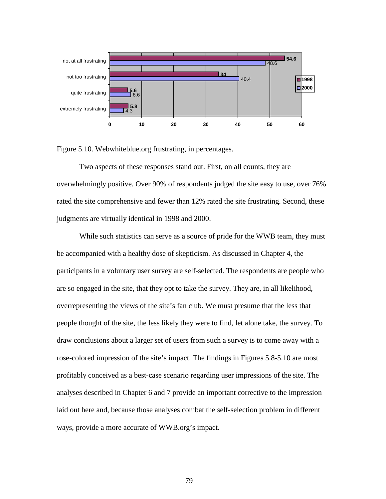

Figure 5.10. Webwhiteblue.org frustrating, in percentages.

 Two aspects of these responses stand out. First, on all counts, they are overwhelmingly positive. Over 90% of respondents judged the site easy to use, over 76% rated the site comprehensive and fewer than 12% rated the site frustrating. Second, these judgments are virtually identical in 1998 and 2000.

While such statistics can serve as a source of pride for the WWB team, they must be accompanied with a healthy dose of skepticism. As discussed in Chapter 4, the participants in a voluntary user survey are self-selected. The respondents are people who are so engaged in the site, that they opt to take the survey. They are, in all likelihood, overrepresenting the views of the site's fan club. We must presume that the less that people thought of the site, the less likely they were to find, let alone take, the survey. To draw conclusions about a larger set of users from such a survey is to come away with a rose-colored impression of the site's impact. The findings in Figures 5.8-5.10 are most profitably conceived as a best-case scenario regarding user impressions of the site. The analyses described in Chapter 6 and 7 provide an important corrective to the impression laid out here and, because those analyses combat the self-selection problem in different ways, provide a more accurate of WWB.org's impact.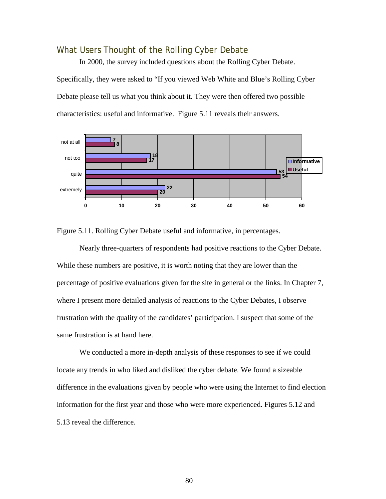### What Users Thought of the Rolling Cyber Debate

 In 2000, the survey included questions about the Rolling Cyber Debate. Specifically, they were asked to "If you viewed Web White and Blue's Rolling Cyber Debate please tell us what you think about it. They were then offered two possible characteristics: useful and informative. Figure 5.11 reveals their answers.



Figure 5.11. Rolling Cyber Debate useful and informative, in percentages.

 Nearly three-quarters of respondents had positive reactions to the Cyber Debate. While these numbers are positive, it is worth noting that they are lower than the percentage of positive evaluations given for the site in general or the links. In Chapter 7, where I present more detailed analysis of reactions to the Cyber Debates, I observe frustration with the quality of the candidates' participation. I suspect that some of the same frustration is at hand here.

 We conducted a more in-depth analysis of these responses to see if we could locate any trends in who liked and disliked the cyber debate. We found a sizeable difference in the evaluations given by people who were using the Internet to find election information for the first year and those who were more experienced. Figures 5.12 and 5.13 reveal the difference.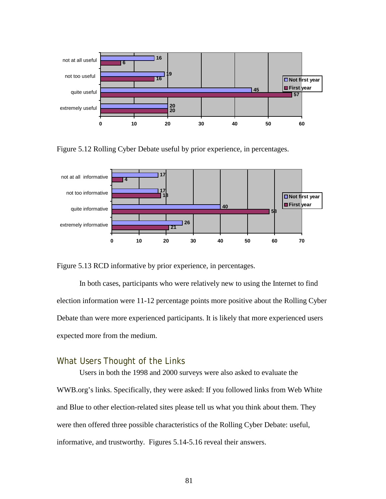

Figure 5.12 Rolling Cyber Debate useful by prior experience, in percentages.



Figure 5.13 RCD informative by prior experience, in percentages.

 In both cases, participants who were relatively new to using the Internet to find election information were 11-12 percentage points more positive about the Rolling Cyber Debate than were more experienced participants. It is likely that more experienced users expected more from the medium.

### What Users Thought of the Links

 Users in both the 1998 and 2000 surveys were also asked to evaluate the WWB.org's links. Specifically, they were asked: If you followed links from Web White and Blue to other election-related sites please tell us what you think about them. They were then offered three possible characteristics of the Rolling Cyber Debate: useful, informative, and trustworthy. Figures 5.14-5.16 reveal their answers.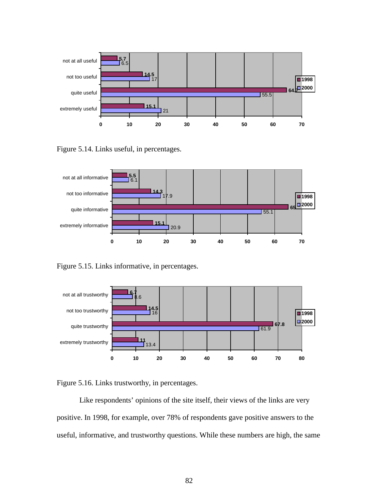

Figure 5.14. Links useful, in percentages.



Figure 5.15. Links informative, in percentages.





 Like respondents' opinions of the site itself, their views of the links are very positive. In 1998, for example, over 78% of respondents gave positive answers to the useful, informative, and trustworthy questions. While these numbers are high, the same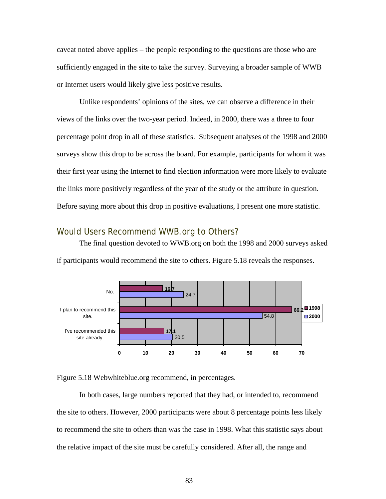caveat noted above applies – the people responding to the questions are those who are sufficiently engaged in the site to take the survey. Surveying a broader sample of WWB or Internet users would likely give less positive results.

Unlike respondents' opinions of the sites, we can observe a difference in their views of the links over the two-year period. Indeed, in 2000, there was a three to four percentage point drop in all of these statistics. Subsequent analyses of the 1998 and 2000 surveys show this drop to be across the board. For example, participants for whom it was their first year using the Internet to find election information were more likely to evaluate the links more positively regardless of the year of the study or the attribute in question. Before saying more about this drop in positive evaluations, I present one more statistic.

### Would Users Recommend WWB.org to Others?

 The final question devoted to WWB.org on both the 1998 and 2000 surveys asked if participants would recommend the site to others. Figure 5.18 reveals the responses.



Figure 5.18 Webwhiteblue.org recommend, in percentages.

 In both cases, large numbers reported that they had, or intended to, recommend the site to others. However, 2000 participants were about 8 percentage points less likely to recommend the site to others than was the case in 1998. What this statistic says about the relative impact of the site must be carefully considered. After all, the range and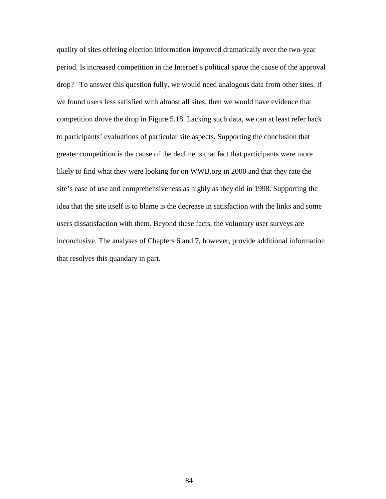quality of sites offering election information improved dramatically over the two-year period. Is increased competition in the Internet's political space the cause of the approval drop? To answer this question fully, we would need analogous data from other sites. If we found users less satisfied with almost all sites, then we would have evidence that competition drove the drop in Figure 5.18. Lacking such data, we can at least refer back to participants' evaluations of particular site aspects. Supporting the conclusion that greater competition is the cause of the decline is that fact that participants were more likely to find what they were looking for on WWB.org in 2000 and that they rate the site's ease of use and comprehensiveness as highly as they did in 1998. Supporting the idea that the site itself is to blame is the decrease in satisfaction with the links and some users dissatisfaction with them. Beyond these facts, the voluntary user surveys are inconclusive. The analyses of Chapters 6 and 7, however, provide additional information that resolves this quandary in part.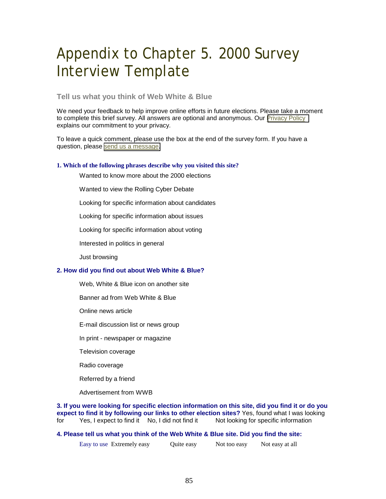# Appendix to Chapter 5. 2000 Survey Interview Template

### **Tell us what you think of Web White & Blue**

We need your feedback to help improve online efforts in future elections. Please take a moment to complete this brief survey. All answers are optional and anonymous. Our [Privacy Policy](http://www.webwhiteblue.org/about/privacy/) explains our commitment to your privacy.

To leave a quick comment, please use the box at the end of the survey form. If you have a question, please [send us a message.](http://www.webwhiteblue.org/about/contact/)

#### **1. Which of the following phrases describe why you visited this site?**

Wanted to know more about the 2000 elections

Wanted to view the Rolling Cyber Debate

Looking for specific information about candidates

Looking for specific information about issues

Looking for specific information about voting

Interested in politics in general

Just browsing

#### **2. How did you find out about Web White & Blue?**

Web, White & Blue icon on another site

Banner ad from Web White & Blue

Online news article

E-mail discussion list or news group

In print - newspaper or magazine

Television coverage

Radio coverage

Referred by a friend

Advertisement from WWB

**3. If you were looking for specific election information on this site, did you find it or do you expect to find it by following our links to other election sites?** Yes, found what I was looking for Yes, I expect to find it No, I did not find it Not looking for specific information

#### **4. Please tell us what you think of the Web White & Blue site. Did you find the site:**

Easy to use Extremely easy Quite easy Not too easy Not easy at all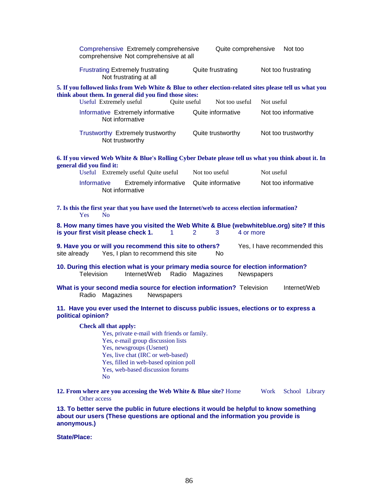| Comprehensive Extremely comprehensive<br>comprehensive Not comprehensive at all                                                                                                                                                                                            |                | Quite comprehensive | Not too             |  |  |
|----------------------------------------------------------------------------------------------------------------------------------------------------------------------------------------------------------------------------------------------------------------------------|----------------|---------------------|---------------------|--|--|
| <b>Frustrating Extremely frustrating</b><br>Not frustrating at all                                                                                                                                                                                                         |                | Quite frustrating   | Not too frustrating |  |  |
| 5. If you followed links from Web White & Blue to other election-related sites please tell us what you<br>think about them. In general did you find those sites:                                                                                                           |                |                     |                     |  |  |
| Useful Extremely useful                                                                                                                                                                                                                                                    | Quite useful   | Not too useful      | Not useful          |  |  |
| Informative Extremely informative<br>Not informative                                                                                                                                                                                                                       |                | Quite informative   | Not too informative |  |  |
| Trustworthy Extremely trustworthy<br>Not trustworthy                                                                                                                                                                                                                       |                | Quite trustworthy   | Not too trustworthy |  |  |
| 6. If you viewed Web White & Blue's Rolling Cyber Debate please tell us what you think about it. In<br>general did you find it:                                                                                                                                            |                |                     |                     |  |  |
| Useful Extremely useful Quite useful                                                                                                                                                                                                                                       | Not too useful |                     | Not useful          |  |  |
| Informative<br><b>Extremely informative</b><br>Not informative                                                                                                                                                                                                             |                | Quite informative   | Not too informative |  |  |
| 7. Is this the first year that you have used the Internet/web to access election information?<br>N <sub>0</sub><br><b>Yes</b>                                                                                                                                              |                |                     |                     |  |  |
| 8. How many times have you visited the Web White & Blue (webwhiteblue.org) site? If this<br>is your first visit please check 1.<br>4 or more<br>1<br>2<br>3                                                                                                                |                |                     |                     |  |  |
| 9. Have you or will you recommend this site to others?<br>Yes, I have recommended this<br>Yes, I plan to recommend this site<br>site already<br>No.                                                                                                                        |                |                     |                     |  |  |
| 10. During this election what is your primary media source for election information?<br><b>Television</b><br>Internet/Web<br>Radio Magazines<br>Newspapers                                                                                                                 |                |                     |                     |  |  |
| What is your second media source for election information? Television<br>Internet/Web<br>Radio Magazines<br>Newspapers                                                                                                                                                     |                |                     |                     |  |  |
| 11. Have you ever used the Internet to discuss public issues, elections or to express a<br>political opinion?                                                                                                                                                              |                |                     |                     |  |  |
| Check all that apply:<br>Yes, private e-mail with friends or family.<br>Yes, e-mail group discussion lists<br>Yes, newsgroups (Usenet)<br>Yes, live chat (IRC or web-based)<br>Yes, filled in web-based opinion poll<br>Yes, web-based discussion forums<br>N <sub>o</sub> |                |                     |                     |  |  |
| 12. From where are you accessing the Web White & Blue site? Home<br>Work<br>School Library<br>Other access                                                                                                                                                                 |                |                     |                     |  |  |
| 13. To better serve the public in future elections it would be helpful to know something<br>about our users (These questions are optional and the information you provide is<br>anonymous.)                                                                                |                |                     |                     |  |  |

**State/Place:**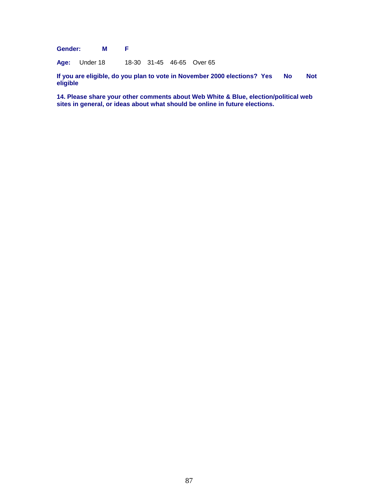**Gender: M F** 

**Age:** Under 18 18-30 31-45 46-65 Over 65

If you are eligible, do you plan to vote in November 2000 elections? Yes No Not **eligible** 

**14. Please share your other comments about Web White & Blue, election/political web sites in general, or ideas about what should be online in future elections.**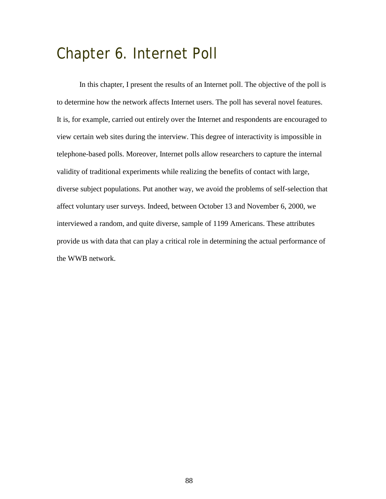# Chapter 6. Internet Poll

In this chapter, I present the results of an Internet poll. The objective of the poll is to determine how the network affects Internet users. The poll has several novel features. It is, for example, carried out entirely over the Internet and respondents are encouraged to view certain web sites during the interview. This degree of interactivity is impossible in telephone-based polls. Moreover, Internet polls allow researchers to capture the internal validity of traditional experiments while realizing the benefits of contact with large, diverse subject populations. Put another way, we avoid the problems of self-selection that affect voluntary user surveys. Indeed, between October 13 and November 6, 2000, we interviewed a random, and quite diverse, sample of 1199 Americans. These attributes provide us with data that can play a critical role in determining the actual performance of the WWB network.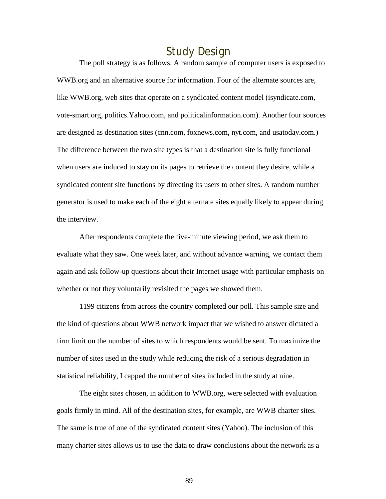### Study Design

The poll strategy is as follows. A random sample of computer users is exposed to WWB.org and an alternative source for information. Four of the alternate sources are, like WWB.org, web sites that operate on a syndicated content model (isyndicate.com, vote-smart.org, politics.Yahoo.com, and politicalinformation.com). Another four sources are designed as destination sites (cnn.com, foxnews.com, nyt.com, and usatoday.com.) The difference between the two site types is that a destination site is fully functional when users are induced to stay on its pages to retrieve the content they desire, while a syndicated content site functions by directing its users to other sites. A random number generator is used to make each of the eight alternate sites equally likely to appear during the interview.

After respondents complete the five-minute viewing period, we ask them to evaluate what they saw. One week later, and without advance warning, we contact them again and ask follow-up questions about their Internet usage with particular emphasis on whether or not they voluntarily revisited the pages we showed them.

1199 citizens from across the country completed our poll. This sample size and the kind of questions about WWB network impact that we wished to answer dictated a firm limit on the number of sites to which respondents would be sent. To maximize the number of sites used in the study while reducing the risk of a serious degradation in statistical reliability, I capped the number of sites included in the study at nine.

The eight sites chosen, in addition to WWB.org, were selected with evaluation goals firmly in mind. All of the destination sites, for example, are WWB charter sites. The same is true of one of the syndicated content sites (Yahoo). The inclusion of this many charter sites allows us to use the data to draw conclusions about the network as a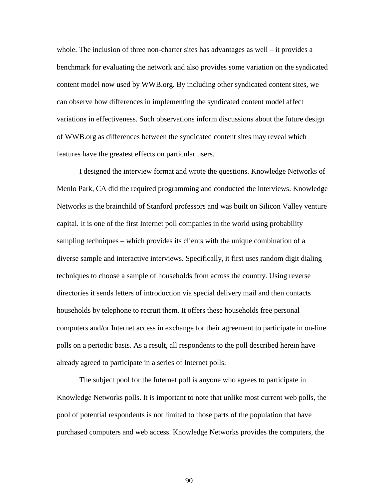whole. The inclusion of three non-charter sites has advantages as well – it provides a benchmark for evaluating the network and also provides some variation on the syndicated content model now used by WWB.org. By including other syndicated content sites, we can observe how differences in implementing the syndicated content model affect variations in effectiveness. Such observations inform discussions about the future design of WWB.org as differences between the syndicated content sites may reveal which features have the greatest effects on particular users.

I designed the interview format and wrote the questions. Knowledge Networks of Menlo Park, CA did the required programming and conducted the interviews. Knowledge Networks is the brainchild of Stanford professors and was built on Silicon Valley venture capital. It is one of the first Internet poll companies in the world using probability sampling techniques – which provides its clients with the unique combination of a diverse sample and interactive interviews. Specifically, it first uses random digit dialing techniques to choose a sample of households from across the country. Using reverse directories it sends letters of introduction via special delivery mail and then contacts households by telephone to recruit them. It offers these households free personal computers and/or Internet access in exchange for their agreement to participate in on-line polls on a periodic basis. As a result, all respondents to the poll described herein have already agreed to participate in a series of Internet polls.

The subject pool for the Internet poll is anyone who agrees to participate in Knowledge Networks polls. It is important to note that unlike most current web polls, the pool of potential respondents is not limited to those parts of the population that have purchased computers and web access. Knowledge Networks provides the computers, the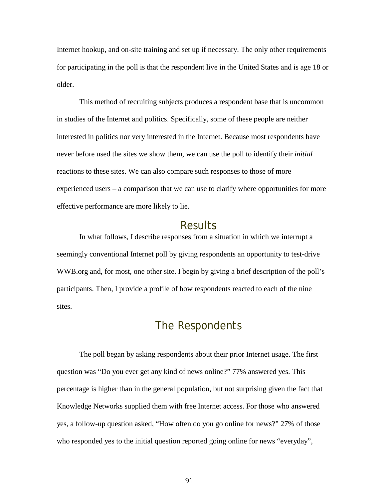Internet hookup, and on-site training and set up if necessary. The only other requirements for participating in the poll is that the respondent live in the United States and is age 18 or older.

This method of recruiting subjects produces a respondent base that is uncommon in studies of the Internet and politics. Specifically, some of these people are neither interested in politics nor very interested in the Internet. Because most respondents have never before used the sites we show them, we can use the poll to identify their *initial* reactions to these sites. We can also compare such responses to those of more experienced users – a comparison that we can use to clarify where opportunities for more effective performance are more likely to lie.

### Results

In what follows, I describe responses from a situation in which we interrupt a seemingly conventional Internet poll by giving respondents an opportunity to test-drive WWB.org and, for most, one other site. I begin by giving a brief description of the poll's participants. Then, I provide a profile of how respondents reacted to each of the nine sites.

### The Respondents

The poll began by asking respondents about their prior Internet usage. The first question was "Do you ever get any kind of news online?" 77% answered yes. This percentage is higher than in the general population, but not surprising given the fact that Knowledge Networks supplied them with free Internet access. For those who answered yes, a follow-up question asked, "How often do you go online for news?" 27% of those who responded yes to the initial question reported going online for news "everyday",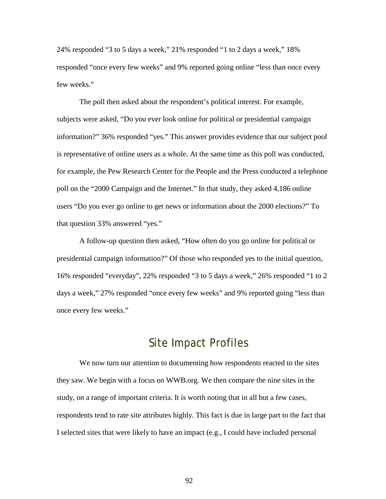24% responded "3 to 5 days a week," 21% responded "1 to 2 days a week," 18% responded "once every few weeks" and 9% reported going online "less than once every few weeks."

The poll then asked about the respondent's political interest. For example, subjects were asked, "Do you ever look online for political or presidential campaign information?" 36% responded "yes." This answer provides evidence that our subject pool is representative of online users as a whole. At the same time as this poll was conducted, for example, the Pew Research Center for the People and the Press conducted a telephone poll on the "2000 Campaign and the Internet." In that study, they asked 4,186 online users "Do you ever go online to get news or information about the 2000 elections?" To that question 33% answered "yes."

A follow-up question then asked, "How often do you go online for political or presidential campaign information?" Of those who responded yes to the initial question, 16% responded "everyday", 22% responded "3 to 5 days a week," 26% responded "1 to 2 days a week," 27% responded "once every few weeks" and 9% reported going "less than once every few weeks."

### Site Impact Profiles

We now turn our attention to documenting how respondents reacted to the sites they saw. We begin with a focus on WWB.org. We then compare the nine sites in the study, on a range of important criteria. It is worth noting that in all but a few cases, respondents tend to rate site attributes highly. This fact is due in large part to the fact that I selected sites that were likely to have an impact (e.g., I could have included personal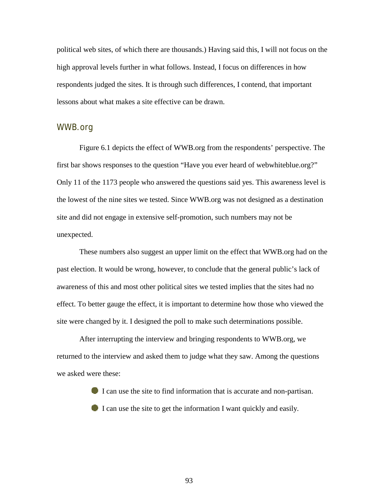political web sites, of which there are thousands.) Having said this, I will not focus on the high approval levels further in what follows. Instead, I focus on differences in how respondents judged the sites. It is through such differences, I contend, that important lessons about what makes a site effective can be drawn.

### WWB.org

Figure 6.1 depicts the effect of WWB.org from the respondents' perspective. The first bar shows responses to the question "Have you ever heard of webwhiteblue.org?" Only 11 of the 1173 people who answered the questions said yes. This awareness level is the lowest of the nine sites we tested. Since WWB.org was not designed as a destination site and did not engage in extensive self-promotion, such numbers may not be unexpected.

These numbers also suggest an upper limit on the effect that WWB.org had on the past election. It would be wrong, however, to conclude that the general public's lack of awareness of this and most other political sites we tested implies that the sites had no effect. To better gauge the effect, it is important to determine how those who viewed the site were changed by it. I designed the poll to make such determinations possible.

After interrupting the interview and bringing respondents to WWB.org, we returned to the interview and asked them to judge what they saw. Among the questions we asked were these:

> I can use the site to find information that is accurate and non-partisan. I can use the site to get the information I want quickly and easily.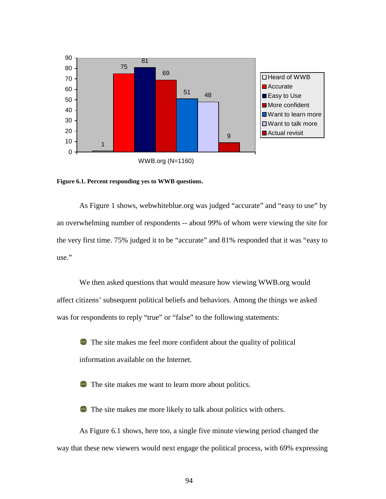

**Figure 6.1. Percent responding yes to WWB questions.** 

As Figure 1 shows, webwhiteblue.org was judged "accurate" and "easy to use" by an overwhelming number of respondents -- about 99% of whom were viewing the site for the very first time. 75% judged it to be "accurate" and 81% responded that it was "easy to use."

We then asked questions that would measure how viewing WWB.org would affect citizens' subsequent political beliefs and behaviors. Among the things we asked was for respondents to reply "true" or "false" to the following statements:

 The site makes me feel more confident about the quality of political information available on the Internet.

The site makes me want to learn more about politics.

The site makes me more likely to talk about politics with others.

As Figure 6.1 shows, here too, a single five minute viewing period changed the way that these new viewers would next engage the political process, with 69% expressing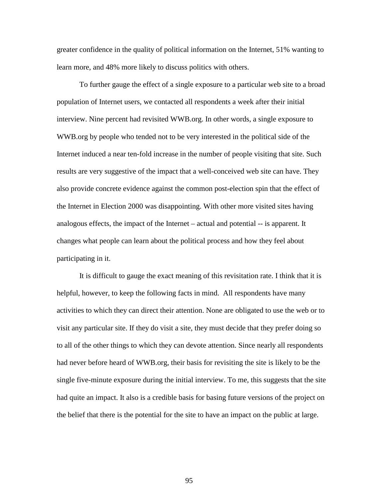greater confidence in the quality of political information on the Internet, 51% wanting to learn more, and 48% more likely to discuss politics with others.

To further gauge the effect of a single exposure to a particular web site to a broad population of Internet users, we contacted all respondents a week after their initial interview. Nine percent had revisited WWB.org. In other words, a single exposure to WWB.org by people who tended not to be very interested in the political side of the Internet induced a near ten-fold increase in the number of people visiting that site. Such results are very suggestive of the impact that a well-conceived web site can have. They also provide concrete evidence against the common post-election spin that the effect of the Internet in Election 2000 was disappointing. With other more visited sites having analogous effects, the impact of the Internet – actual and potential -- is apparent. It changes what people can learn about the political process and how they feel about participating in it.

It is difficult to gauge the exact meaning of this revisitation rate. I think that it is helpful, however, to keep the following facts in mind. All respondents have many activities to which they can direct their attention. None are obligated to use the web or to visit any particular site. If they do visit a site, they must decide that they prefer doing so to all of the other things to which they can devote attention. Since nearly all respondents had never before heard of WWB.org, their basis for revisiting the site is likely to be the single five-minute exposure during the initial interview. To me, this suggests that the site had quite an impact. It also is a credible basis for basing future versions of the project on the belief that there is the potential for the site to have an impact on the public at large.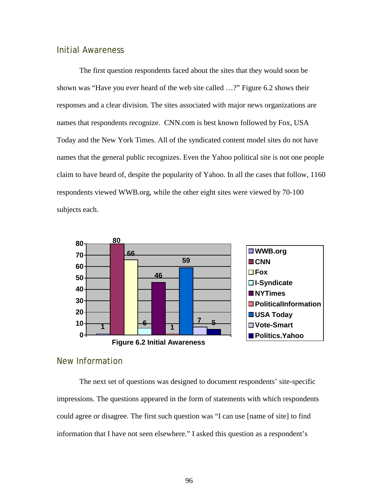### Initial Awareness

 The first question respondents faced about the sites that they would soon be shown was "Have you ever heard of the web site called …?" Figure 6.2 shows their responses and a clear division. The sites associated with major news organizations are names that respondents recognize. CNN.com is best known followed by Fox, USA Today and the New York Times. All of the syndicated content model sites do not have names that the general public recognizes. Even the Yahoo political site is not one people claim to have heard of, despite the popularity of Yahoo. In all the cases that follow, 1160 respondents viewed WWB.org, while the other eight sites were viewed by 70-100 subjects each.



### New Information

 The next set of questions was designed to document respondents' site-specific impressions. The questions appeared in the form of statements with which respondents could agree or disagree. The first such question was "I can use [name of site] to find information that I have not seen elsewhere." I asked this question as a respondent's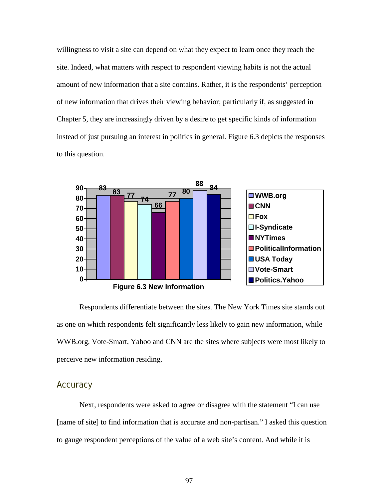willingness to visit a site can depend on what they expect to learn once they reach the site. Indeed, what matters with respect to respondent viewing habits is not the actual amount of new information that a site contains. Rather, it is the respondents' perception of new information that drives their viewing behavior; particularly if, as suggested in Chapter 5, they are increasingly driven by a desire to get specific kinds of information instead of just pursuing an interest in politics in general. Figure 6.3 depicts the responses to this question.



 Respondents differentiate between the sites. The New York Times site stands out as one on which respondents felt significantly less likely to gain new information, while WWB.org, Vote-Smart, Yahoo and CNN are the sites where subjects were most likely to perceive new information residing.

### **Accuracy**

 Next, respondents were asked to agree or disagree with the statement "I can use [name of site] to find information that is accurate and non-partisan." I asked this question to gauge respondent perceptions of the value of a web site's content. And while it is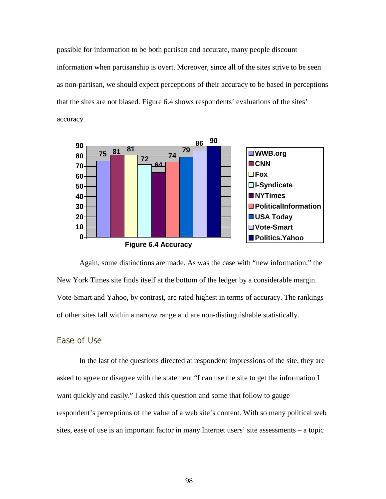possible for information to be both partisan and accurate, many people discount information when partisanship is overt. Moreover, since all of the sites strive to be seen as non-partisan, we should expect perceptions of their accuracy to be based in perceptions that the sites are not biased. Figure 6.4 shows respondents' evaluations of the sites' accuracy.





Again, some distinctions are made. As was the case with "new information," the New York Times site finds itself at the bottom of the ledger by a considerable margin. Vote-Smart and Yahoo, by contrast, are rated highest in terms of accuracy. The rankings of other sites fall within a narrow range and are non-distinguishable statistically.

### Ease of Use

In the last of the questions directed at respondent impressions of the site, they are asked to agree or disagree with the statement "I can use the site to get the information I want quickly and easily." I asked this question and some that follow to gauge respondent's perceptions of the value of a web site's content. With so many political web sites, ease of use is an important factor in many Internet users' site assessments – a topic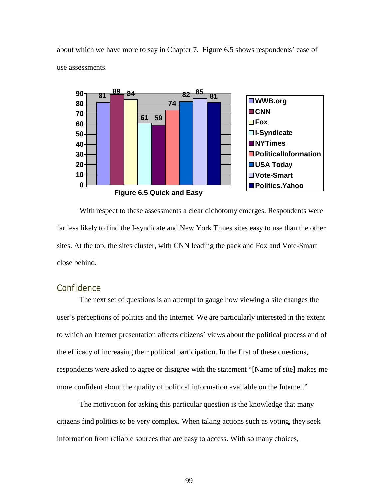about which we have more to say in Chapter 7. Figure 6.5 shows respondents' ease of use assessments.



With respect to these assessments a clear dichotomy emerges. Respondents were far less likely to find the I-syndicate and New York Times sites easy to use than the other sites. At the top, the sites cluster, with CNN leading the pack and Fox and Vote-Smart close behind.

### **Confidence**

The next set of questions is an attempt to gauge how viewing a site changes the user's perceptions of politics and the Internet. We are particularly interested in the extent to which an Internet presentation affects citizens' views about the political process and of the efficacy of increasing their political participation. In the first of these questions, respondents were asked to agree or disagree with the statement "[Name of site] makes me more confident about the quality of political information available on the Internet."

The motivation for asking this particular question is the knowledge that many citizens find politics to be very complex. When taking actions such as voting, they seek information from reliable sources that are easy to access. With so many choices,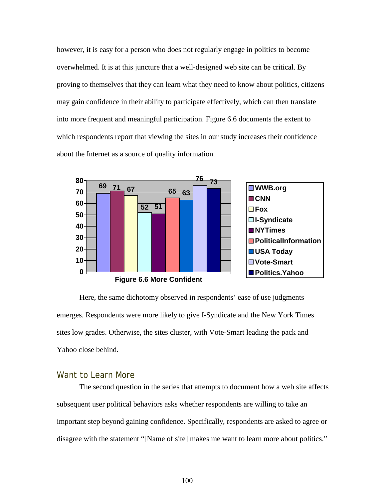however, it is easy for a person who does not regularly engage in politics to become overwhelmed. It is at this juncture that a well-designed web site can be critical. By proving to themselves that they can learn what they need to know about politics, citizens may gain confidence in their ability to participate effectively, which can then translate into more frequent and meaningful participation. Figure 6.6 documents the extent to which respondents report that viewing the sites in our study increases their confidence about the Internet as a source of quality information.



Here, the same dichotomy observed in respondents' ease of use judgments emerges. Respondents were more likely to give I-Syndicate and the New York Times sites low grades. Otherwise, the sites cluster, with Vote-Smart leading the pack and Yahoo close behind.

### Want to Learn More

The second question in the series that attempts to document how a web site affects subsequent user political behaviors asks whether respondents are willing to take an important step beyond gaining confidence. Specifically, respondents are asked to agree or disagree with the statement "[Name of site] makes me want to learn more about politics."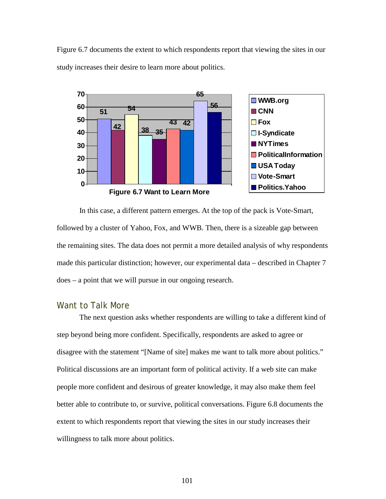



In this case, a different pattern emerges. At the top of the pack is Vote-Smart, followed by a cluster of Yahoo, Fox, and WWB. Then, there is a sizeable gap between the remaining sites. The data does not permit a more detailed analysis of why respondents made this particular distinction; however, our experimental data – described in Chapter 7 does – a point that we will pursue in our ongoing research.

### Want to Talk More

The next question asks whether respondents are willing to take a different kind of step beyond being more confident. Specifically, respondents are asked to agree or disagree with the statement "[Name of site] makes me want to talk more about politics." Political discussions are an important form of political activity. If a web site can make people more confident and desirous of greater knowledge, it may also make them feel better able to contribute to, or survive, political conversations. Figure 6.8 documents the extent to which respondents report that viewing the sites in our study increases their willingness to talk more about politics.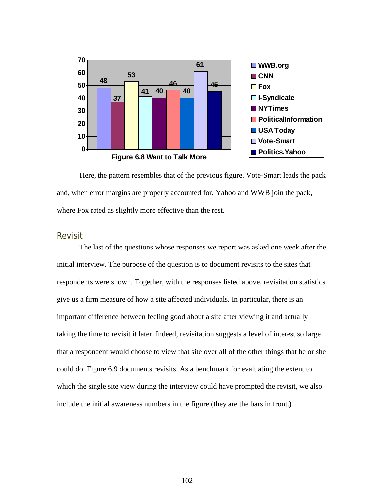

Here, the pattern resembles that of the previous figure. Vote-Smart leads the pack and, when error margins are properly accounted for, Yahoo and WWB join the pack, where Fox rated as slightly more effective than the rest.

### Revisit

The last of the questions whose responses we report was asked one week after the initial interview. The purpose of the question is to document revisits to the sites that respondents were shown. Together, with the responses listed above, revisitation statistics give us a firm measure of how a site affected individuals. In particular, there is an important difference between feeling good about a site after viewing it and actually taking the time to revisit it later. Indeed, revisitation suggests a level of interest so large that a respondent would choose to view that site over all of the other things that he or she could do. Figure 6.9 documents revisits. As a benchmark for evaluating the extent to which the single site view during the interview could have prompted the revisit, we also include the initial awareness numbers in the figure (they are the bars in front.)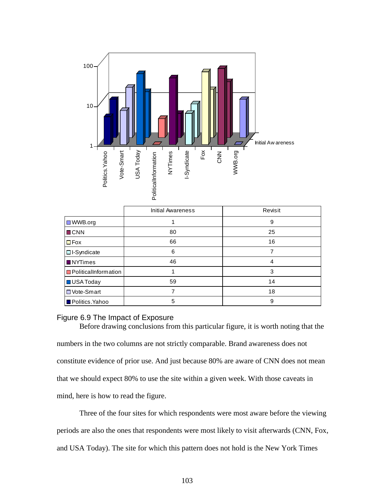

|                             | <b>Initial Awareness</b> | Revisit |
|-----------------------------|--------------------------|---------|
| $\Box$ WWB.org              |                          | 9       |
| <b>D</b> CNN                | 80                       | 25      |
| $\Box$ Fox                  | 66                       | 16      |
| $\Box$ I-Syndicate          | 6                        |         |
| <b>NYTimes</b>              | 46                       | 4       |
| <b>PoliticalInformation</b> |                          | 3       |
| USA Today                   | 59                       | 14      |
| <b>D</b> Vote-Smart         |                          | 18      |
| <b>D</b> Politics.Yahoo     | 5                        | 9       |

#### Figure 6.9 The Impact of Exposure

numbers in the two columns are not strictly comparable. Brand awareness does not constitute evidence of prior use. And just because 80% are aware of CNN does not mean that we should expect 80% to use the site within a given week. With those caveats in mind, here is how to read the figure.

Before drawing conclusions from this particular figure, it is worth noting that the

Three of the four sites for which respondents were most aware before the viewing periods are also the ones that respondents were most likely to visit afterwards (CNN, Fox, and USA Today). The site for which this pattern does not hold is the New York Times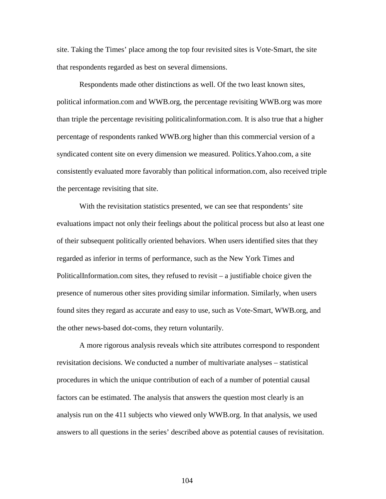site. Taking the Times' place among the top four revisited sites is Vote-Smart, the site that respondents regarded as best on several dimensions.

Respondents made other distinctions as well. Of the two least known sites, political information.com and WWB.org, the percentage revisiting WWB.org was more than triple the percentage revisiting politicalinformation.com. It is also true that a higher percentage of respondents ranked WWB.org higher than this commercial version of a syndicated content site on every dimension we measured. Politics.Yahoo.com, a site consistently evaluated more favorably than political information.com, also received triple the percentage revisiting that site.

With the revisitation statistics presented, we can see that respondents' site evaluations impact not only their feelings about the political process but also at least one of their subsequent politically oriented behaviors. When users identified sites that they regarded as inferior in terms of performance, such as the New York Times and PoliticalInformation.com sites, they refused to revisit – a justifiable choice given the presence of numerous other sites providing similar information. Similarly, when users found sites they regard as accurate and easy to use, such as Vote-Smart, WWB.org, and the other news-based dot-coms, they return voluntarily.

A more rigorous analysis reveals which site attributes correspond to respondent revisitation decisions. We conducted a number of multivariate analyses – statistical procedures in which the unique contribution of each of a number of potential causal factors can be estimated. The analysis that answers the question most clearly is an analysis run on the 411 subjects who viewed only WWB.org. In that analysis, we used answers to all questions in the series' described above as potential causes of revisitation.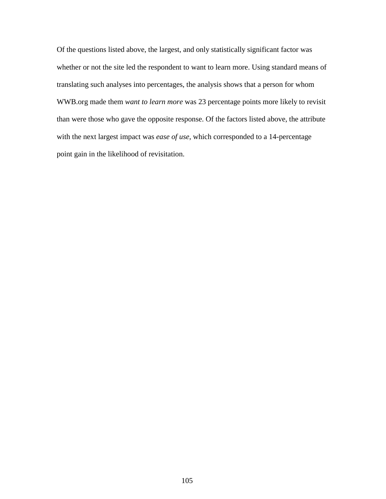Of the questions listed above, the largest, and only statistically significant factor was whether or not the site led the respondent to want to learn more. Using standard means of translating such analyses into percentages, the analysis shows that a person for whom WWB.org made them *want to learn more* was 23 percentage points more likely to revisit than were those who gave the opposite response. Of the factors listed above, the attribute with the next largest impact was *ease of use*, which corresponded to a 14-percentage point gain in the likelihood of revisitation.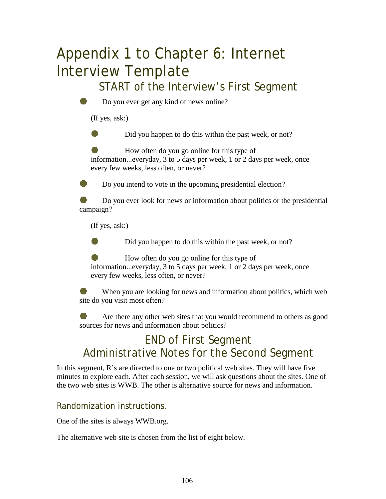# Appendix 1 to Chapter 6: Internet Interview Template

## START of the Interview's First Segment



Do you ever get any kind of news online?

(If yes, ask:)

Did you happen to do this within the past week, or not?

How often do you go online for this type of information...everyday, 3 to 5 days per week, 1 or 2 days per week, once every few weeks, less often, or never?

Do you intend to vote in the upcoming presidential election?

Do you ever look for news or information about politics or the presidential campaign?

(If yes, ask:)

Did you happen to do this within the past week, or not?

How often do you go online for this type of information...everyday, 3 to 5 days per week, 1 or 2 days per week, once every few weeks, less often, or never?

When you are looking for news and information about politics, which web site do you visit most often?

Are there any other web sites that you would recommend to others as good sources for news and information about politics?

## END of First Segment Administrative Notes for the Second Segment

In this segment, R's are directed to one or two political web sites. They will have five minutes to explore each. After each session, we will ask questions about the sites. One of the two web sites is WWB. The other is alternative source for news and information.

### Randomization instructions.

One of the sites is always WWB.org.

The alternative web site is chosen from the list of eight below.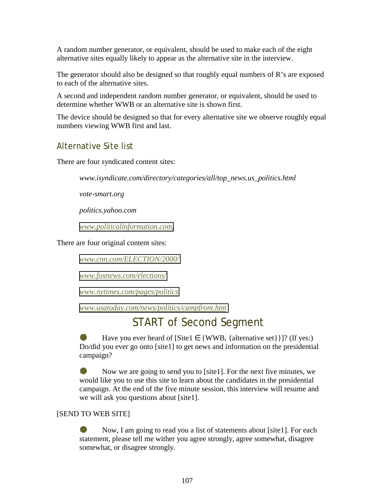A random number generator, or equivalent, should be used to make each of the eight alternative sites equally likely to appear as the alternative site in the interview.

The generator should also be designed so that roughly equal numbers of R's are exposed to each of the alternative sites.

A second and independent random number generator, or equivalent, should be used to determine whether WWB or an alternative site is shown first.

The device should be designed so that for every alternative site we observe roughly equal numbers viewing WWB first and last.

### Alternative Site list

There are four syndicated content sites:

*www.isyndicate.com/directory/categories/all/top\_news.us\_politics.html* 

*vote-smart.org* 

*politics.yahoo.com* 

*[www.politicalinformation.com,](http://www.politicalinformation.com/)* 

There are four original content sites:

*[www.cnn.com/ELECTION/2000/](http://www.cnn.com/ELECTION/2000/)*

*[www.foxnews.com/elections/](http://www.foxnews.com/elections/)*

*[www.nytimes.com/pages/politics](http://www.nytimes.com/pages/politics)*

*[www.usatoday.com/news/politics/campfront.htm](http://www.usatoday.com/news/politics/campfront.htm)*

## START of Second Segment

Have you ever heard of [Site1  $\in$  {WWB, {alternative set}}]? (If yes:) Do/did you ever go onto [site1] to get news and information on the presidential campaign?

Now we are going to send you to [site1]. For the next five minutes, we would like you to use this site to learn about the candidates in the presidential campaign. At the end of the five minute session, this interview will resume and we will ask you questions about [site1].

### [SEND TO WEB SITE]

● Now, I am going to read you a list of statements about [site1]. For each statement, please tell me wither you agree strongly, agree somewhat, disagree somewhat, or disagree strongly.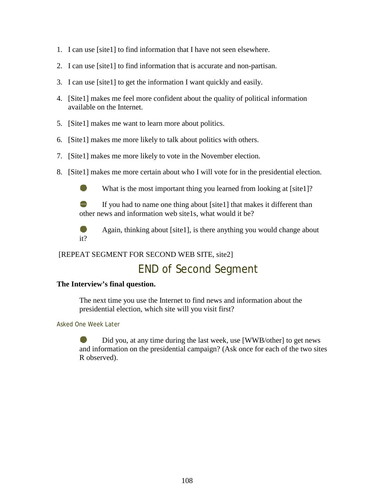- 1. I can use [site1] to find information that I have not seen elsewhere.
- 2. I can use [site1] to find information that is accurate and non-partisan.
- 3. I can use [site1] to get the information I want quickly and easily.
- 4. [Site1] makes me feel more confident about the quality of political information available on the Internet.
- 5. [Site1] makes me want to learn more about politics.
- 6. [Site1] makes me more likely to talk about politics with others.
- 7. [Site1] makes me more likely to vote in the November election.
- 8. [Site1] makes me more certain about who I will vote for in the presidential election.

What is the most important thing you learned from looking at [site1]?

If you had to name one thing about [site1] that makes it different than other news and information web site1s, what would it be?



Again, thinking about [site1], is there anything you would change about

### [REPEAT SEGMENT FOR SECOND WEB SITE, site2]

## END of Second Segment

### **The Interview's final question.**

The next time you use the Internet to find news and information about the presidential election, which site will you visit first?

### Asked One Week Later

Did you, at any time during the last week, use [WWB/other] to get news and information on the presidential campaign? (Ask once for each of the two sites R observed).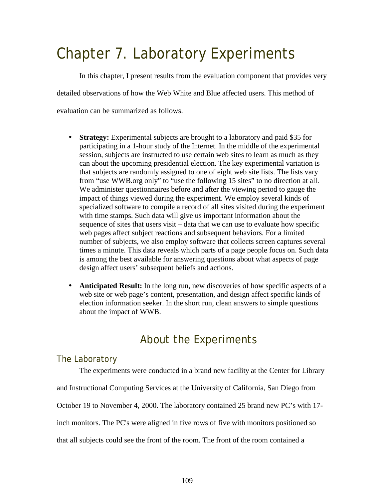# Chapter 7. Laboratory Experiments

 In this chapter, I present results from the evaluation component that provides very detailed observations of how the Web White and Blue affected users. This method of evaluation can be summarized as follows.

- **Strategy:** Experimental subjects are brought to a laboratory and paid \$35 for participating in a 1-hour study of the Internet. In the middle of the experimental session, subjects are instructed to use certain web sites to learn as much as they can about the upcoming presidential election. The key experimental variation is that subjects are randomly assigned to one of eight web site lists. The lists vary from "use WWB.org only" to "use the following 15 sites" to no direction at all. We administer questionnaires before and after the viewing period to gauge the impact of things viewed during the experiment. We employ several kinds of specialized software to compile a record of all sites visited during the experiment with time stamps. Such data will give us important information about the sequence of sites that users visit – data that we can use to evaluate how specific web pages affect subject reactions and subsequent behaviors. For a limited number of subjects, we also employ software that collects screen captures several times a minute. This data reveals which parts of a page people focus on. Such data is among the best available for answering questions about what aspects of page design affect users' subsequent beliefs and actions.
- **Anticipated Result:** In the long run, new discoveries of how specific aspects of a web site or web page's content, presentation, and design affect specific kinds of election information seeker. In the short run, clean answers to simple questions about the impact of WWB.

## About the Experiments

### The Laboratory

The experiments were conducted in a brand new facility at the Center for Library

and Instructional Computing Services at the University of California, San Diego from

October 19 to November 4, 2000. The laboratory contained 25 brand new PC's with 17-

inch monitors. The PC's were aligned in five rows of five with monitors positioned so

that all subjects could see the front of the room. The front of the room contained a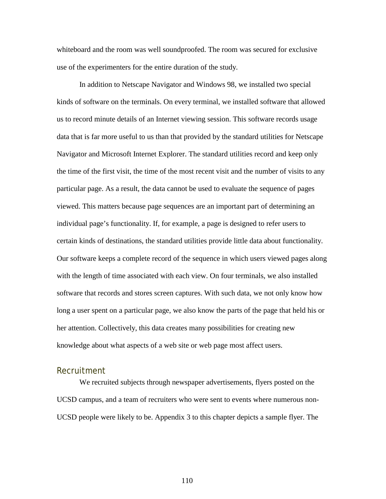whiteboard and the room was well soundproofed. The room was secured for exclusive use of the experimenters for the entire duration of the study.

 In addition to Netscape Navigator and Windows 98, we installed two special kinds of software on the terminals. On every terminal, we installed software that allowed us to record minute details of an Internet viewing session. This software records usage data that is far more useful to us than that provided by the standard utilities for Netscape Navigator and Microsoft Internet Explorer. The standard utilities record and keep only the time of the first visit, the time of the most recent visit and the number of visits to any particular page. As a result, the data cannot be used to evaluate the sequence of pages viewed. This matters because page sequences are an important part of determining an individual page's functionality. If, for example, a page is designed to refer users to certain kinds of destinations, the standard utilities provide little data about functionality. Our software keeps a complete record of the sequence in which users viewed pages along with the length of time associated with each view. On four terminals, we also installed software that records and stores screen captures. With such data, we not only know how long a user spent on a particular page, we also know the parts of the page that held his or her attention. Collectively, this data creates many possibilities for creating new knowledge about what aspects of a web site or web page most affect users.

### Recruitment

We recruited subjects through newspaper advertisements, flyers posted on the UCSD campus, and a team of recruiters who were sent to events where numerous non-UCSD people were likely to be. Appendix 3 to this chapter depicts a sample flyer. The

110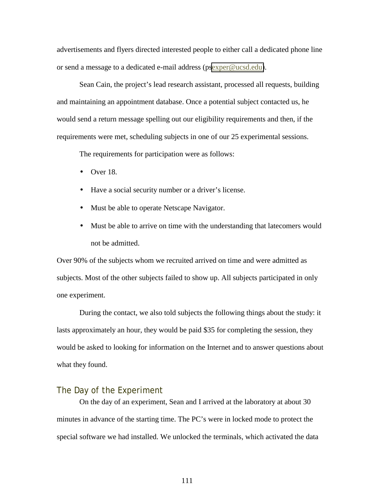advertisements and flyers directed interested people to either call a dedicated phone line or send a message to a dedicated e-mail address (p[sexper@ucsd.edu\)](mailto:exper@ucsd.edu).

Sean Cain, the project's lead research assistant, processed all requests, building and maintaining an appointment database. Once a potential subject contacted us, he would send a return message spelling out our eligibility requirements and then, if the requirements were met, scheduling subjects in one of our 25 experimental sessions.

The requirements for participation were as follows:

- $\bullet$  Over 18.
- Have a social security number or a driver's license.
- Must be able to operate Netscape Navigator.
- Must be able to arrive on time with the understanding that latecomers would not be admitted.

Over 90% of the subjects whom we recruited arrived on time and were admitted as subjects. Most of the other subjects failed to show up. All subjects participated in only one experiment.

 During the contact, we also told subjects the following things about the study: it lasts approximately an hour, they would be paid \$35 for completing the session, they would be asked to looking for information on the Internet and to answer questions about what they found.

### The Day of the Experiment

 On the day of an experiment, Sean and I arrived at the laboratory at about 30 minutes in advance of the starting time. The PC's were in locked mode to protect the special software we had installed. We unlocked the terminals, which activated the data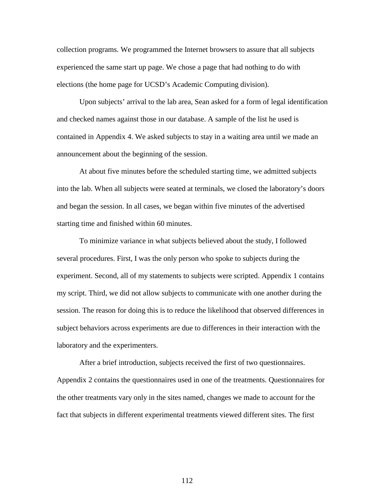collection programs. We programmed the Internet browsers to assure that all subjects experienced the same start up page. We chose a page that had nothing to do with elections (the home page for UCSD's Academic Computing division).

 Upon subjects' arrival to the lab area, Sean asked for a form of legal identification and checked names against those in our database. A sample of the list he used is contained in Appendix 4. We asked subjects to stay in a waiting area until we made an announcement about the beginning of the session.

 At about five minutes before the scheduled starting time, we admitted subjects into the lab. When all subjects were seated at terminals, we closed the laboratory's doors and began the session. In all cases, we began within five minutes of the advertised starting time and finished within 60 minutes.

 To minimize variance in what subjects believed about the study, I followed several procedures. First, I was the only person who spoke to subjects during the experiment. Second, all of my statements to subjects were scripted. Appendix 1 contains my script. Third, we did not allow subjects to communicate with one another during the session. The reason for doing this is to reduce the likelihood that observed differences in subject behaviors across experiments are due to differences in their interaction with the laboratory and the experimenters.

After a brief introduction, subjects received the first of two questionnaires. Appendix 2 contains the questionnaires used in one of the treatments. Questionnaires for the other treatments vary only in the sites named, changes we made to account for the fact that subjects in different experimental treatments viewed different sites. The first

112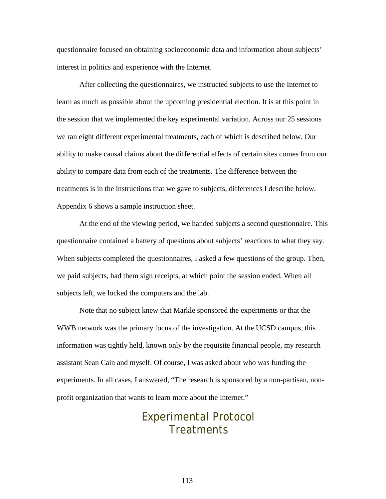questionnaire focused on obtaining socioeconomic data and information about subjects' interest in politics and experience with the Internet.

After collecting the questionnaires, we instructed subjects to use the Internet to learn as much as possible about the upcoming presidential election. It is at this point in the session that we implemented the key experimental variation. Across our 25 sessions we ran eight different experimental treatments, each of which is described below. Our ability to make causal claims about the differential effects of certain sites comes from our ability to compare data from each of the treatments. The difference between the treatments is in the instructions that we gave to subjects, differences I describe below. Appendix 6 shows a sample instruction sheet.

At the end of the viewing period, we handed subjects a second questionnaire. This questionnaire contained a battery of questions about subjects' reactions to what they say. When subjects completed the questionnaires, I asked a few questions of the group. Then, we paid subjects, had them sign receipts, at which point the session ended. When all subjects left, we locked the computers and the lab.

Note that no subject knew that Markle sponsored the experiments or that the WWB network was the primary focus of the investigation. At the UCSD campus, this information was tightly held, known only by the requisite financial people, my research assistant Sean Cain and myself. Of course, I was asked about who was funding the experiments. In all cases, I answered, "The research is sponsored by a non-partisan, nonprofit organization that wants to learn more about the Internet."

## Experimental Protocol **Treatments**

113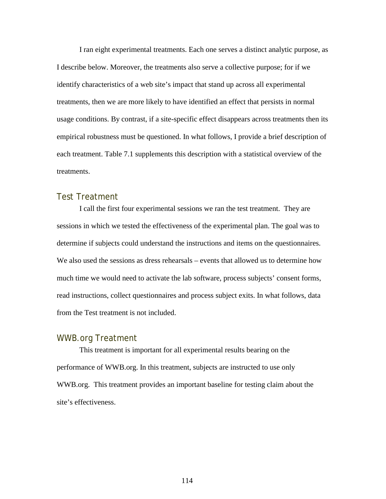I ran eight experimental treatments. Each one serves a distinct analytic purpose, as I describe below. Moreover, the treatments also serve a collective purpose; for if we identify characteristics of a web site's impact that stand up across all experimental treatments, then we are more likely to have identified an effect that persists in normal usage conditions. By contrast, if a site-specific effect disappears across treatments then its empirical robustness must be questioned. In what follows, I provide a brief description of each treatment. Table 7.1 supplements this description with a statistical overview of the treatments.

### Test Treatment

 I call the first four experimental sessions we ran the test treatment. They are sessions in which we tested the effectiveness of the experimental plan. The goal was to determine if subjects could understand the instructions and items on the questionnaires. We also used the sessions as dress rehearsals – events that allowed us to determine how much time we would need to activate the lab software, process subjects' consent forms, read instructions, collect questionnaires and process subject exits. In what follows, data from the Test treatment is not included.

#### WWB.org Treatment

 This treatment is important for all experimental results bearing on the performance of WWB.org. In this treatment, subjects are instructed to use only WWB.org. This treatment provides an important baseline for testing claim about the site's effectiveness.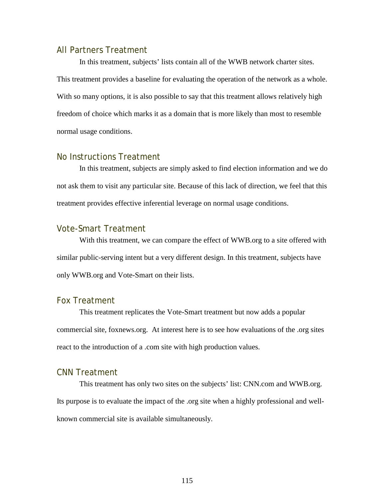### All Partners Treatment

 In this treatment, subjects' lists contain all of the WWB network charter sites. This treatment provides a baseline for evaluating the operation of the network as a whole. With so many options, it is also possible to say that this treatment allows relatively high freedom of choice which marks it as a domain that is more likely than most to resemble normal usage conditions.

### No Instructions Treatment

 In this treatment, subjects are simply asked to find election information and we do not ask them to visit any particular site. Because of this lack of direction, we feel that this treatment provides effective inferential leverage on normal usage conditions.

### Vote-Smart Treatment

 With this treatment, we can compare the effect of WWB.org to a site offered with similar public-serving intent but a very different design. In this treatment, subjects have only WWB.org and Vote-Smart on their lists.

### Fox Treatment

 This treatment replicates the Vote-Smart treatment but now adds a popular commercial site, foxnews.org. At interest here is to see how evaluations of the .org sites react to the introduction of a .com site with high production values.

### CNN Treatment

 This treatment has only two sites on the subjects' list: CNN.com and WWB.org. Its purpose is to evaluate the impact of the .org site when a highly professional and wellknown commercial site is available simultaneously.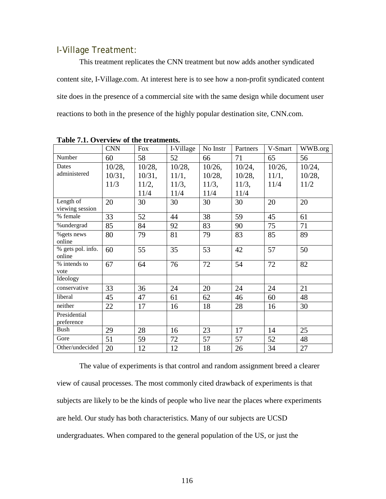### I-Village Treatment:

 This treatment replicates the CNN treatment but now adds another syndicated content site, I-Village.com. At interest here is to see how a non-profit syndicated content site does in the presence of a commercial site with the same design while document user reactions to both in the presence of the highly popular destination site, CNN.com.

|                             | <b>CNN</b> | <b>Fox</b> | I-Village | No Instr  | Partners  | V-Smart   | WWB.org   |
|-----------------------------|------------|------------|-----------|-----------|-----------|-----------|-----------|
| Number                      | 60         | 58         | 52        | 66        | 71        | 65        | 56        |
| Dates                       | $10/28$ ,  | $10/28$ ,  | 10/28,    | $10/26$ , | 10/24,    | $10/26$ , | 10/24,    |
| administered                | $10/31$ ,  | 10/31,     | 11/1,     | 10/28,    | $10/28$ , | 11/1,     | $10/28$ , |
|                             | 11/3       | 11/2,      | 11/3,     | 11/3,     | 11/3,     | 11/4      | 11/2      |
|                             |            | 11/4       | 11/4      | 11/4      | 11/4      |           |           |
| Length of                   | 20         | 30         | 30        | 30        | 30        | 20        | 20        |
| viewing session             |            |            |           |           |           |           |           |
| % female                    | 33         | 52         | 44        | 38        | 59        | 45        | 61        |
| %undergrad                  | 85         | 84         | 92        | 83        | 90        | 75        | 71        |
| % gets news<br>online       | 80         | 79         | 81        | 79        | 83        | 85        | 89        |
| % gets pol. info.<br>online | 60         | 55         | 35        | 53        | 42        | 57        | 50        |
| % intends to<br>vote        | 67         | 64         | 76        | 72        | 54        | 72        | 82        |
| Ideology                    |            |            |           |           |           |           |           |
| conservative                | 33         | 36         | 24        | 20        | 24        | 24        | 21        |
| liberal                     | 45         | 47         | 61        | 62        | 46        | 60        | 48        |
| neither                     | 22         | 17         | 16        | 18        | 28        | 16        | 30        |
| Presidential<br>preference  |            |            |           |           |           |           |           |
| Bush                        | 29         | 28         | 16        | 23        | 17        | 14        | 25        |
| Gore                        | 51         | 59         | 72        | 57        | 57        | 52        | 48        |
| Other/undecided             | 20         | 12         | 12        | 18        | 26        | 34        | 27        |

**Table 7.1. Overview of the treatments.** 

 The value of experiments is that control and random assignment breed a clearer view of causal processes. The most commonly cited drawback of experiments is that subjects are likely to be the kinds of people who live near the places where experiments are held. Our study has both characteristics. Many of our subjects are UCSD undergraduates. When compared to the general population of the US, or just the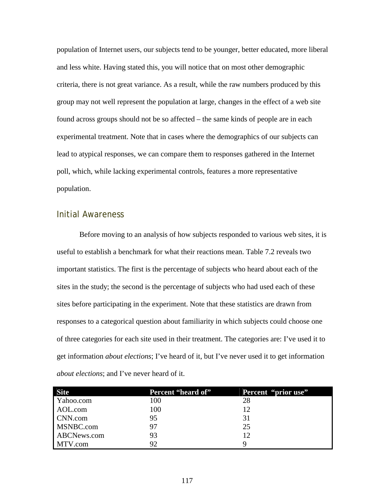population of Internet users, our subjects tend to be younger, better educated, more liberal and less white. Having stated this, you will notice that on most other demographic criteria, there is not great variance. As a result, while the raw numbers produced by this group may not well represent the population at large, changes in the effect of a web site found across groups should not be so affected – the same kinds of people are in each experimental treatment. Note that in cases where the demographics of our subjects can lead to atypical responses, we can compare them to responses gathered in the Internet poll, which, while lacking experimental controls, features a more representative population.

### Initial Awareness

 Before moving to an analysis of how subjects responded to various web sites, it is useful to establish a benchmark for what their reactions mean. Table 7.2 reveals two important statistics. The first is the percentage of subjects who heard about each of the sites in the study; the second is the percentage of subjects who had used each of these sites before participating in the experiment. Note that these statistics are drawn from responses to a categorical question about familiarity in which subjects could choose one of three categories for each site used in their treatment. The categories are: I've used it to get information *about elections*; I've heard of it, but I've never used it to get information *about elections*; and I've never heard of it.

| <b>Site</b> | Percent "heard of" | Percent "prior use" |
|-------------|--------------------|---------------------|
| Yahoo.com   | 100                | 28                  |
| AOL.com     | 100                | 12                  |
| CNN.com     | 95                 | 31                  |
| MSNBC.com   | 97                 | 25                  |
| ABCNews.com | 93                 | 12                  |
| MTV.com     | 92                 |                     |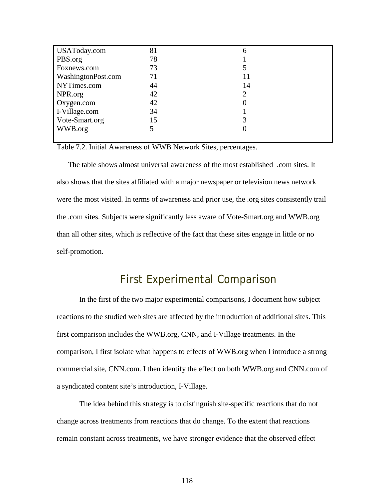| USAToday.com       | 81 | n  |
|--------------------|----|----|
| PBS.org            | 78 |    |
| Foxnews.com        | 73 |    |
| WashingtonPost.com | 71 |    |
| NYTimes.com        | 44 | 14 |
| NPR.org            | 42 |    |
| Oxygen.com         | 42 |    |
| I-Village.com      | 34 |    |
| Vote-Smart.org     | 15 |    |
| WWB.org            |    |    |
|                    |    |    |

Table 7.2. Initial Awareness of WWB Network Sites, percentages.

The table shows almost universal awareness of the most established .com sites. It also shows that the sites affiliated with a major newspaper or television news network were the most visited. In terms of awareness and prior use, the .org sites consistently trail the .com sites. Subjects were significantly less aware of Vote-Smart.org and WWB.org than all other sites, which is reflective of the fact that these sites engage in little or no self-promotion.

## First Experimental Comparison

In the first of the two major experimental comparisons, I document how subject reactions to the studied web sites are affected by the introduction of additional sites. This first comparison includes the WWB.org, CNN, and I-Village treatments. In the comparison, I first isolate what happens to effects of WWB.org when I introduce a strong commercial site, CNN.com. I then identify the effect on both WWB.org and CNN.com of a syndicated content site's introduction, I-Village.

The idea behind this strategy is to distinguish site-specific reactions that do not change across treatments from reactions that do change. To the extent that reactions remain constant across treatments, we have stronger evidence that the observed effect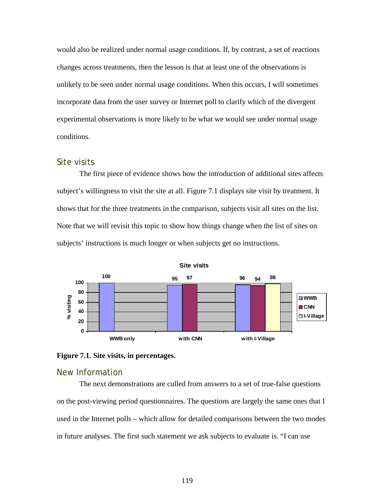would also be realized under normal usage conditions. If, by contrast, a set of reactions changes across treatments, then the lesson is that at least one of the observations is unlikely to be seen under normal usage conditions. When this occurs, I will sometimes incorporate data from the user survey or Internet poll to clarify which of the divergent experimental observations is more likely to be what we would see under normal usage conditions.

### Site visits

The first piece of evidence shows how the introduction of additional sites affects subject's willingness to visit the site at all. Figure 7.1 displays site visit by treatment. It shows that for the three treatments in the comparison, subjects visit all sites on the list. Note that we will revisit this topic to show how things change when the list of sites on subjects' instructions is much longer or when subjects get no instructions.





### New Information

The next demonstrations are culled from answers to a set of true-false questions on the post-viewing period questionnaires. The questions are largely the same ones that I used in the Internet polls – which allow for detailed comparisons between the two modes in future analyses. The first such statement we ask subjects to evaluate is. "I can use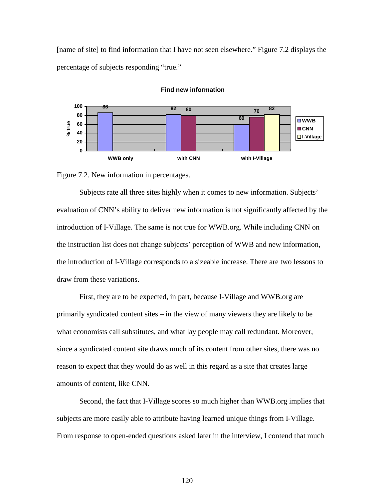[name of site] to find information that I have not seen elsewhere." Figure 7.2 displays the percentage of subjects responding "true."



#### **Find new information**

Figure 7.2. New information in percentages.

Subjects rate all three sites highly when it comes to new information. Subjects' evaluation of CNN's ability to deliver new information is not significantly affected by the introduction of I-Village. The same is not true for WWB.org. While including CNN on the instruction list does not change subjects' perception of WWB and new information, the introduction of I-Village corresponds to a sizeable increase. There are two lessons to draw from these variations.

First, they are to be expected, in part, because I-Village and WWB.org are primarily syndicated content sites – in the view of many viewers they are likely to be what economists call substitutes, and what lay people may call redundant. Moreover, since a syndicated content site draws much of its content from other sites, there was no reason to expect that they would do as well in this regard as a site that creates large amounts of content, like CNN.

Second, the fact that I-Village scores so much higher than WWB.org implies that subjects are more easily able to attribute having learned unique things from I-Village. From response to open-ended questions asked later in the interview, I contend that much

120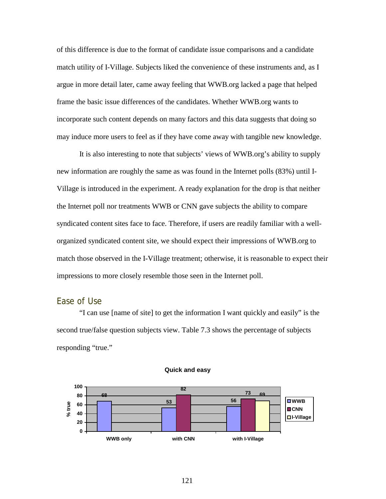of this difference is due to the format of candidate issue comparisons and a candidate match utility of I-Village. Subjects liked the convenience of these instruments and, as I argue in more detail later, came away feeling that WWB.org lacked a page that helped frame the basic issue differences of the candidates. Whether WWB.org wants to incorporate such content depends on many factors and this data suggests that doing so may induce more users to feel as if they have come away with tangible new knowledge.

It is also interesting to note that subjects' views of WWB.org's ability to supply new information are roughly the same as was found in the Internet polls (83%) until I-Village is introduced in the experiment. A ready explanation for the drop is that neither the Internet poll nor treatments WWB or CNN gave subjects the ability to compare syndicated content sites face to face. Therefore, if users are readily familiar with a wellorganized syndicated content site, we should expect their impressions of WWB.org to match those observed in the I-Village treatment; otherwise, it is reasonable to expect their impressions to more closely resemble those seen in the Internet poll.

### Ease of Use

"I can use [name of site] to get the information I want quickly and easily" is the second true/false question subjects view. Table 7.3 shows the percentage of subjects responding "true."



#### **Quick and easy**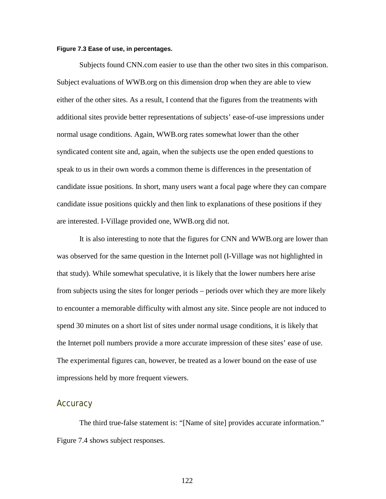#### **Figure 7.3 Ease of use, in percentages.**

Subjects found CNN.com easier to use than the other two sites in this comparison. Subject evaluations of WWB.org on this dimension drop when they are able to view either of the other sites. As a result, I contend that the figures from the treatments with additional sites provide better representations of subjects' ease-of-use impressions under normal usage conditions. Again, WWB.org rates somewhat lower than the other syndicated content site and, again, when the subjects use the open ended questions to speak to us in their own words a common theme is differences in the presentation of candidate issue positions. In short, many users want a focal page where they can compare candidate issue positions quickly and then link to explanations of these positions if they are interested. I-Village provided one, WWB.org did not.

It is also interesting to note that the figures for CNN and WWB.org are lower than was observed for the same question in the Internet poll (I-Village was not highlighted in that study). While somewhat speculative, it is likely that the lower numbers here arise from subjects using the sites for longer periods – periods over which they are more likely to encounter a memorable difficulty with almost any site. Since people are not induced to spend 30 minutes on a short list of sites under normal usage conditions, it is likely that the Internet poll numbers provide a more accurate impression of these sites' ease of use. The experimental figures can, however, be treated as a lower bound on the ease of use impressions held by more frequent viewers.

### **Accuracy**

The third true-false statement is: "[Name of site] provides accurate information." Figure 7.4 shows subject responses.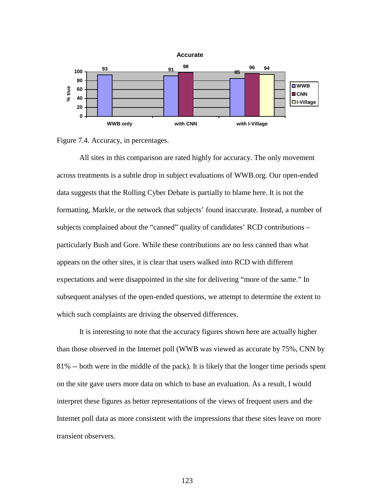



All sites in this comparison are rated highly for accuracy. The only movement across treatments is a subtle drop in subject evaluations of WWB.org. Our open-ended data suggests that the Rolling Cyber Debate is partially to blame here. It is not the formatting, Markle, or the network that subjects' found inaccurate. Instead, a number of subjects complained about the "canned" quality of candidates' RCD contributions – particularly Bush and Gore. While these contributions are no less canned than what appears on the other sites, it is clear that users walked into RCD with different expectations and were disappointed in the site for delivering "more of the same." In subsequent analyses of the open-ended questions, we attempt to determine the extent to which such complaints are driving the observed differences.

It is interesting to note that the accuracy figures shown here are actually higher than those observed in the Internet poll (WWB was viewed as accurate by 75%, CNN by 81% -- both were in the middle of the pack). It is likely that the longer time periods spent on the site gave users more data on which to base an evaluation. As a result, I would interpret these figures as better representations of the views of frequent users and the Internet poll data as more consistent with the impressions that these sites leave on more transient observers.

123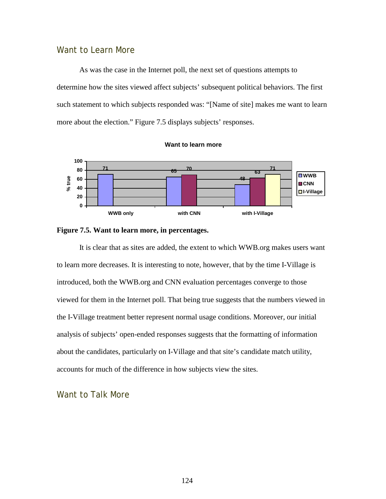### Want to Learn More

As was the case in the Internet poll, the next set of questions attempts to determine how the sites viewed affect subjects' subsequent political behaviors. The first such statement to which subjects responded was: "[Name of site] makes me want to learn more about the election." Figure 7.5 displays subjects' responses.







It is clear that as sites are added, the extent to which WWB.org makes users want to learn more decreases. It is interesting to note, however, that by the time I-Village is introduced, both the WWB.org and CNN evaluation percentages converge to those viewed for them in the Internet poll. That being true suggests that the numbers viewed in the I-Village treatment better represent normal usage conditions. Moreover, our initial analysis of subjects' open-ended responses suggests that the formatting of information about the candidates, particularly on I-Village and that site's candidate match utility, accounts for much of the difference in how subjects view the sites.

Want to Talk More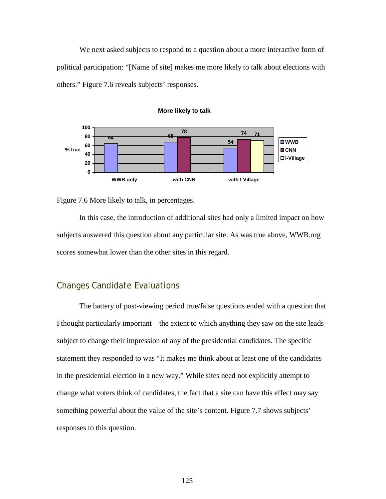We next asked subjects to respond to a question about a more interactive form of political participation: "[Name of site] makes me more likely to talk about elections with others." Figure 7.6 reveals subjects' responses.



#### **More likely to talk**

Figure 7.6 More likely to talk, in percentages.

In this case, the introduction of additional sites had only a limited impact on how subjects answered this question about any particular site. As was true above, WWB.org scores somewhat lower than the other sites in this regard.

### Changes Candidate Evaluations

The battery of post-viewing period true/false questions ended with a question that I thought particularly important – the extent to which anything they saw on the site leads subject to change their impression of any of the presidential candidates. The specific statement they responded to was "It makes me think about at least one of the candidates in the presidential election in a new way." While sites need not explicitly attempt to change what voters think of candidates, the fact that a site can have this effect may say something powerful about the value of the site's content. Figure 7.7 shows subjects' responses to this question.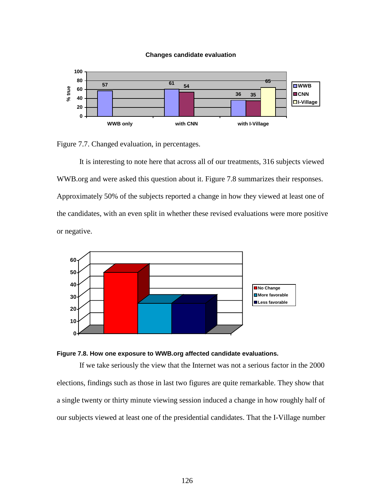#### **Changes candidate evaluation**



Figure 7.7. Changed evaluation, in percentages.

It is interesting to note here that across all of our treatments, 316 subjects viewed WWB.org and were asked this question about it. Figure 7.8 summarizes their responses. Approximately 50% of the subjects reported a change in how they viewed at least one of the candidates, with an even split in whether these revised evaluations were more positive or negative.





If we take seriously the view that the Internet was not a serious factor in the 2000 elections, findings such as those in last two figures are quite remarkable. They show that a single twenty or thirty minute viewing session induced a change in how roughly half of our subjects viewed at least one of the presidential candidates. That the I-Village number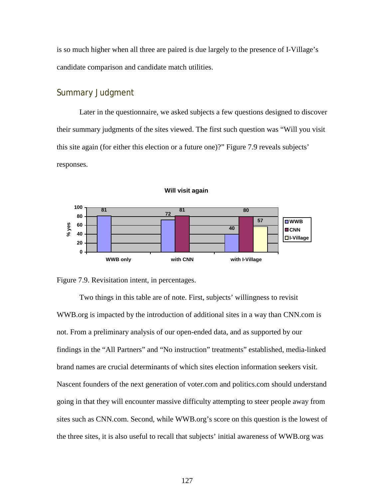is so much higher when all three are paired is due largely to the presence of I-Village's candidate comparison and candidate match utilities.

### Summary Judgment

Later in the questionnaire, we asked subjects a few questions designed to discover their summary judgments of the sites viewed. The first such question was "Will you visit this site again (for either this election or a future one)?" Figure 7.9 reveals subjects' responses.



#### **Will visit again**

Figure 7.9. Revisitation intent, in percentages.

Two things in this table are of note. First, subjects' willingness to revisit WWB.org is impacted by the introduction of additional sites in a way than CNN.com is not. From a preliminary analysis of our open-ended data, and as supported by our findings in the "All Partners" and "No instruction" treatments" established, media-linked brand names are crucial determinants of which sites election information seekers visit. Nascent founders of the next generation of voter.com and politics.com should understand going in that they will encounter massive difficulty attempting to steer people away from sites such as CNN.com. Second, while WWB.org's score on this question is the lowest of the three sites, it is also useful to recall that subjects' initial awareness of WWB.org was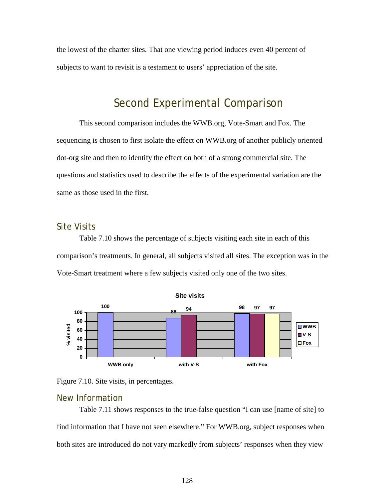the lowest of the charter sites. That one viewing period induces even 40 percent of subjects to want to revisit is a testament to users' appreciation of the site.

## Second Experimental Comparison

This second comparison includes the WWB.org, Vote-Smart and Fox. The sequencing is chosen to first isolate the effect on WWB.org of another publicly oriented dot-org site and then to identify the effect on both of a strong commercial site. The questions and statistics used to describe the effects of the experimental variation are the same as those used in the first.

### Site Visits

Table 7.10 shows the percentage of subjects visiting each site in each of this comparison's treatments. In general, all subjects visited all sites. The exception was in the Vote-Smart treatment where a few subjects visited only one of the two sites.





#### New Information

Table 7.11 shows responses to the true-false question "I can use [name of site] to find information that I have not seen elsewhere." For WWB.org, subject responses when both sites are introduced do not vary markedly from subjects' responses when they view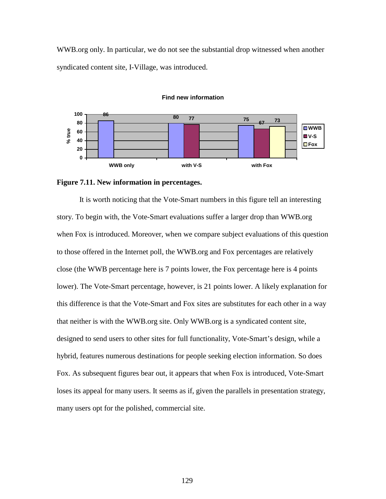WWB.org only. In particular, we do not see the substantial drop witnessed when another syndicated content site, I-Village, was introduced.



#### **Find new information**

It is worth noticing that the Vote-Smart numbers in this figure tell an interesting story. To begin with, the Vote-Smart evaluations suffer a larger drop than WWB.org when Fox is introduced. Moreover, when we compare subject evaluations of this question to those offered in the Internet poll, the WWB.org and Fox percentages are relatively close (the WWB percentage here is 7 points lower, the Fox percentage here is 4 points lower). The Vote-Smart percentage, however, is 21 points lower. A likely explanation for this difference is that the Vote-Smart and Fox sites are substitutes for each other in a way that neither is with the WWB.org site. Only WWB.org is a syndicated content site, designed to send users to other sites for full functionality, Vote-Smart's design, while a hybrid, features numerous destinations for people seeking election information. So does Fox. As subsequent figures bear out, it appears that when Fox is introduced, Vote-Smart loses its appeal for many users. It seems as if, given the parallels in presentation strategy, many users opt for the polished, commercial site.

**Figure 7.11. New information in percentages.**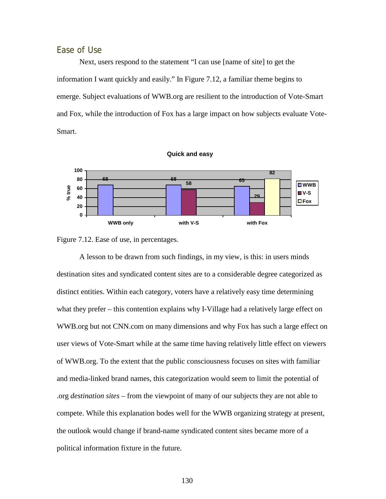### Ease of Use

Next, users respond to the statement "I can use [name of site] to get the information I want quickly and easily." In Figure 7.12, a familiar theme begins to emerge. Subject evaluations of WWB.org are resilient to the introduction of Vote-Smart and Fox, while the introduction of Fox has a large impact on how subjects evaluate Vote-Smart.





A lesson to be drawn from such findings, in my view, is this: in users minds destination sites and syndicated content sites are to a considerable degree categorized as distinct entities. Within each category, voters have a relatively easy time determining what they prefer – this contention explains why I-Village had a relatively large effect on WWB.org but not CNN.com on many dimensions and why Fox has such a large effect on user views of Vote-Smart while at the same time having relatively little effect on viewers of WWB.org. To the extent that the public consciousness focuses on sites with familiar and media-linked brand names, this categorization would seem to limit the potential of .org *destination sites* – from the viewpoint of many of our subjects they are not able to compete. While this explanation bodes well for the WWB organizing strategy at present, the outlook would change if brand-name syndicated content sites became more of a political information fixture in the future.

130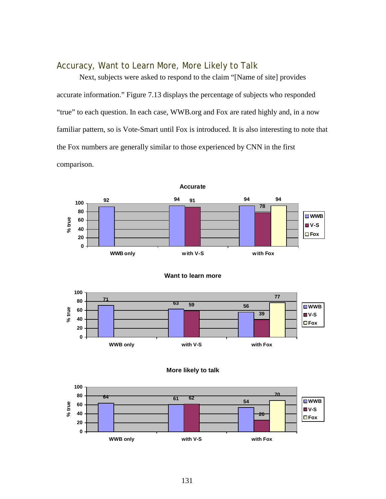### Accuracy, Want to Learn More, More Likely to Talk

Next, subjects were asked to respond to the claim "[Name of site] provides accurate information." Figure 7.13 displays the percentage of subjects who responded "true" to each question. In each case, WWB.org and Fox are rated highly and, in a now familiar pattern, so is Vote-Smart until Fox is introduced. It is also interesting to note that the Fox numbers are generally similar to those experienced by CNN in the first comparison.









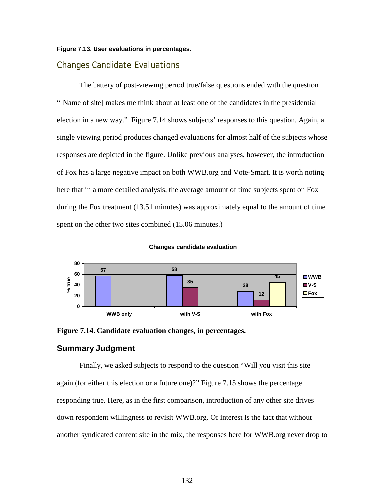#### **Figure 7.13. User evaluations in percentages.**

#### Changes Candidate Evaluations

The battery of post-viewing period true/false questions ended with the question "[Name of site] makes me think about at least one of the candidates in the presidential election in a new way." Figure 7.14 shows subjects' responses to this question. Again, a single viewing period produces changed evaluations for almost half of the subjects whose responses are depicted in the figure. Unlike previous analyses, however, the introduction of Fox has a large negative impact on both WWB.org and Vote-Smart. It is worth noting here that in a more detailed analysis, the average amount of time subjects spent on Fox during the Fox treatment (13.51 minutes) was approximately equal to the amount of time spent on the other two sites combined  $(15.06 \text{ minutes.})$ 







#### **Summary Judgment**

Finally, we asked subjects to respond to the question "Will you visit this site again (for either this election or a future one)?" Figure 7.15 shows the percentage responding true. Here, as in the first comparison, introduction of any other site drives down respondent willingness to revisit WWB.org. Of interest is the fact that without another syndicated content site in the mix, the responses here for WWB.org never drop to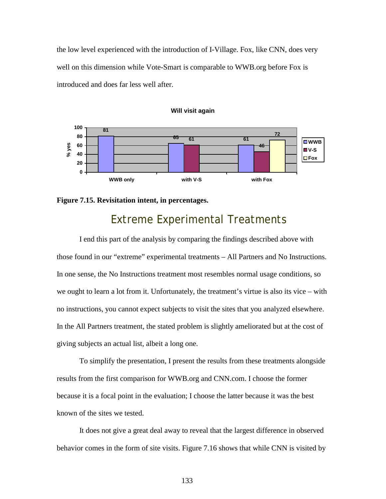the low level experienced with the introduction of I-Village. Fox, like CNN, does very well on this dimension while Vote-Smart is comparable to WWB.org before Fox is introduced and does far less well after.



#### **Will visit again**



## Extreme Experimental Treatments

 I end this part of the analysis by comparing the findings described above with those found in our "extreme" experimental treatments – All Partners and No Instructions. In one sense, the No Instructions treatment most resembles normal usage conditions, so we ought to learn a lot from it. Unfortunately, the treatment's virtue is also its vice – with no instructions, you cannot expect subjects to visit the sites that you analyzed elsewhere. In the All Partners treatment, the stated problem is slightly ameliorated but at the cost of giving subjects an actual list, albeit a long one.

 To simplify the presentation, I present the results from these treatments alongside results from the first comparison for WWB.org and CNN.com. I choose the former because it is a focal point in the evaluation; I choose the latter because it was the best known of the sites we tested.

 It does not give a great deal away to reveal that the largest difference in observed behavior comes in the form of site visits. Figure 7.16 shows that while CNN is visited by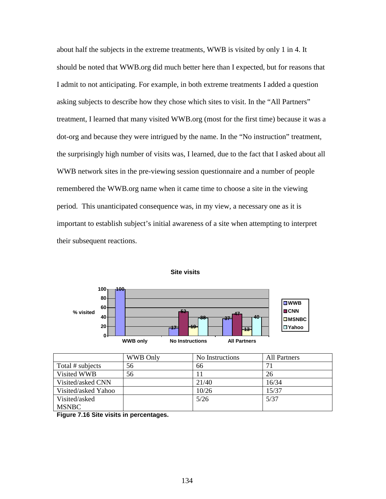about half the subjects in the extreme treatments, WWB is visited by only 1 in 4. It should be noted that WWB.org did much better here than I expected, but for reasons that I admit to not anticipating. For example, in both extreme treatments I added a question asking subjects to describe how they chose which sites to visit. In the "All Partners" treatment, I learned that many visited WWB.org (most for the first time) because it was a dot-org and because they were intrigued by the name. In the "No instruction" treatment, the surprisingly high number of visits was, I learned, due to the fact that I asked about all WWB network sites in the pre-viewing session questionnaire and a number of people remembered the WWB.org name when it came time to choose a site in the viewing period. This unanticipated consequence was, in my view, a necessary one as it is important to establish subject's initial awareness of a site when attempting to interpret their subsequent reactions.



**Site visits**

|                                        | <b>WWB Only</b> | No Instructions | <b>All Partners</b> |  |
|----------------------------------------|-----------------|-----------------|---------------------|--|
| Total # subjects                       | 56              | 66              |                     |  |
| Visited WWB                            | 56              |                 | 26                  |  |
| Visited/asked CNN                      |                 | 21/40           | 16/34               |  |
| Visited/asked Yahoo                    |                 | 10/26           | 15/37               |  |
| Visited/asked                          |                 | 5/26            | 5/37                |  |
| <b>MSNBC</b>                           |                 |                 |                     |  |
| Figure 7.46 Site vicits in perceptages |                 |                 |                     |  |

**Figure 7.16 Site visits in percentages.**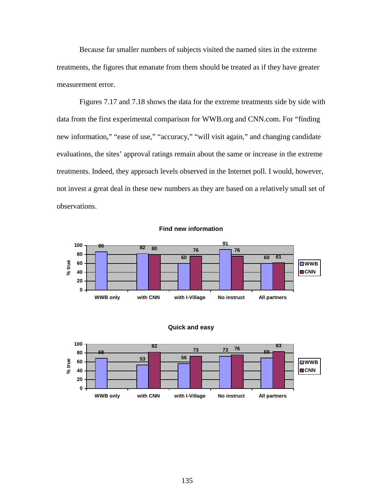Because far smaller numbers of subjects visited the named sites in the extreme treatments, the figures that emanate from them should be treated as if they have greater measurement error.

Figures 7.17 and 7.18 shows the data for the extreme treatments side by side with data from the first experimental comparison for WWB.org and CNN.com. For "finding new information," "ease of use," "accuracy," "will visit again," and changing candidate evaluations, the sites' approval ratings remain about the same or increase in the extreme treatments. Indeed, they approach levels observed in the Internet poll. I would, however, not invest a great deal in these new numbers as they are based on a relatively small set of observations.





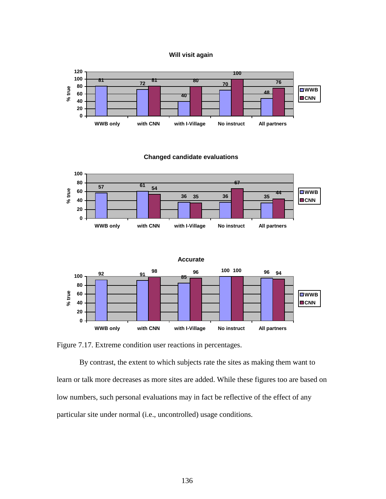



**Changed candidate evaluations**





Figure 7.17. Extreme condition user reactions in percentages.

By contrast, the extent to which subjects rate the sites as making them want to learn or talk more decreases as more sites are added. While these figures too are based on low numbers, such personal evaluations may in fact be reflective of the effect of any particular site under normal (i.e., uncontrolled) usage conditions.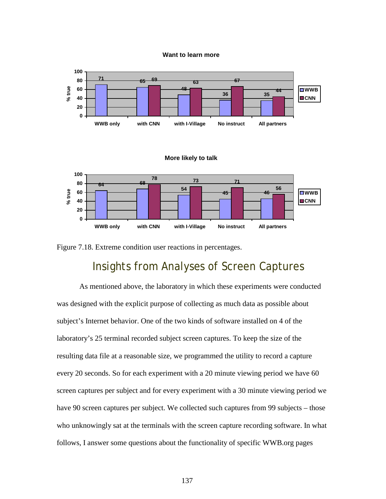**Want to learn more**



Figure 7.18. Extreme condition user reactions in percentages.

## Insights from Analyses of Screen Captures

 As mentioned above, the laboratory in which these experiments were conducted was designed with the explicit purpose of collecting as much data as possible about subject's Internet behavior. One of the two kinds of software installed on 4 of the laboratory's 25 terminal recorded subject screen captures. To keep the size of the resulting data file at a reasonable size, we programmed the utility to record a capture every 20 seconds. So for each experiment with a 20 minute viewing period we have 60 screen captures per subject and for every experiment with a 30 minute viewing period we have 90 screen captures per subject. We collected such captures from 99 subjects – those who unknowingly sat at the terminals with the screen capture recording software. In what follows, I answer some questions about the functionality of specific WWB.org pages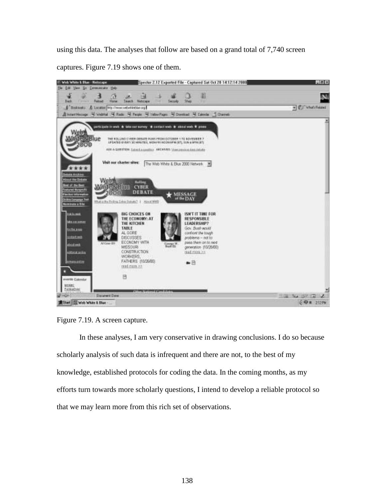using this data. The analyses that follow are based on a grand total of 7,740 screen

captures. Figure 7.19 shows one of them.



Figure 7.19. A screen capture.

In these analyses, I am very conservative in drawing conclusions. I do so because scholarly analysis of such data is infrequent and there are not, to the best of my knowledge, established protocols for coding the data. In the coming months, as my efforts turn towards more scholarly questions, I intend to develop a reliable protocol so that we may learn more from this rich set of observations.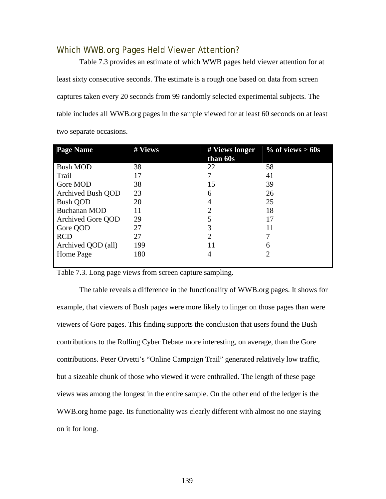### Which WWB.org Pages Held Viewer Attention?

 Table 7.3 provides an estimate of which WWB pages held viewer attention for at least sixty consecutive seconds. The estimate is a rough one based on data from screen captures taken every 20 seconds from 99 randomly selected experimental subjects. The table includes all WWB.org pages in the sample viewed for at least 60 seconds on at least two separate occasions.

| <b>Page Name</b>   | # Views | # Views longer | $\%$ of views > 60s |
|--------------------|---------|----------------|---------------------|
|                    |         | than 60s       |                     |
| <b>Bush MOD</b>    | 38      | 22             | 58                  |
| Trail              | 17      |                | 41                  |
| Gore MOD           | 38      | 15             | 39                  |
| Archived Bush QOD  | 23      | 6              | 26                  |
| <b>Bush QOD</b>    | 20      |                | 25                  |
| Buchanan MOD       | 11      | 2              | 18                  |
| Archived Gore QOD  | 29      | 5              | 17                  |
| Gore QOD           | 27      | 3              | 11                  |
| <b>RCD</b>         | 27      | 2              |                     |
| Archived QOD (all) | 199     | 11             | 6                   |
| Home Page          | 180     | 4              |                     |
|                    |         |                |                     |

Table 7.3. Long page views from screen capture sampling.

 The table reveals a difference in the functionality of WWB.org pages. It shows for example, that viewers of Bush pages were more likely to linger on those pages than were viewers of Gore pages. This finding supports the conclusion that users found the Bush contributions to the Rolling Cyber Debate more interesting, on average, than the Gore contributions. Peter Orvetti's "Online Campaign Trail" generated relatively low traffic, but a sizeable chunk of those who viewed it were enthralled. The length of these page views was among the longest in the entire sample. On the other end of the ledger is the WWB.org home page. Its functionality was clearly different with almost no one staying on it for long.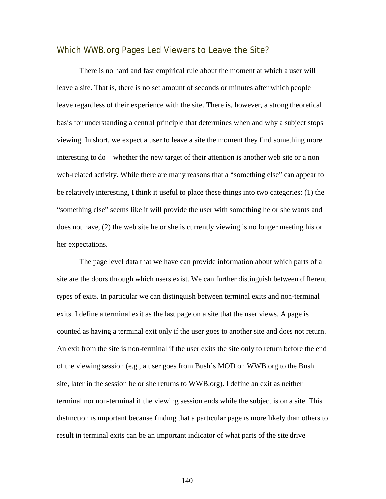### Which WWB.org Pages Led Viewers to Leave the Site?

There is no hard and fast empirical rule about the moment at which a user will leave a site. That is, there is no set amount of seconds or minutes after which people leave regardless of their experience with the site. There is, however, a strong theoretical basis for understanding a central principle that determines when and why a subject stops viewing. In short, we expect a user to leave a site the moment they find something more interesting to do – whether the new target of their attention is another web site or a non web-related activity. While there are many reasons that a "something else" can appear to be relatively interesting, I think it useful to place these things into two categories: (1) the "something else" seems like it will provide the user with something he or she wants and does not have, (2) the web site he or she is currently viewing is no longer meeting his or her expectations.

The page level data that we have can provide information about which parts of a site are the doors through which users exist. We can further distinguish between different types of exits. In particular we can distinguish between terminal exits and non-terminal exits. I define a terminal exit as the last page on a site that the user views. A page is counted as having a terminal exit only if the user goes to another site and does not return. An exit from the site is non-terminal if the user exits the site only to return before the end of the viewing session (e.g., a user goes from Bush's MOD on WWB.org to the Bush site, later in the session he or she returns to WWB.org). I define an exit as neither terminal nor non-terminal if the viewing session ends while the subject is on a site. This distinction is important because finding that a particular page is more likely than others to result in terminal exits can be an important indicator of what parts of the site drive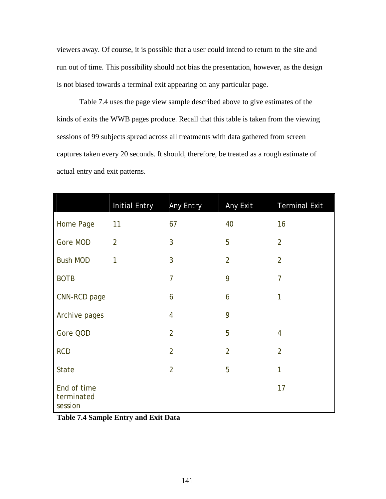viewers away. Of course, it is possible that a user could intend to return to the site and run out of time. This possibility should not bias the presentation, however, as the design is not biased towards a terminal exit appearing on any particular page.

Table 7.4 uses the page view sample described above to give estimates of the kinds of exits the WWB pages produce. Recall that this table is taken from the viewing sessions of 99 subjects spread across all treatments with data gathered from screen captures taken every 20 seconds. It should, therefore, be treated as a rough estimate of actual entry and exit patterns.

|                                      | <b>Initial Entry</b> | Any Entry      | Any Exit       | <b>Terminal Exit</b> |
|--------------------------------------|----------------------|----------------|----------------|----------------------|
| Home Page                            | 11                   | 67             | 40             | 16                   |
| Gore MOD                             | $\overline{2}$       | 3              | 5              | $\overline{2}$       |
| <b>Bush MOD</b>                      | 1                    | 3              | $\overline{2}$ | $\overline{2}$       |
| <b>BOTB</b>                          |                      | $\overline{7}$ | 9              | $\overline{7}$       |
| CNN-RCD page                         |                      | 6              | 6              | 1                    |
| Archive pages                        |                      | $\overline{4}$ | 9              |                      |
| Gore QOD                             |                      | $\overline{2}$ | 5              | 4                    |
| <b>RCD</b>                           |                      | $\overline{2}$ | $\overline{2}$ | $\overline{2}$       |
| State                                |                      | $\overline{2}$ | 5              | 1                    |
| End of time<br>terminated<br>session |                      |                |                | 17                   |

**Table 7.4 Sample Entry and Exit Data**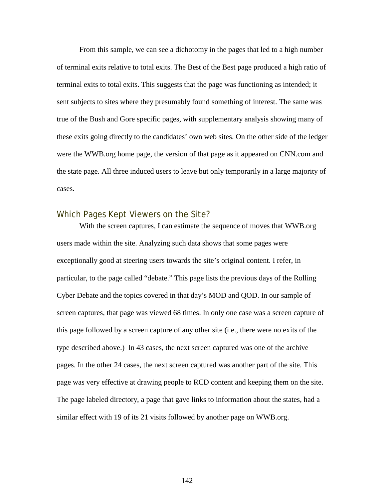From this sample, we can see a dichotomy in the pages that led to a high number of terminal exits relative to total exits. The Best of the Best page produced a high ratio of terminal exits to total exits. This suggests that the page was functioning as intended; it sent subjects to sites where they presumably found something of interest. The same was true of the Bush and Gore specific pages, with supplementary analysis showing many of these exits going directly to the candidates' own web sites. On the other side of the ledger were the WWB.org home page, the version of that page as it appeared on CNN.com and the state page. All three induced users to leave but only temporarily in a large majority of cases.

### Which Pages Kept Viewers on the Site?

With the screen captures, I can estimate the sequence of moves that WWB.org users made within the site. Analyzing such data shows that some pages were exceptionally good at steering users towards the site's original content. I refer, in particular, to the page called "debate." This page lists the previous days of the Rolling Cyber Debate and the topics covered in that day's MOD and QOD. In our sample of screen captures, that page was viewed 68 times. In only one case was a screen capture of this page followed by a screen capture of any other site (i.e., there were no exits of the type described above.) In 43 cases, the next screen captured was one of the archive pages. In the other 24 cases, the next screen captured was another part of the site. This page was very effective at drawing people to RCD content and keeping them on the site. The page labeled directory, a page that gave links to information about the states, had a similar effect with 19 of its 21 visits followed by another page on WWB.org.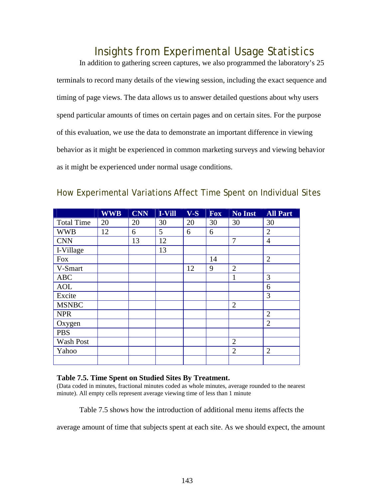### Insights from Experimental Usage Statistics

In addition to gathering screen captures, we also programmed the laboratory's 25 terminals to record many details of the viewing session, including the exact sequence and timing of page views. The data allows us to answer detailed questions about why users spend particular amounts of times on certain pages and on certain sites. For the purpose of this evaluation, we use the data to demonstrate an important difference in viewing behavior as it might be experienced in common marketing surveys and viewing behavior as it might be experienced under normal usage conditions.

|                   | <b>WWB</b> | <b>CNN</b> | I-Vill | $V-S$ | <b>Fox</b> | No Inst        | <b>All Part</b> |
|-------------------|------------|------------|--------|-------|------------|----------------|-----------------|
| <b>Total Time</b> | 20         | 20         | 30     | 20    | 30         | 30             | 30              |
| <b>WWB</b>        | 12         | 6          | 5      | 6     | 6          |                | $\overline{2}$  |
| <b>CNN</b>        |            | 13         | 12     |       |            | 7              | $\overline{4}$  |
| I-Village         |            |            | 13     |       |            |                |                 |
| Fox               |            |            |        |       | 14         |                | $\overline{2}$  |
| V-Smart           |            |            |        | 12    | 9          | $\overline{2}$ |                 |
| <b>ABC</b>        |            |            |        |       |            | 1              | 3               |
| <b>AOL</b>        |            |            |        |       |            |                | 6               |
| Excite            |            |            |        |       |            |                | 3               |
| <b>MSNBC</b>      |            |            |        |       |            | $\overline{2}$ |                 |
| <b>NPR</b>        |            |            |        |       |            |                | $\overline{2}$  |
| Oxygen            |            |            |        |       |            |                | $\overline{2}$  |
| <b>PBS</b>        |            |            |        |       |            |                |                 |
| Wash Post         |            |            |        |       |            | $\overline{2}$ |                 |
| Yahoo             |            |            |        |       |            | $\overline{2}$ | $\overline{2}$  |
|                   |            |            |        |       |            |                |                 |

#### How Experimental Variations Affect Time Spent on Individual Sites

#### **Table 7.5. Time Spent on Studied Sites By Treatment.**

(Data coded in minutes, fractional minutes coded as whole minutes, average rounded to the nearest minute). All empty cells represent average viewing time of less than 1 minute

Table 7.5 shows how the introduction of additional menu items affects the

average amount of time that subjects spent at each site. As we should expect, the amount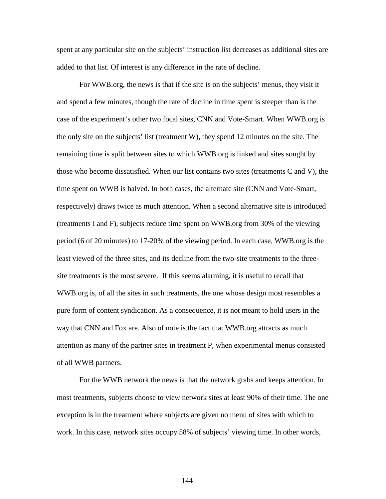spent at any particular site on the subjects' instruction list decreases as additional sites are added to that list. Of interest is any difference in the rate of decline.

For WWB.org, the news is that if the site is on the subjects' menus, they visit it and spend a few minutes, though the rate of decline in time spent is steeper than is the case of the experiment's other two focal sites, CNN and Vote-Smart. When WWB.org is the only site on the subjects' list (treatment W), they spend 12 minutes on the site. The remaining time is split between sites to which WWB.org is linked and sites sought by those who become dissatisfied. When our list contains two sites (treatments C and V), the time spent on WWB is halved. In both cases, the alternate site (CNN and Vote-Smart, respectively) draws twice as much attention. When a second alternative site is introduced (treatments I and F), subjects reduce time spent on WWB.org from 30% of the viewing period (6 of 20 minutes) to 17-20% of the viewing period. In each case, WWB.org is the least viewed of the three sites, and its decline from the two-site treatments to the threesite treatments is the most severe. If this seems alarming, it is useful to recall that WWB.org is, of all the sites in such treatments, the one whose design most resembles a pure form of content syndication. As a consequence, it is not meant to hold users in the way that CNN and Fox are. Also of note is the fact that WWB.org attracts as much attention as many of the partner sites in treatment P, when experimental menus consisted of all WWB partners.

For the WWB network the news is that the network grabs and keeps attention. In most treatments, subjects choose to view network sites at least 90% of their time. The one exception is in the treatment where subjects are given no menu of sites with which to work. In this case, network sites occupy 58% of subjects' viewing time. In other words,

144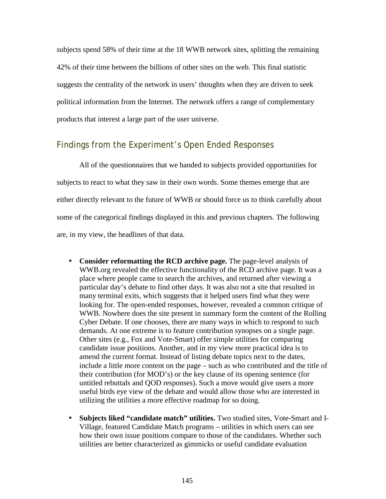subjects spend 58% of their time at the 18 WWB network sites, splitting the remaining 42% of their time between the billions of other sites on the web. This final statistic suggests the centrality of the network in users' thoughts when they are driven to seek political information from the Internet. The network offers a range of complementary products that interest a large part of the user universe.

#### Findings from the Experiment's Open Ended Responses

 All of the questionnaires that we handed to subjects provided opportunities for subjects to react to what they saw in their own words. Some themes emerge that are either directly relevant to the future of WWB or should force us to think carefully about some of the categorical findings displayed in this and previous chapters. The following are, in my view, the headlines of that data.

- **Consider reformatting the RCD archive page.** The page-level analysis of WWB.org revealed the effective functionality of the RCD archive page. It was a place where people came to search the archives, and returned after viewing a particular day's debate to find other days. It was also not a site that resulted in many terminal exits, which suggests that it helped users find what they were looking for. The open-ended responses, however, revealed a common critique of WWB. Nowhere does the site present in summary form the content of the Rolling Cyber Debate. If one chooses, there are many ways in which to respond to such demands. At one extreme is to feature contribution synopses on a single page. Other sites (e.g., Fox and Vote-Smart) offer simple utilities for comparing candidate issue positions. Another, and in my view more practical idea is to amend the current format. Instead of listing debate topics next to the dates, include a little more content on the page – such as who contributed and the title of their contribution (for MOD's) or the key clause of its opening sentence (for untitled rebuttals and QOD responses). Such a move would give users a more useful birds eye view of the debate and would allow those who are interested in utilizing the utilities a more effective roadmap for so doing.
- **Subjects liked "candidate match" utilities.** Two studied sites, Vote-Smart and I-Village, featured Candidate Match programs – utilities in which users can see how their own issue positions compare to those of the candidates. Whether such utilities are better characterized as gimmicks or useful candidate evaluation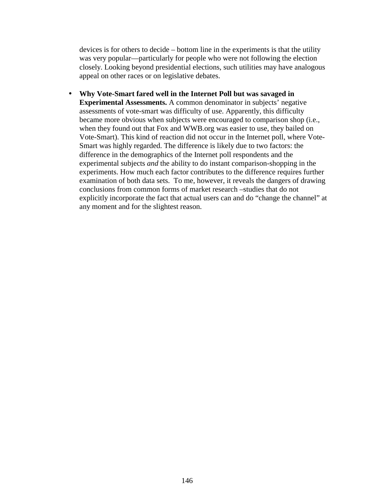devices is for others to decide – bottom line in the experiments is that the utility was very popular—particularly for people who were not following the election closely. Looking beyond presidential elections, such utilities may have analogous appeal on other races or on legislative debates.

• **Why Vote-Smart fared well in the Internet Poll but was savaged in Experimental Assessments.** A common denominator in subjects' negative assessments of vote-smart was difficulty of use. Apparently, this difficulty became more obvious when subjects were encouraged to comparison shop (i.e., when they found out that Fox and WWB.org was easier to use, they bailed on Vote-Smart). This kind of reaction did not occur in the Internet poll, where Vote-Smart was highly regarded. The difference is likely due to two factors: the difference in the demographics of the Internet poll respondents and the experimental subjects *and* the ability to do instant comparison-shopping in the experiments. How much each factor contributes to the difference requires further examination of both data sets. To me, however, it reveals the dangers of drawing conclusions from common forms of market research –studies that do not explicitly incorporate the fact that actual users can and do "change the channel" at any moment and for the slightest reason.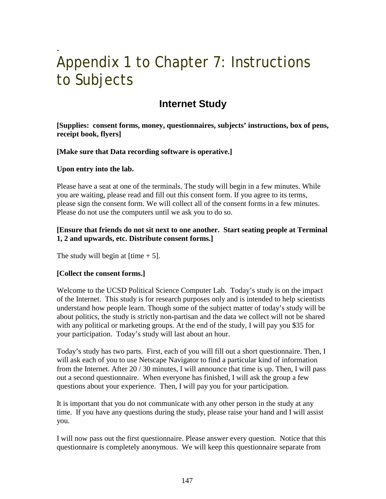### **-**  Appendix 1 to Chapter 7: Instructions to Subjects

### **Internet Study**

**[Supplies: consent forms, money, questionnaires, subjects' instructions, box of pens, receipt book, flyers]** 

**[Make sure that Data recording software is operative.]** 

#### **Upon entry into the lab.**

Please have a seat at one of the terminals. The study will begin in a few minutes. While you are waiting, please read and fill out this consent form. If you agree to its terms, please sign the consent form. We will collect all of the consent forms in a few minutes. Please do not use the computers until we ask you to do so.

#### **[Ensure that friends do not sit next to one another. Start seating people at Terminal 1, 2 and upwards, etc. Distribute consent forms.]**

The study will begin at  $[time + 5]$ .

#### **[Collect the consent forms.]**

Welcome to the UCSD Political Science Computer Lab. Today's study is on the impact of the Internet. This study is for research purposes only and is intended to help scientists understand how people learn. Though some of the subject matter of today's study will be about politics, the study is strictly non-partisan and the data we collect will not be shared with any political or marketing groups. At the end of the study, I will pay you \$35 for your participation. Today's study will last about an hour.

Today's study has two parts. First, each of you will fill out a short questionnaire. Then, I will ask each of you to use Netscape Navigator to find a particular kind of information from the Internet. After 20 / 30 minutes, I will announce that time is up. Then, I will pass out a second questionnaire. When everyone has finished, I will ask the group a few questions about your experience. Then, I will pay you for your participation.

It is important that you do not communicate with any other person in the study at any time. If you have any questions during the study, please raise your hand and I will assist you.

I will now pass out the first questionnaire. Please answer every question. Notice that this questionnaire is completely anonymous. We will keep this questionnaire separate from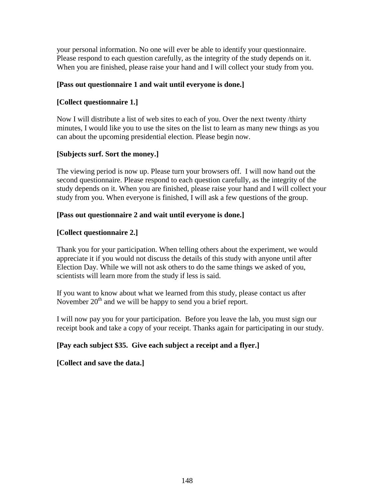your personal information. No one will ever be able to identify your questionnaire. Please respond to each question carefully, as the integrity of the study depends on it. When you are finished, please raise your hand and I will collect your study from you.

#### **[Pass out questionnaire 1 and wait until everyone is done.]**

#### **[Collect questionnaire 1.]**

Now I will distribute a list of web sites to each of you. Over the next twenty /thirty minutes, I would like you to use the sites on the list to learn as many new things as you can about the upcoming presidential election. Please begin now.

#### **[Subjects surf. Sort the money.]**

The viewing period is now up. Please turn your browsers off. I will now hand out the second questionnaire. Please respond to each question carefully, as the integrity of the study depends on it. When you are finished, please raise your hand and I will collect your study from you. When everyone is finished, I will ask a few questions of the group.

#### **[Pass out questionnaire 2 and wait until everyone is done.]**

#### **[Collect questionnaire 2.]**

Thank you for your participation. When telling others about the experiment, we would appreciate it if you would not discuss the details of this study with anyone until after Election Day. While we will not ask others to do the same things we asked of you, scientists will learn more from the study if less is said.

If you want to know about what we learned from this study, please contact us after November  $20<sup>th</sup>$  and we will be happy to send you a brief report.

I will now pay you for your participation. Before you leave the lab, you must sign our receipt book and take a copy of your receipt. Thanks again for participating in our study.

#### **[Pay each subject \$35. Give each subject a receipt and a flyer.]**

#### **[Collect and save the data.]**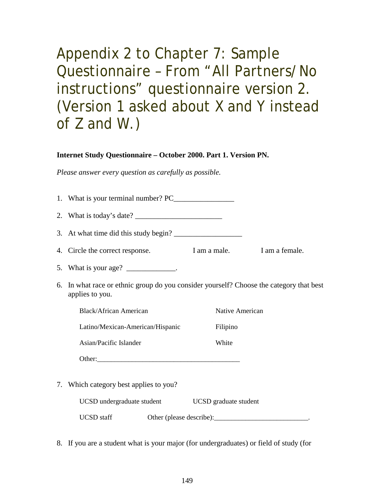Appendix 2 to Chapter 7: Sample Questionnaire – From "All Partners/No instructions" questionnaire version 2. (Version 1 asked about X and Y instead of Z and W.)

#### **Internet Study Questionnaire – October 2000. Part 1. Version PN.**

*Please answer every question as carefully as possible.* 

|    | 2. What is today's date? $\frac{1}{\sqrt{1-\frac{1}{\sqrt{1-\frac{1}{\sqrt{1-\frac{1}{\sqrt{1-\frac{1}{\sqrt{1-\frac{1}{\sqrt{1-\frac{1}{\sqrt{1-\frac{1}{\sqrt{1-\frac{1}{\sqrt{1-\frac{1}{\sqrt{1-\frac{1}{\sqrt{1-\frac{1}{\sqrt{1-\frac{1}{\sqrt{1-\frac{1}{\sqrt{1-\frac{1}{\sqrt{1-\frac{1}{\sqrt{1-\frac{1}{\sqrt{1-\frac{1}{\sqrt{1-\frac{1}{\sqrt{1-\frac{1}{\sqrt{1-\frac{1}{\sqrt{1-\frac{1}{\$ |                       |                             |
|----|------------------------------------------------------------------------------------------------------------------------------------------------------------------------------------------------------------------------------------------------------------------------------------------------------------------------------------------------------------------------------------------------------------|-----------------------|-----------------------------|
|    |                                                                                                                                                                                                                                                                                                                                                                                                            |                       |                             |
|    | 4. Circle the correct response.                                                                                                                                                                                                                                                                                                                                                                            |                       | I am a male. I am a female. |
|    | 5. What is your age? $\frac{1}{\sqrt{1-\frac{1}{2}}}\$                                                                                                                                                                                                                                                                                                                                                     |                       |                             |
|    | 6. In what race or ethnic group do you consider yourself? Choose the category that best<br>applies to you.                                                                                                                                                                                                                                                                                                 |                       |                             |
|    | Black/African American                                                                                                                                                                                                                                                                                                                                                                                     | Native American       |                             |
|    | Latino/Mexican-American/Hispanic                                                                                                                                                                                                                                                                                                                                                                           | Filipino              |                             |
|    | Asian/Pacific Islander                                                                                                                                                                                                                                                                                                                                                                                     | White                 |                             |
|    |                                                                                                                                                                                                                                                                                                                                                                                                            |                       |                             |
| 7. | Which category best applies to you?                                                                                                                                                                                                                                                                                                                                                                        |                       |                             |
|    | UCSD undergraduate student                                                                                                                                                                                                                                                                                                                                                                                 | UCSD graduate student |                             |
|    | <b>UCSD</b> staff                                                                                                                                                                                                                                                                                                                                                                                          |                       |                             |

8. If you are a student what is your major (for undergraduates) or field of study (for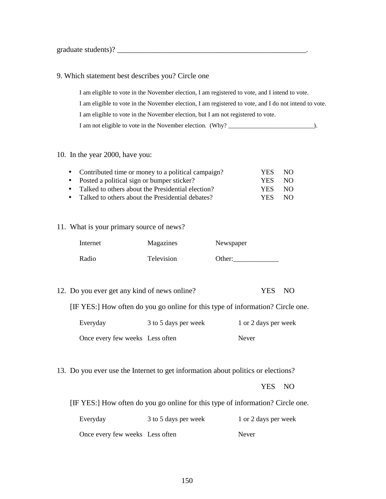graduate students)? \_\_\_\_\_\_\_\_\_\_\_\_\_\_\_\_\_\_\_\_\_\_\_\_\_\_\_\_\_\_\_\_\_\_\_\_\_\_\_\_\_\_\_\_\_\_\_\_\_\_.

#### 9. Which statement best describes you? Circle one

I am eligible to vote in the November election, I am registered to vote, and I intend to vote. I am eligible to vote in the November election, I am registered to vote, and I do not intend to vote. I am eligible to vote in the November election, but I am not registered to vote. I am not eligible to vote in the November election. (Why? \_\_\_\_\_\_\_\_\_\_\_\_\_\_\_\_\_\_\_\_\_\_\_\_\_\_\_).

#### 10. In the year 2000, have you:

| • Contributed time or money to a political campaign? | YES.       | NO. |
|------------------------------------------------------|------------|-----|
| • Posted a political sign or bumper sticker?         | YES.       | NO. |
| • Talked to others about the Presidential election?  | YES.       | NO. |
| • Talked to others about the Presidential debates?   | <b>YES</b> | NO. |

#### 11. What is your primary source of news?

| Internet | Magazines  | Newspaper |
|----------|------------|-----------|
| Radio    | Television | Other:    |

12. Do you ever get any kind of news online? YES NO

[IF YES:] How often do you go online for this type of information? Circle one.

| Everyday                        | 3 to 5 days per week | 1 or 2 days per week |
|---------------------------------|----------------------|----------------------|
| Once every few weeks Less often |                      | <b>Never</b>         |

13. Do you ever use the Internet to get information about politics or elections?

YES NO

[IF YES:] How often do you go online for this type of information? Circle one.

| Everyday                        | 3 to 5 days per week | 1 or 2 days per week |
|---------------------------------|----------------------|----------------------|
| Once every few weeks Less often |                      | Never                |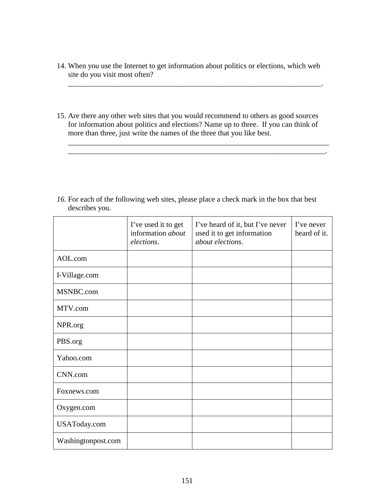14. When you use the Internet to get information about politics or elections, which web site do you visit most often?

\_\_\_\_\_\_\_\_\_\_\_\_\_\_\_\_\_\_\_\_\_\_\_\_\_\_\_\_\_\_\_\_\_\_\_\_\_\_\_\_\_\_\_\_\_\_\_\_\_\_\_\_\_\_\_\_\_\_\_\_\_\_\_\_\_\_\_.

15. Are there any other web sites that you would recommend to others as good sources for information about politics and elections? Name up to three. If you can think of more than three, just write the names of the three that you like best.

\_\_\_\_\_\_\_\_\_\_\_\_\_\_\_\_\_\_\_\_\_\_\_\_\_\_\_\_\_\_\_\_\_\_\_\_\_\_\_\_\_\_\_\_\_\_\_\_\_\_\_\_\_\_\_\_\_\_\_\_\_\_\_\_\_\_\_\_\_ \_\_\_\_\_\_\_\_\_\_\_\_\_\_\_\_\_\_\_\_\_\_\_\_\_\_\_\_\_\_\_\_\_\_\_\_\_\_\_\_\_\_\_\_\_\_\_\_\_\_\_\_\_\_\_\_\_\_\_\_\_\_\_\_\_\_\_\_.

16. For each of the following web sites, please place a check mark in the box that best describes you.

|                    | I've used it to get<br>information about<br>elections. | I've heard of it, but I've never<br>used it to get information<br>about elections. | I've never<br>heard of it. |
|--------------------|--------------------------------------------------------|------------------------------------------------------------------------------------|----------------------------|
| AOL.com            |                                                        |                                                                                    |                            |
| I-Village.com      |                                                        |                                                                                    |                            |
| MSNBC.com          |                                                        |                                                                                    |                            |
| MTV.com            |                                                        |                                                                                    |                            |
| NPR.org            |                                                        |                                                                                    |                            |
| PBS.org            |                                                        |                                                                                    |                            |
| Yahoo.com          |                                                        |                                                                                    |                            |
| CNN.com            |                                                        |                                                                                    |                            |
| Foxnews.com        |                                                        |                                                                                    |                            |
| Oxygen.com         |                                                        |                                                                                    |                            |
| USAToday.com       |                                                        |                                                                                    |                            |
| Washingtonpost.com |                                                        |                                                                                    |                            |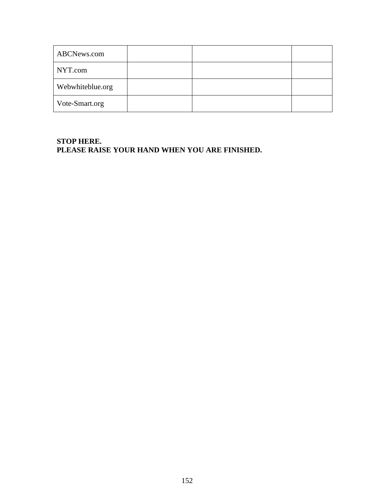| ABCNews.com      |  |  |
|------------------|--|--|
| NYT.com          |  |  |
| Webwhiteblue.org |  |  |
| Vote-Smart.org   |  |  |

#### **STOP HERE. PLEASE RAISE YOUR HAND WHEN YOU ARE FINISHED.**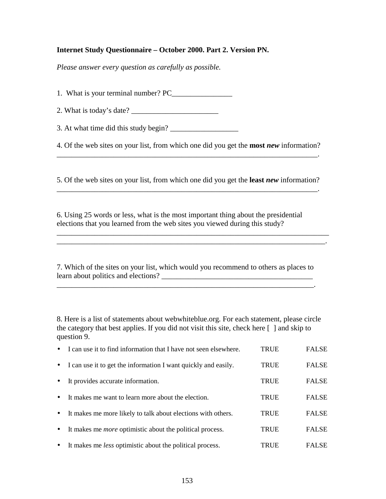#### **Internet Study Questionnaire – October 2000. Part 2. Version PN.**

*Please answer every question as carefully as possible.* 

1. What is your terminal number? PC\_\_\_\_\_\_\_\_\_\_\_\_\_\_\_\_

2. What is today's date? \_\_\_\_\_\_\_\_\_\_\_\_\_\_\_\_\_\_\_\_\_\_\_

3. At what time did this study begin?  $\frac{1}{2}$ 

4. Of the web sites on your list, from which one did you get the **most** *new* information? \_\_\_\_\_\_\_\_\_\_\_\_\_\_\_\_\_\_\_\_\_\_\_\_\_\_\_\_\_\_\_\_\_\_\_\_\_\_\_\_\_\_\_\_\_\_\_\_\_\_\_\_\_\_\_\_\_\_\_\_\_\_\_\_\_\_\_\_\_.

5. Of the web sites on your list, from which one did you get the **least** *new* information?

\_\_\_\_\_\_\_\_\_\_\_\_\_\_\_\_\_\_\_\_\_\_\_\_\_\_\_\_\_\_\_\_\_\_\_\_\_\_\_\_\_\_\_\_\_\_\_\_\_\_\_\_\_\_\_\_\_\_\_\_\_\_\_\_\_\_\_\_\_.

6. Using 25 words or less, what is the most important thing about the presidential elections that you learned from the web sites you viewed during this study?

7. Which of the sites on your list, which would you recommend to others as places to learn about politics and elections? \_\_\_\_\_\_\_\_\_\_\_\_\_\_\_\_\_\_\_\_\_\_\_\_\_\_\_\_\_\_\_\_\_\_\_\_\_\_\_\_

\_\_\_\_\_\_\_\_\_\_\_\_\_\_\_\_\_\_\_\_\_\_\_\_\_\_\_\_\_\_\_\_\_\_\_\_\_\_\_\_\_\_\_\_\_\_\_\_\_\_\_\_\_\_\_\_\_\_\_\_\_\_\_\_\_\_\_\_.

\_\_\_\_\_\_\_\_\_\_\_\_\_\_\_\_\_\_\_\_\_\_\_\_\_\_\_\_\_\_\_\_\_\_\_\_\_\_\_\_\_\_\_\_\_\_\_\_\_\_\_\_\_\_\_\_\_\_\_\_\_\_\_\_\_\_\_\_\_\_\_\_ \_\_\_\_\_\_\_\_\_\_\_\_\_\_\_\_\_\_\_\_\_\_\_\_\_\_\_\_\_\_\_\_\_\_\_\_\_\_\_\_\_\_\_\_\_\_\_\_\_\_\_\_\_\_\_\_\_\_\_\_\_\_\_\_\_\_\_\_\_\_\_.

8. Here is a list of statements about webwhiteblue.org. For each statement, please circle the category that best applies. If you did not visit this site, check here [ ] and skip to question 9.

|           | I can use it to find information that I have not seen elsewhere. | <b>TRUE</b> | <b>FALSE</b> |
|-----------|------------------------------------------------------------------|-------------|--------------|
| $\bullet$ | I can use it to get the information I want quickly and easily.   | <b>TRUE</b> | <b>FALSE</b> |
| $\bullet$ | It provides accurate information.                                | <b>TRUE</b> | <b>FALSE</b> |
| $\bullet$ | It makes me want to learn more about the election.               | <b>TRUE</b> | <b>FALSE</b> |
| $\bullet$ | It makes me more likely to talk about elections with others.     | <b>TRUE</b> | <b>FALSE</b> |
| $\bullet$ | It makes me <i>more</i> optimistic about the political process.  | <b>TRUE</b> | <b>FALSE</b> |
| $\bullet$ | It makes me <i>less</i> optimistic about the political process.  | TRUE        | <b>FALSE</b> |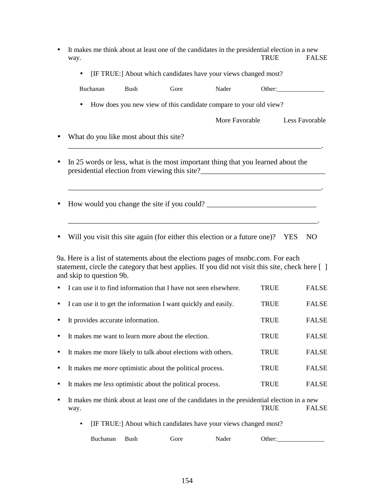|   | It makes me think about at least one of the candidates in the presidential election in a new<br>way.                                                                                                             |             |                                                                   |                | <b>TRUE</b> | <b>FALSE</b>   |  |
|---|------------------------------------------------------------------------------------------------------------------------------------------------------------------------------------------------------------------|-------------|-------------------------------------------------------------------|----------------|-------------|----------------|--|
|   | $\bullet$                                                                                                                                                                                                        |             | [IF TRUE:] About which candidates have your views changed most?   |                |             |                |  |
|   | Buchanan                                                                                                                                                                                                         | <b>Bush</b> | Gore                                                              | Nader          |             | Other:         |  |
|   | $\bullet$                                                                                                                                                                                                        |             | How does you new view of this candidate compare to your old view? |                |             |                |  |
|   |                                                                                                                                                                                                                  |             |                                                                   | More Favorable |             | Less Favorable |  |
|   | What do you like most about this site?                                                                                                                                                                           |             |                                                                   |                |             |                |  |
|   | In 25 words or less, what is the most important thing that you learned about the                                                                                                                                 |             |                                                                   |                |             |                |  |
|   |                                                                                                                                                                                                                  |             |                                                                   |                |             |                |  |
|   | Will you visit this site again (for either this election or a future one)? YES                                                                                                                                   |             |                                                                   |                |             | N <sub>O</sub> |  |
|   | 9a. Here is a list of statements about the elections pages of msnbc.com. For each<br>statement, circle the category that best applies. If you did not visit this site, check here []<br>and skip to question 9b. |             |                                                                   |                |             |                |  |
|   | I can use it to find information that I have not seen elsewhere.                                                                                                                                                 |             |                                                                   |                | <b>TRUE</b> | <b>FALSE</b>   |  |
|   | I can use it to get the information I want quickly and easily.                                                                                                                                                   |             |                                                                   |                | <b>TRUE</b> | <b>FALSE</b>   |  |
|   | It provides accurate information.                                                                                                                                                                                |             |                                                                   |                | <b>TRUE</b> | <b>FALSE</b>   |  |
|   | It makes me want to learn more about the election.                                                                                                                                                               |             |                                                                   |                | <b>TRUE</b> | <b>FALSE</b>   |  |
| ٠ | It makes me more likely to talk about elections with others.                                                                                                                                                     |             |                                                                   |                | <b>TRUE</b> | <b>FALSE</b>   |  |
| ٠ | It makes me <i>more</i> optimistic about the political process.                                                                                                                                                  |             |                                                                   |                | <b>TRUE</b> | <b>FALSE</b>   |  |
|   | It makes me <i>less</i> optimistic about the political process.                                                                                                                                                  |             |                                                                   |                | <b>TRUE</b> | <b>FALSE</b>   |  |
|   | It makes me think about at least one of the candidates in the presidential election in a new<br>way.                                                                                                             |             |                                                                   |                | <b>TRUE</b> | <b>FALSE</b>   |  |
|   |                                                                                                                                                                                                                  |             | [IF TRUE:] About which candidates have your views changed most?   |                |             |                |  |

| Buchanan | Bush | fore | vauei<br>. | )ther: |
|----------|------|------|------------|--------|
|          |      |      |            |        |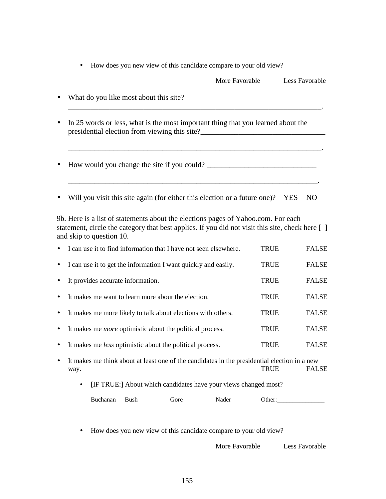|  | How does you new view of this candidate compare to your old view? |  |
|--|-------------------------------------------------------------------|--|
|  |                                                                   |  |

|           |                                                                                  | More Favorable | Less Favorable |
|-----------|----------------------------------------------------------------------------------|----------------|----------------|
|           | What do you like most about this site?                                           |                |                |
| $\bullet$ | In 25 words or less, what is the most important thing that you learned about the |                |                |
|           | How would you change the site if you could?                                      |                |                |

• Will you visit this site again (for either this election or a future one)? YES NO

9b. Here is a list of statements about the elections pages of Yahoo.com. For each statement, circle the category that best applies. If you did not visit this site, check here [ ] and skip to question 10.

| $\bullet$ | I can use it to find information that I have not seen elsewhere. | TRUE        | <b>FALSE</b> |
|-----------|------------------------------------------------------------------|-------------|--------------|
|           | • I can use it to get the information I want quickly and easily. | <b>TRUE</b> | <b>FALSE</b> |
| $\bullet$ | It provides accurate information.                                | <b>TRUE</b> | <b>FALSE</b> |
| $\bullet$ | It makes me want to learn more about the election.               | <b>TRUE</b> | <b>FALSE</b> |
| $\bullet$ | It makes me more likely to talk about elections with others.     | <b>TRUE</b> | <b>FALSE</b> |
| $\bullet$ | It makes me <i>more</i> optimistic about the political process.  | <b>TRUE</b> | <b>FALSE</b> |
| $\bullet$ | It makes me <i>less</i> optimistic about the political process.  | <b>TRUE</b> | <b>FALSE</b> |
|           |                                                                  |             |              |

• It makes me think about at least one of the candidates in the presidential election in a new way. TRUE FALSE

• [IF TRUE:] About which candidates have your views changed most?

| Buchanan | 3ush | ∙∩re<br>uu<br>___ | ader<br>. | )ther: |
|----------|------|-------------------|-----------|--------|
|----------|------|-------------------|-----------|--------|

• How does you new view of this candidate compare to your old view?

More Favorable Less Favorable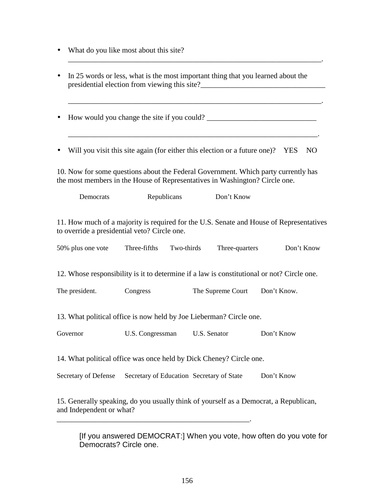- What do you like most about this site?
- In 25 words or less, what is the most important thing that you learned about the presidential election from viewing this site?\_\_\_\_\_\_\_\_\_\_\_\_\_\_\_\_\_\_\_\_\_\_\_\_\_\_\_\_\_\_\_\_\_\_\_

\_\_\_\_\_\_\_\_\_\_\_\_\_\_\_\_\_\_\_\_\_\_\_\_\_\_\_\_\_\_\_\_\_\_\_\_\_\_\_\_\_\_\_\_\_\_\_\_\_\_\_\_\_\_\_\_\_\_\_\_\_\_\_\_\_\_\_.

\_\_\_\_\_\_\_\_\_\_\_\_\_\_\_\_\_\_\_\_\_\_\_\_\_\_\_\_\_\_\_\_\_\_\_\_\_\_\_\_\_\_\_\_\_\_\_\_\_\_\_\_\_\_\_\_\_\_\_\_\_\_\_\_\_\_\_.

• How would you change the site if you could? \_\_\_\_\_\_\_\_\_\_\_\_\_\_\_\_\_\_\_\_\_\_\_\_\_\_\_\_\_\_\_\_\_\_

• Will you visit this site again (for either this election or a future one)? YES NO

\_\_\_\_\_\_\_\_\_\_\_\_\_\_\_\_\_\_\_\_\_\_\_\_\_\_\_\_\_\_\_\_\_\_\_\_\_\_\_\_\_\_\_\_\_\_\_\_\_\_\_\_\_\_\_\_\_\_\_\_\_\_\_\_\_\_.

10. Now for some questions about the Federal Government. Which party currently has the most members in the House of Representatives in Washington? Circle one.

| Democrats                                                                                                                               | Republicans                               | Don't Know        |             |  |  |
|-----------------------------------------------------------------------------------------------------------------------------------------|-------------------------------------------|-------------------|-------------|--|--|
| 11. How much of a majority is required for the U.S. Senate and House of Representatives<br>to override a presidential veto? Circle one. |                                           |                   |             |  |  |
| 50% plus one vote                                                                                                                       | Three-fifths<br>Two-thirds                | Three-quarters    | Don't Know  |  |  |
| 12. Whose responsibility is it to determine if a law is constitutional or not? Circle one.                                              |                                           |                   |             |  |  |
| The president.                                                                                                                          | Congress                                  | The Supreme Court | Don't Know. |  |  |
| 13. What political office is now held by Joe Lieberman? Circle one.                                                                     |                                           |                   |             |  |  |
| Governor                                                                                                                                | U.S. Congressman                          | U.S. Senator      | Don't Know  |  |  |
| 14. What political office was once held by Dick Cheney? Circle one.                                                                     |                                           |                   |             |  |  |
| Secretary of Defense                                                                                                                    | Secretary of Education Secretary of State |                   | Don't Know  |  |  |
| 15. Generally speaking, do you usually think of yourself as a Democrat, a Republican,                                                   |                                           |                   |             |  |  |

and Independent or what? \_\_\_\_\_\_\_\_\_\_\_\_\_\_\_\_\_\_\_\_\_\_\_\_\_\_\_\_\_\_\_\_\_\_\_\_\_\_\_\_\_\_\_\_\_\_\_\_\_\_\_.

[If you answered DEMOCRAT:] When you vote, how often do you vote for Democrats? Circle one.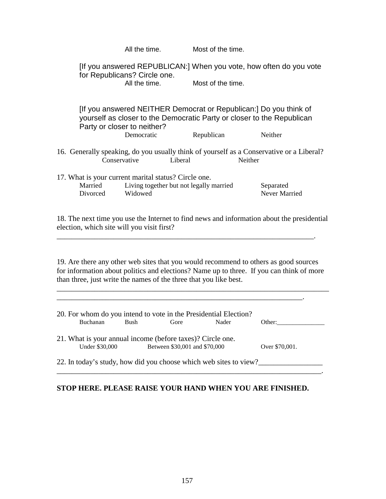|                                                                                                                                                                                                                                                       | All the time.                                      |         | Most of the time. |         |                                                                                                                                                        |
|-------------------------------------------------------------------------------------------------------------------------------------------------------------------------------------------------------------------------------------------------------|----------------------------------------------------|---------|-------------------|---------|--------------------------------------------------------------------------------------------------------------------------------------------------------|
|                                                                                                                                                                                                                                                       | for Republicans? Circle one.<br>All the time.      |         | Most of the time. |         | [If you answered REPUBLICAN:] When you vote, how often do you vote                                                                                     |
|                                                                                                                                                                                                                                                       | Party or closer to neither?<br>Democratic          |         | Republican        |         | [If you answered NEITHER Democrat or Republican:] Do you think of<br>yourself as closer to the Democratic Party or closer to the Republican<br>Neither |
| 16. Generally speaking, do you usually think of yourself as a Conservative or a Liberal?<br>Conservative                                                                                                                                              |                                                    | Liberal |                   | Neither |                                                                                                                                                        |
| 17. What is your current marital status? Circle one.<br>Married<br>Divorced                                                                                                                                                                           | Living together but not legally married<br>Widowed |         |                   |         | Separated<br>Never Married                                                                                                                             |
| 18. The next time you use the Internet to find news and information about the presidential<br>election, which site will you visit first?                                                                                                              |                                                    |         |                   |         |                                                                                                                                                        |
| 19. Are there any other web sites that you would recommend to others as good sources<br>for information about politics and elections? Name up to three. If you can think of more<br>than three, just write the names of the three that you like best. |                                                    |         |                   |         |                                                                                                                                                        |
| 20. For whom do you intend to vote in the Presidential Election?                                                                                                                                                                                      | Buchanan Bush Gore                                 |         | Nader             |         | Other:                                                                                                                                                 |
| 21. What is your annual income (before taxes)? Circle one.<br>Under \$30,000<br>Between \$30,001 and \$70,000<br>Over \$70,001.                                                                                                                       |                                                    |         |                   |         |                                                                                                                                                        |
| 22. In today's study, how did you choose which web sites to view?                                                                                                                                                                                     |                                                    |         |                   |         |                                                                                                                                                        |

#### **STOP HERE. PLEASE RAISE YOUR HAND WHEN YOU ARE FINISHED.**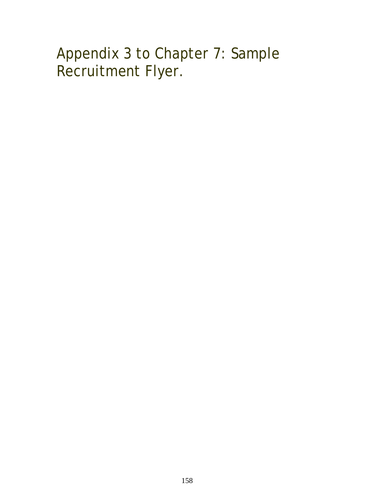# Appendix 3 to Chapter 7: Sample Recruitment Flyer.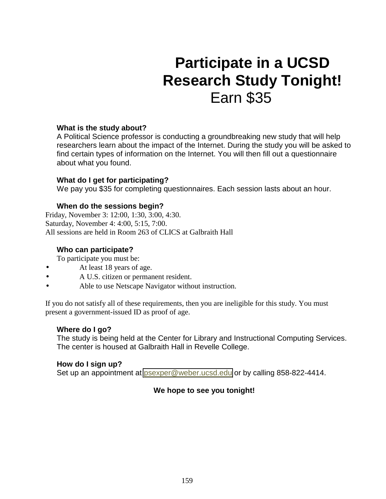# **Participate in a UCSD Research Study Tonight!**  Earn \$35

#### **What is the study about?**

A Political Science professor is conducting a groundbreaking new study that will help researchers learn about the impact of the Internet. During the study you will be asked to find certain types of information on the Internet. You will then fill out a questionnaire about what you found.

#### **What do I get for participating?**

We pay you \$35 for completing questionnaires. Each session lasts about an hour.

#### **When do the sessions begin?**

Friday, November 3: 12:00, 1:30, 3:00, 4:30. Saturday, November 4: 4:00, 5:15, 7:00. All sessions are held in Room 263 of CLICS at Galbraith Hall

#### **Who can participate?**

To participate you must be:

- At least 18 years of age.
- A U.S. citizen or permanent resident.
- Able to use Netscape Navigator without instruction.

If you do not satisfy all of these requirements, then you are ineligible for this study. You must present a government-issued ID as proof of age.

#### **Where do I go?**

The study is being held at the Center for Library and Instructional Computing Services. The center is housed at Galbraith Hall in Revelle College.

#### **How do I sign up?**

Set up an appointment at *psexper@weber.ucsd.edu* or by calling 858-822-4414.

#### **We hope to see you tonight!**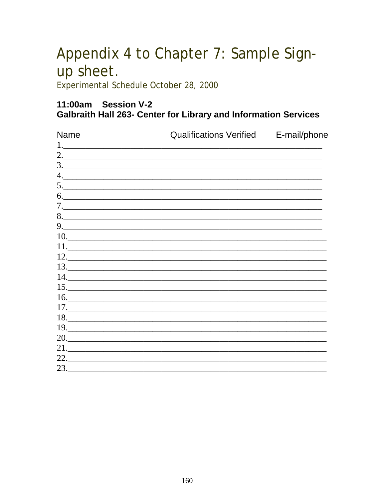# Appendix 4 to Chapter 7: Sample Signup sheet.

Experimental Schedule October 28, 2000

### 11:00am Session V-2 **Galbraith Hall 263- Center for Library and Information Services**

| Name | Qualifications Verified E-mail/phone      |  |  |
|------|-------------------------------------------|--|--|
|      |                                           |  |  |
|      |                                           |  |  |
|      |                                           |  |  |
|      |                                           |  |  |
|      | 5.                                        |  |  |
|      |                                           |  |  |
|      |                                           |  |  |
|      | 8.                                        |  |  |
|      |                                           |  |  |
|      | 10.                                       |  |  |
|      |                                           |  |  |
|      |                                           |  |  |
|      |                                           |  |  |
|      |                                           |  |  |
|      | 15.                                       |  |  |
|      | $\begin{array}{c} \hline 16. \end{array}$ |  |  |
|      |                                           |  |  |
|      | 18.                                       |  |  |
|      |                                           |  |  |
|      | 20.                                       |  |  |
|      |                                           |  |  |
|      |                                           |  |  |
| 23.  |                                           |  |  |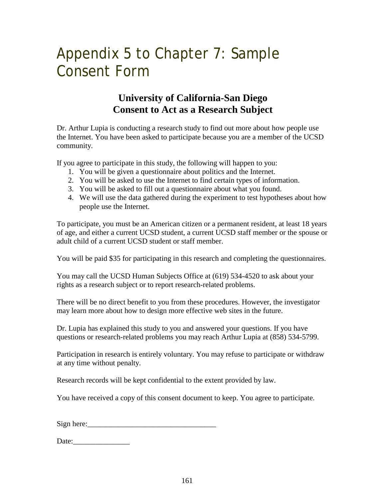# Appendix 5 to Chapter 7: Sample Consent Form

### **University of California-San Diego Consent to Act as a Research Subject**

Dr. Arthur Lupia is conducting a research study to find out more about how people use the Internet. You have been asked to participate because you are a member of the UCSD community.

If you agree to participate in this study, the following will happen to you:

- 1. You will be given a questionnaire about politics and the Internet.
- 2. You will be asked to use the Internet to find certain types of information.
- 3. You will be asked to fill out a questionnaire about what you found.
- 4. We will use the data gathered during the experiment to test hypotheses about how people use the Internet.

To participate, you must be an American citizen or a permanent resident, at least 18 years of age, and either a current UCSD student, a current UCSD staff member or the spouse or adult child of a current UCSD student or staff member.

You will be paid \$35 for participating in this research and completing the questionnaires.

You may call the UCSD Human Subjects Office at (619) 534-4520 to ask about your rights as a research subject or to report research-related problems.

There will be no direct benefit to you from these procedures. However, the investigator may learn more about how to design more effective web sites in the future.

Dr. Lupia has explained this study to you and answered your questions. If you have questions or research-related problems you may reach Arthur Lupia at (858) 534-5799.

Participation in research is entirely voluntary. You may refuse to participate or withdraw at any time without penalty.

Research records will be kept confidential to the extent provided by law.

You have received a copy of this consent document to keep. You agree to participate.

 $Sign here:$ 

Date: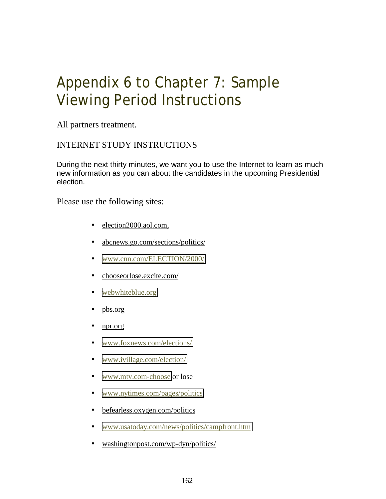## Appendix 6 to Chapter 7: Sample Viewing Period Instructions

All partners treatment.

#### INTERNET STUDY INSTRUCTIONS

During the next thirty minutes, we want you to use the Internet to learn as much new information as you can about the candidates in the upcoming Presidential election.

Please use the following sites:

- election2000.aol.com,
- abcnews.go.com/sections/politics/
- [www.cnn.com/ELECTION/2000/](http://www.cnn.com/ELECTION/2000/)
- chooseorlose.excite.com/
- [webwhiteblue.org](http://www.webwhiteandblue.org/)
- pbs.org
- npr.org
- [www.foxnews.com/elections/](http://www.foxnews.com/elections/)
- [www.ivillage.com/election/](http://www.ivillage.com/election/)
- [www.mtv.com-choose](http://www.mtv.com-choose/) or lose
- [www.nytimes.com/pages/politics](http://www.nytimes.com/pages/politics)
- befearless.oxygen.com/politics
- [www.usatoday.com/news/politics/campfront.htm](http://www.usatoday.com/news/politics/campfront.htm)
- washingtonpost.com/wp-dyn/politics/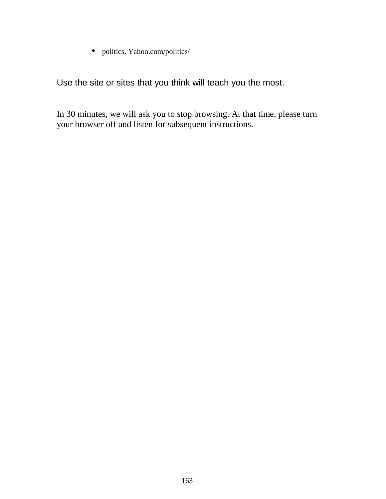• politics. Yahoo.com/politics/

Use the site or sites that you think will teach you the most.

In 30 minutes, we will ask you to stop browsing. At that time, please turn your browser off and listen for subsequent instructions.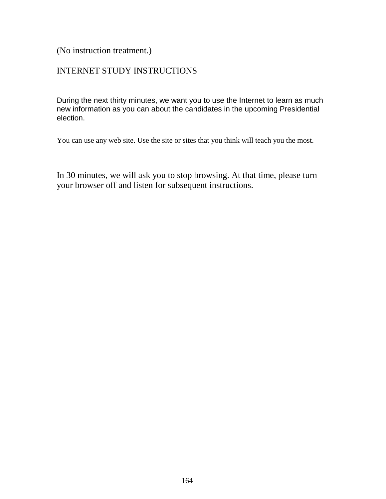(No instruction treatment.)

#### INTERNET STUDY INSTRUCTIONS

During the next thirty minutes, we want you to use the Internet to learn as much new information as you can about the candidates in the upcoming Presidential election.

You can use any web site. Use the site or sites that you think will teach you the most.

In 30 minutes, we will ask you to stop browsing. At that time, please turn your browser off and listen for subsequent instructions.